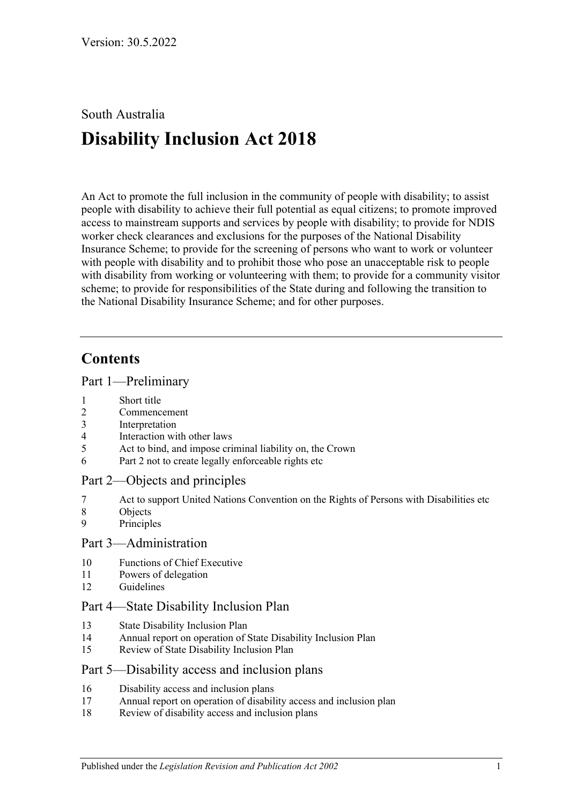## South Australia

# **Disability Inclusion Act 2018**

An Act to promote the full inclusion in the community of people with disability; to assist people with disability to achieve their full potential as equal citizens; to promote improved access to mainstream supports and services by people with disability; to provide for NDIS worker check clearances and exclusions for the purposes of the National Disability Insurance Scheme; to provide for the screening of persons who want to work or volunteer with people with disability and to prohibit those who pose an unacceptable risk to people with disability from working or volunteering with them; to provide for a community visitor scheme; to provide for responsibilities of the State during and following the transition to the National Disability Insurance Scheme; and for other purposes.

## **Contents**

Part [1—Preliminary](#page-4-0)

- 1 [Short title](#page-4-1)
- 2 [Commencement](#page-4-2)
- 3 [Interpretation](#page-4-3)
- 4 [Interaction with other laws](#page-5-0)
- 5 [Act to bind, and impose criminal liability on, the Crown](#page-5-1)
- 6 [Part](#page-5-2) 2 [not to create legally enforceable rights etc](#page-5-2)

#### Part [2—Objects and principles](#page-5-3)

- 7 [Act to support United Nations Convention on the Rights of Persons with Disabilities etc](#page-5-4)
- 8 [Objects](#page-6-0)
- 9 [Principles](#page-6-1)

#### Part [3—Administration](#page-8-0)

- 10 [Functions of Chief Executive](#page-8-1)
- 11 [Powers of delegation](#page-9-0)
- 12 [Guidelines](#page-9-1)

#### Part [4—State Disability Inclusion Plan](#page-10-0)

- 13 [State Disability Inclusion Plan](#page-10-1)
- 14 [Annual report on operation of State Disability Inclusion Plan](#page-11-0)
- 15 [Review of State Disability Inclusion Plan](#page-11-1)

#### Part [5—Disability access and inclusion plans](#page-11-2)

- 16 [Disability access and inclusion plans](#page-11-3)
- 17 [Annual report on operation of disability access and inclusion plan](#page-12-0)
- 18 [Review of disability access and inclusion plans](#page-13-0)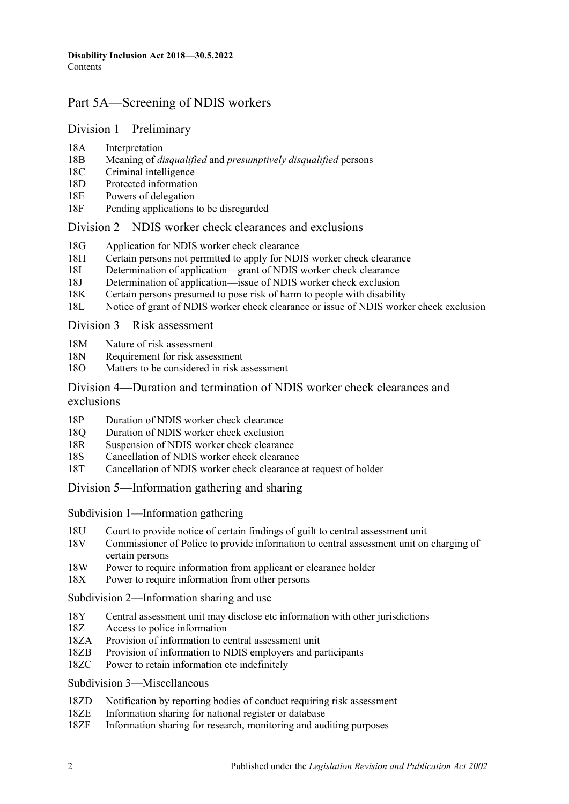## [Part 5A—Screening of NDIS workers](#page-13-1)

#### Division [1—Preliminary](#page-13-2)

- 18A [Interpretation](#page-13-3)
- 18B Meaning of *disqualified* and *[presumptively disqualified](#page-17-0)* persons
- 18C [Criminal intelligence](#page-18-0)
- 18D [Protected information](#page-18-1)
- 18E [Powers of delegation](#page-18-2)
- 18F [Pending applications to be disregarded](#page-19-0)

#### Division [2—NDIS worker check clearances and exclusions](#page-19-1)

- 18G [Application for NDIS worker check clearance](#page-19-2)
- 18H [Certain persons not permitted to apply for NDIS worker check](#page-20-0) clearance
- 18I [Determination of application—grant of NDIS worker check clearance](#page-21-0)
- 18J [Determination of application—issue of NDIS worker check exclusion](#page-21-1)
- 18K [Certain persons presumed to pose risk of harm to people with disability](#page-21-2)
- 18L [Notice of grant of NDIS worker check clearance or issue of NDIS worker check exclusion](#page-22-0)

#### Division [3—Risk assessment](#page-22-1)

- 18M [Nature of risk assessment](#page-22-2)
- 18N [Requirement for risk assessment](#page-23-0)
- 18O [Matters to be considered in risk assessment](#page-23-1)

#### Division [4—Duration and termination of NDIS worker check clearances and](#page-23-2)  [exclusions](#page-23-2)

- 18P [Duration of NDIS worker check clearance](#page-23-3)
- 18Q [Duration of NDIS worker check exclusion](#page-24-0)
- 18R [Suspension of NDIS worker check clearance](#page-24-1)
- 18S [Cancellation of NDIS worker check clearance](#page-25-0)
- 18T [Cancellation of NDIS worker check clearance at request of holder](#page-25-1)

Division [5—Information gathering and sharing](#page-26-0)

Subdivision [1—Information gathering](#page-26-1)

- 18U [Court to provide notice of certain findings of guilt to central assessment unit](#page-26-2)
- 18V [Commissioner of Police to provide information to central assessment unit on charging of](#page-26-3)  [certain persons](#page-26-3)
- 18W [Power to require information from applicant or clearance holder](#page-26-4)
- 18X [Power to require information from other persons](#page-26-5)

Subdivision [2—Information sharing and use](#page-27-0)

- 18Y [Central assessment unit may disclose etc information with other jurisdictions](#page-27-1)
- 18Z [Access to police information](#page-28-0)
- 18ZA [Provision of information to central assessment unit](#page-28-1)
- 18ZB [Provision of information to NDIS employers and participants](#page-29-0)
- 18ZC [Power to retain information etc indefinitely](#page-29-1)

Subdivision [3—Miscellaneous](#page-29-2)

- 18ZD [Notification by reporting bodies of conduct requiring risk assessment](#page-29-3)
- 18ZE [Information sharing for national register or database](#page-30-0)
- 18ZF [Information sharing for research, monitoring and auditing purposes](#page-30-1)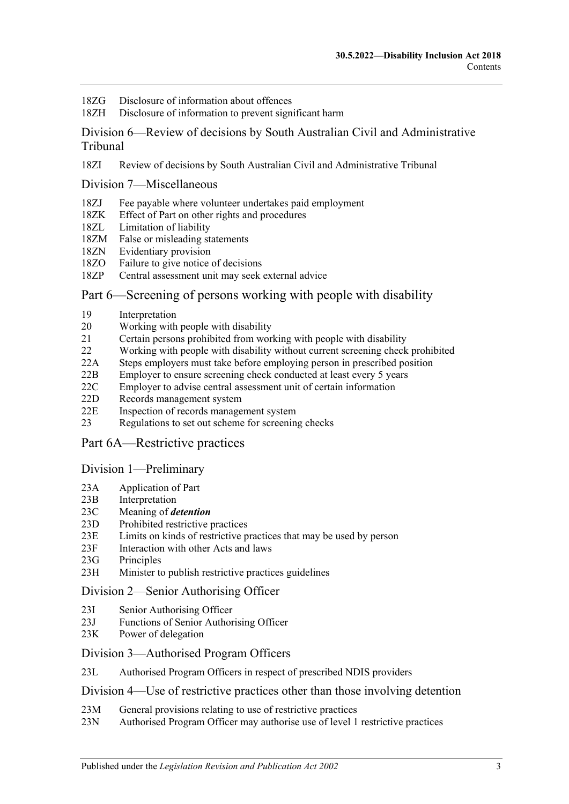18ZG [Disclosure of information about offences](#page-30-2)

18ZH [Disclosure of information to prevent significant harm](#page-30-3)

Division [6—Review of decisions by South Australian Civil and Administrative](#page-31-0)  [Tribunal](#page-31-0)

18ZI [Review of decisions by South Australian Civil and Administrative Tribunal](#page-31-1)

#### Division [7—Miscellaneous](#page-32-0)

- 18ZJ [Fee payable where volunteer undertakes paid employment](#page-32-1)
- 18ZK [Effect of Part on other rights and procedures](#page-32-2)
- 18ZL [Limitation of liability](#page-32-3)
- 18ZM [False or misleading statements](#page-33-0)
- 18ZN [Evidentiary provision](#page-33-1)
- 18ZO [Failure to give notice of decisions](#page-33-2)
- 18ZP Central assessment unit [may seek external advice](#page-33-3)

#### Part [6—Screening of persons working with people with disability](#page-33-4)

- 19 [Interpretation](#page-34-0)
- 20 [Working with people with disability](#page-34-1)
- 21 [Certain persons prohibited from working with people with disability](#page-35-0)
- 22 [Working with people with disability without current screening check prohibited](#page-35-1)
- 22A [Steps employers must take before employing person in prescribed position](#page-35-2)
- 22B [Employer to ensure screening check conducted at least every 5 years](#page-36-0)
- 22C [Employer to advise central assessment unit of certain information](#page-36-1)
- 22D [Records management system](#page-37-0)
- 22E [Inspection of records management system](#page-37-1)
- 23 [Regulations to set out scheme for screening checks](#page-37-2)

### [Part 6A—Restrictive practices](#page-38-0)

#### Division [1—Preliminary](#page-38-1)

- 23A [Application of Part](#page-38-2)
- 23B [Interpretation](#page-39-0)
- 23C [Meaning of](#page-41-0) *detention*
- 23D [Prohibited restrictive practices](#page-41-1)
- 23E [Limits on kinds of restrictive practices that may be used by person](#page-41-2)
- 23F [Interaction with other Acts and laws](#page-41-3)
- 23G [Principles](#page-42-0)
- 23H [Minister to publish restrictive practices guidelines](#page-42-1)

Division [2—Senior Authorising Officer](#page-43-0)

- 23I [Senior Authorising Officer](#page-43-1)
- 23J [Functions of Senior Authorising Officer](#page-43-2)
- 23K [Power of delegation](#page-43-3)

#### Division [3—Authorised Program Officers](#page-44-0)

23L [Authorised Program Officers in respect of prescribed NDIS providers](#page-44-1)

#### Division [4—Use of restrictive practices other than those involving detention](#page-45-0)

- 23M [General provisions relating to use of restrictive practices](#page-45-1)
- 23N [Authorised Program Officer may authorise use of level](#page-45-2) 1 restrictive practices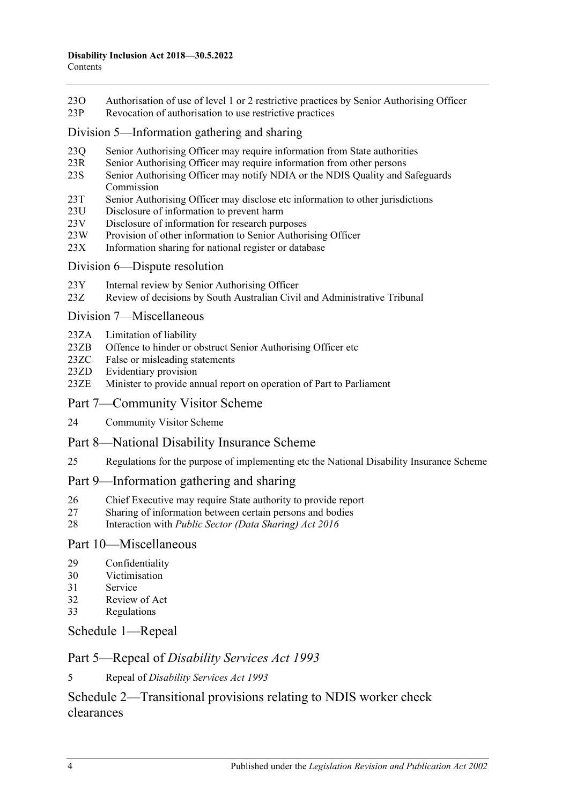23O Authorisation of use of level 1 or [2 restrictive practices by Senior Authorising Officer](#page-47-0) 23P [Revocation of authorisation to use restrictive practices](#page-49-0)

#### Division [5—Information gathering and sharing](#page-49-1)

- 23Q [Senior Authorising Officer may require information from State authorities](#page-49-2)
- 23R [Senior Authorising Officer may require information from other persons](#page-49-3)
- 23S [Senior Authorising Officer may notify NDIA or the NDIS Quality and Safeguards](#page-49-4)  [Commission](#page-49-4)
- 23T [Senior Authorising Officer may disclose etc information to other jurisdictions](#page-50-0)
- 23U [Disclosure of information to prevent harm](#page-50-1)
- 23V [Disclosure of information for research purposes](#page-50-2)
- 23W [Provision of other information to Senior Authorising Officer](#page-50-3)
- 23X [Information sharing for national register or database](#page-50-4)

#### Division [6—Dispute resolution](#page-51-0)

- 23Y [Internal review by Senior Authorising Officer](#page-51-1)
- 23Z [Review of decisions by South Australian Civil and Administrative Tribunal](#page-51-2)

#### Division [7—Miscellaneous](#page-52-0)

- 23ZA [Limitation of liability](#page-52-1)
- 23ZB [Offence to hinder or obstruct Senior Authorising Officer etc](#page-52-2)<br>23ZC False or misleading statements
- [False or misleading statements](#page-52-3)
- 23ZD [Evidentiary provision](#page-52-4)
- 23ZE [Minister to provide annual report on operation of Part to Parliament](#page-53-0)

#### Part [7—Community Visitor Scheme](#page-53-1)

- 24 [Community Visitor Scheme](#page-53-2)
- Part [8—National Disability Insurance Scheme](#page-54-0)
- 25 [Regulations for the purpose of implementing etc the National Disability Insurance Scheme](#page-54-1)

#### Part [9—Information gathering and sharing](#page-54-2)

- 26 [Chief Executive may require State authority to provide report](#page-54-3)
- 27 [Sharing of information between certain persons and bodies](#page-54-4)
- 28 Interaction with *[Public Sector \(Data Sharing\) Act](#page-55-0) 2016*

#### Part [10—Miscellaneous](#page-55-1)

- 29 [Confidentiality](#page-55-2)
- 30 [Victimisation](#page-56-0)
- 31 [Service](#page-57-0)
- 32 [Review of Act](#page-57-1)
- 33 [Regulations](#page-58-0)

#### Schedule [1—Repeal](#page-59-0)

#### Part 5—Repeal of *Disability Services Act 1993*

5 Repeal of *[Disability Services Act](#page-59-1) 1993*

## [Schedule 2—Transitional provisions relating to NDIS worker check](#page-59-2)  [clearances](#page-59-2)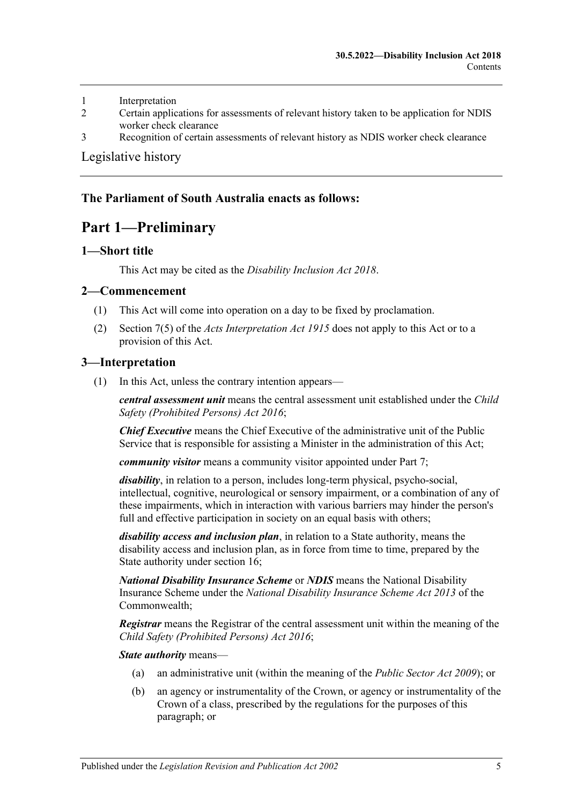- 1 [Interpretation](#page-59-3)
- 2 [Certain applications for assessments of relevant history taken to be application for NDIS](#page-59-4)  [worker check clearance](#page-59-4)
- 3 [Recognition of certain assessments of relevant history as NDIS worker check clearance](#page-59-5)

#### [Legislative history](#page-61-0)

#### <span id="page-4-0"></span>**The Parliament of South Australia enacts as follows:**

## **Part 1—Preliminary**

#### <span id="page-4-1"></span>**1—Short title**

This Act may be cited as the *Disability Inclusion Act 2018*.

#### <span id="page-4-2"></span>**2—Commencement**

- (1) This Act will come into operation on a day to be fixed by proclamation.
- (2) Section 7(5) of the *[Acts Interpretation Act](http://www.legislation.sa.gov.au/index.aspx?action=legref&type=act&legtitle=Acts%20Interpretation%20Act%201915) 1915* does not apply to this Act or to a provision of this Act.

#### <span id="page-4-3"></span>**3—Interpretation**

(1) In this Act, unless the contrary intention appears—

*central assessment unit* means the central assessment unit established under the *[Child](http://www.legislation.sa.gov.au/index.aspx?action=legref&type=act&legtitle=Child%20Safety%20(Prohibited%20Persons)%20Act%202016)  [Safety \(Prohibited Persons\) Act](http://www.legislation.sa.gov.au/index.aspx?action=legref&type=act&legtitle=Child%20Safety%20(Prohibited%20Persons)%20Act%202016) 2016*;

*Chief Executive* means the Chief Executive of the administrative unit of the Public Service that is responsible for assisting a Minister in the administration of this Act;

*community visitor* means a community visitor appointed under [Part](#page-53-1) 7;

*disability*, in relation to a person, includes long-term physical, psycho-social, intellectual, cognitive, neurological or sensory impairment, or a combination of any of these impairments, which in interaction with various barriers may hinder the person's full and effective participation in society on an equal basis with others;

*disability access and inclusion plan*, in relation to a State authority, means the disability access and inclusion plan, as in force from time to time, prepared by the State authority under [section](#page-11-3) 16;

*National Disability Insurance Scheme* or *NDIS* means the National Disability Insurance Scheme under the *National Disability Insurance Scheme Act 2013* of the Commonwealth;

*Registrar* means the Registrar of the central assessment unit within the meaning of the *[Child Safety \(Prohibited Persons\) Act](http://www.legislation.sa.gov.au/index.aspx?action=legref&type=act&legtitle=Child%20Safety%20(Prohibited%20Persons)%20Act%202016) 2016*;

*State authority* means—

- (a) an administrative unit (within the meaning of the *[Public Sector Act](http://www.legislation.sa.gov.au/index.aspx?action=legref&type=act&legtitle=Public%20Sector%20Act%202009) 2009*); or
- (b) an agency or instrumentality of the Crown, or agency or instrumentality of the Crown of a class, prescribed by the regulations for the purposes of this paragraph; or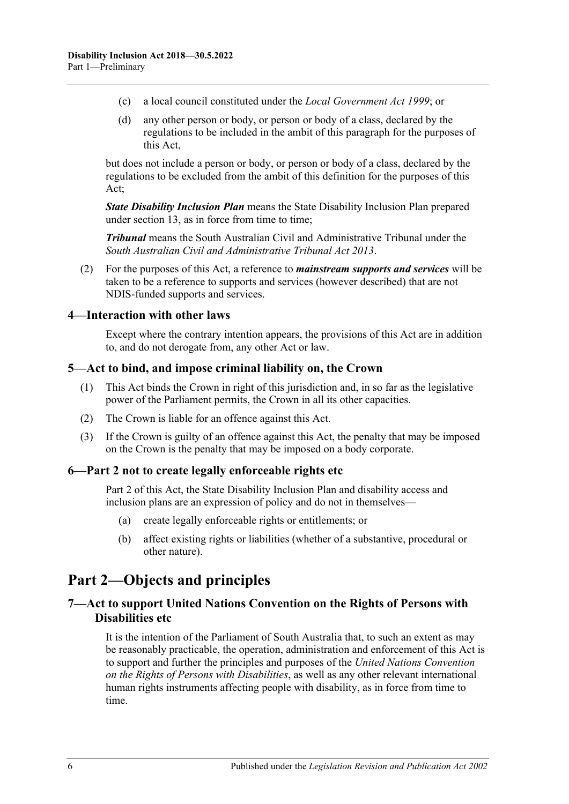- (c) a local council constituted under the *[Local Government Act](http://www.legislation.sa.gov.au/index.aspx?action=legref&type=act&legtitle=Local%20Government%20Act%201999) 1999*; or
- (d) any other person or body, or person or body of a class, declared by the regulations to be included in the ambit of this paragraph for the purposes of this Act,

but does not include a person or body, or person or body of a class, declared by the regulations to be excluded from the ambit of this definition for the purposes of this Act;

*State Disability Inclusion Plan* means the State Disability Inclusion Plan prepared under [section](#page-10-1) 13, as in force from time to time;

*Tribunal* means the South Australian Civil and Administrative Tribunal under the *[South Australian Civil and Administrative Tribunal Act](http://www.legislation.sa.gov.au/index.aspx?action=legref&type=act&legtitle=South%20Australian%20Civil%20and%20Administrative%20Tribunal%20Act%202013) 2013*.

(2) For the purposes of this Act, a reference to *mainstream supports and services* will be taken to be a reference to supports and services (however described) that are not NDIS-funded supports and services.

#### <span id="page-5-0"></span>**4—Interaction with other laws**

Except where the contrary intention appears, the provisions of this Act are in addition to, and do not derogate from, any other Act or law.

#### <span id="page-5-1"></span>**5—Act to bind, and impose criminal liability on, the Crown**

- (1) This Act binds the Crown in right of this jurisdiction and, in so far as the legislative power of the Parliament permits, the Crown in all its other capacities.
- (2) The Crown is liable for an offence against this Act.
- (3) If the Crown is guilty of an offence against this Act, the penalty that may be imposed on the Crown is the penalty that may be imposed on a body corporate.

#### <span id="page-5-2"></span>**6[—Part](#page-5-3) 2 not to create legally enforceable rights etc**

[Part](#page-5-3) 2 of this Act, the State Disability Inclusion Plan and disability access and inclusion plans are an expression of policy and do not in themselves—

- (a) create legally enforceable rights or entitlements; or
- (b) affect existing rights or liabilities (whether of a substantive, procedural or other nature).

## <span id="page-5-3"></span>**Part 2—Objects and principles**

## <span id="page-5-4"></span>**7—Act to support United Nations Convention on the Rights of Persons with Disabilities etc**

It is the intention of the Parliament of South Australia that, to such an extent as may be reasonably practicable, the operation, administration and enforcement of this Act is to support and further the principles and purposes of the *United Nations Convention on the Rights of Persons with Disabilities*, as well as any other relevant international human rights instruments affecting people with disability, as in force from time to time.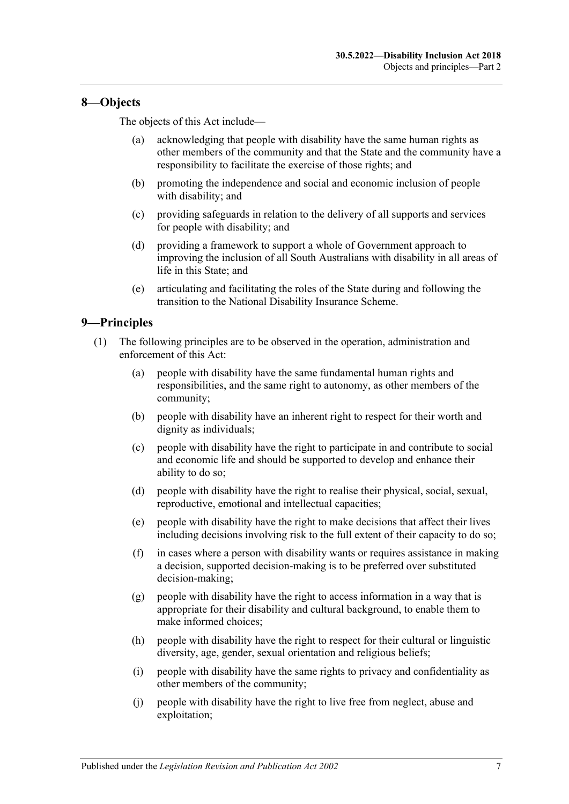#### <span id="page-6-0"></span>**8—Objects**

The objects of this Act include—

- (a) acknowledging that people with disability have the same human rights as other members of the community and that the State and the community have a responsibility to facilitate the exercise of those rights; and
- (b) promoting the independence and social and economic inclusion of people with disability; and
- (c) providing safeguards in relation to the delivery of all supports and services for people with disability; and
- (d) providing a framework to support a whole of Government approach to improving the inclusion of all South Australians with disability in all areas of life in this State; and
- (e) articulating and facilitating the roles of the State during and following the transition to the National Disability Insurance Scheme.

#### <span id="page-6-1"></span>**9—Principles**

- (1) The following principles are to be observed in the operation, administration and enforcement of this Act:
	- (a) people with disability have the same fundamental human rights and responsibilities, and the same right to autonomy, as other members of the community;
	- (b) people with disability have an inherent right to respect for their worth and dignity as individuals;
	- (c) people with disability have the right to participate in and contribute to social and economic life and should be supported to develop and enhance their ability to do so;
	- (d) people with disability have the right to realise their physical, social, sexual, reproductive, emotional and intellectual capacities;
	- (e) people with disability have the right to make decisions that affect their lives including decisions involving risk to the full extent of their capacity to do so;
	- (f) in cases where a person with disability wants or requires assistance in making a decision, supported decision-making is to be preferred over substituted decision-making;
	- (g) people with disability have the right to access information in a way that is appropriate for their disability and cultural background, to enable them to make informed choices;
	- (h) people with disability have the right to respect for their cultural or linguistic diversity, age, gender, sexual orientation and religious beliefs;
	- (i) people with disability have the same rights to privacy and confidentiality as other members of the community;
	- (j) people with disability have the right to live free from neglect, abuse and exploitation;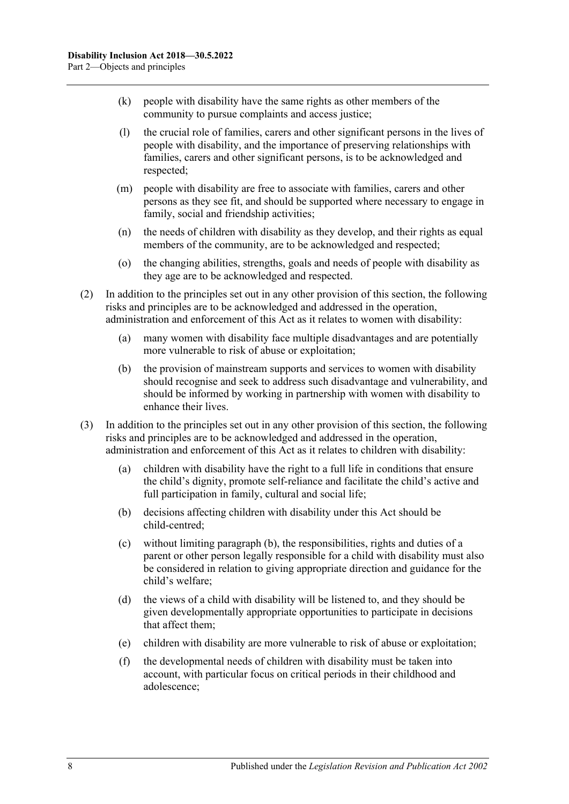- (k) people with disability have the same rights as other members of the community to pursue complaints and access justice;
- (l) the crucial role of families, carers and other significant persons in the lives of people with disability, and the importance of preserving relationships with families, carers and other significant persons, is to be acknowledged and respected;
- (m) people with disability are free to associate with families, carers and other persons as they see fit, and should be supported where necessary to engage in family, social and friendship activities;
- (n) the needs of children with disability as they develop, and their rights as equal members of the community, are to be acknowledged and respected;
- (o) the changing abilities, strengths, goals and needs of people with disability as they age are to be acknowledged and respected.
- (2) In addition to the principles set out in any other provision of this section, the following risks and principles are to be acknowledged and addressed in the operation, administration and enforcement of this Act as it relates to women with disability:
	- (a) many women with disability face multiple disadvantages and are potentially more vulnerable to risk of abuse or exploitation;
	- (b) the provision of mainstream supports and services to women with disability should recognise and seek to address such disadvantage and vulnerability, and should be informed by working in partnership with women with disability to enhance their lives.
- <span id="page-7-0"></span>(3) In addition to the principles set out in any other provision of this section, the following risks and principles are to be acknowledged and addressed in the operation, administration and enforcement of this Act as it relates to children with disability:
	- (a) children with disability have the right to a full life in conditions that ensure the child's dignity, promote self-reliance and facilitate the child's active and full participation in family, cultural and social life;
	- (b) decisions affecting children with disability under this Act should be child-centred;
	- (c) without limiting [paragraph](#page-7-0) (b), the responsibilities, rights and duties of a parent or other person legally responsible for a child with disability must also be considered in relation to giving appropriate direction and guidance for the child's welfare;
	- (d) the views of a child with disability will be listened to, and they should be given developmentally appropriate opportunities to participate in decisions that affect them;
	- (e) children with disability are more vulnerable to risk of abuse or exploitation;
	- (f) the developmental needs of children with disability must be taken into account, with particular focus on critical periods in their childhood and adolescence;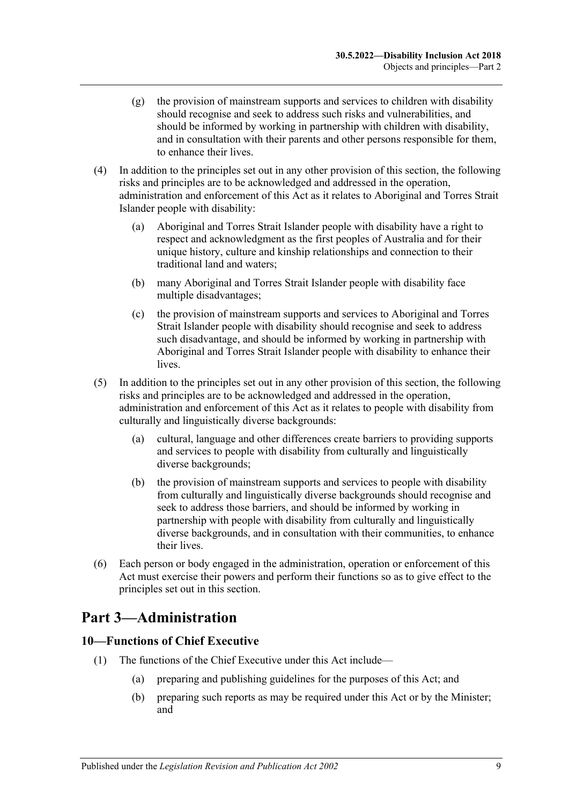- (g) the provision of mainstream supports and services to children with disability should recognise and seek to address such risks and vulnerabilities, and should be informed by working in partnership with children with disability, and in consultation with their parents and other persons responsible for them, to enhance their lives.
- (4) In addition to the principles set out in any other provision of this section, the following risks and principles are to be acknowledged and addressed in the operation, administration and enforcement of this Act as it relates to Aboriginal and Torres Strait Islander people with disability:
	- (a) Aboriginal and Torres Strait Islander people with disability have a right to respect and acknowledgment as the first peoples of Australia and for their unique history, culture and kinship relationships and connection to their traditional land and waters;
	- (b) many Aboriginal and Torres Strait Islander people with disability face multiple disadvantages;
	- (c) the provision of mainstream supports and services to Aboriginal and Torres Strait Islander people with disability should recognise and seek to address such disadvantage, and should be informed by working in partnership with Aboriginal and Torres Strait Islander people with disability to enhance their lives.
- (5) In addition to the principles set out in any other provision of this section, the following risks and principles are to be acknowledged and addressed in the operation, administration and enforcement of this Act as it relates to people with disability from culturally and linguistically diverse backgrounds:
	- (a) cultural, language and other differences create barriers to providing supports and services to people with disability from culturally and linguistically diverse backgrounds;
	- (b) the provision of mainstream supports and services to people with disability from culturally and linguistically diverse backgrounds should recognise and seek to address those barriers, and should be informed by working in partnership with people with disability from culturally and linguistically diverse backgrounds, and in consultation with their communities, to enhance their lives.
- (6) Each person or body engaged in the administration, operation or enforcement of this Act must exercise their powers and perform their functions so as to give effect to the principles set out in this section.

## <span id="page-8-0"></span>**Part 3—Administration**

## <span id="page-8-1"></span>**10—Functions of Chief Executive**

- (1) The functions of the Chief Executive under this Act include—
	- (a) preparing and publishing guidelines for the purposes of this Act; and
	- (b) preparing such reports as may be required under this Act or by the Minister; and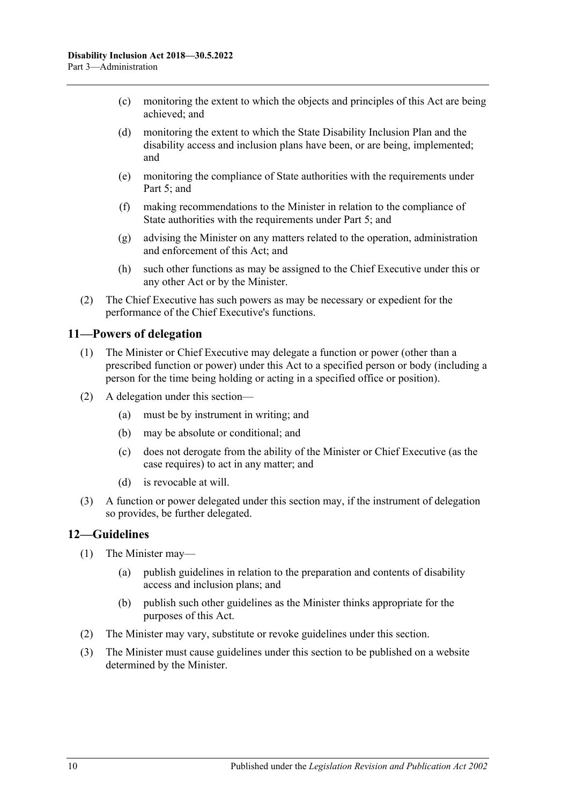- (c) monitoring the extent to which the objects and principles of this Act are being achieved; and
- (d) monitoring the extent to which the State Disability Inclusion Plan and the disability access and inclusion plans have been, or are being, implemented; and
- (e) monitoring the compliance of State authorities with the requirements under [Part](#page-11-2) 5; and
- (f) making recommendations to the Minister in relation to the compliance of State authorities with the requirements under [Part](#page-11-2) 5; and
- (g) advising the Minister on any matters related to the operation, administration and enforcement of this Act; and
- (h) such other functions as may be assigned to the Chief Executive under this or any other Act or by the Minister.
- (2) The Chief Executive has such powers as may be necessary or expedient for the performance of the Chief Executive's functions.

#### <span id="page-9-0"></span>**11—Powers of delegation**

- (1) The Minister or Chief Executive may delegate a function or power (other than a prescribed function or power) under this Act to a specified person or body (including a person for the time being holding or acting in a specified office or position).
- (2) A delegation under this section—
	- (a) must be by instrument in writing; and
	- (b) may be absolute or conditional; and
	- (c) does not derogate from the ability of the Minister or Chief Executive (as the case requires) to act in any matter; and
	- (d) is revocable at will.
- (3) A function or power delegated under this section may, if the instrument of delegation so provides, be further delegated.

#### <span id="page-9-1"></span>**12—Guidelines**

- <span id="page-9-2"></span>(1) The Minister may—
	- (a) publish guidelines in relation to the preparation and contents of disability access and inclusion plans; and
	- (b) publish such other guidelines as the Minister thinks appropriate for the purposes of this Act.
- (2) The Minister may vary, substitute or revoke guidelines under this section.
- (3) The Minister must cause guidelines under this section to be published on a website determined by the Minister.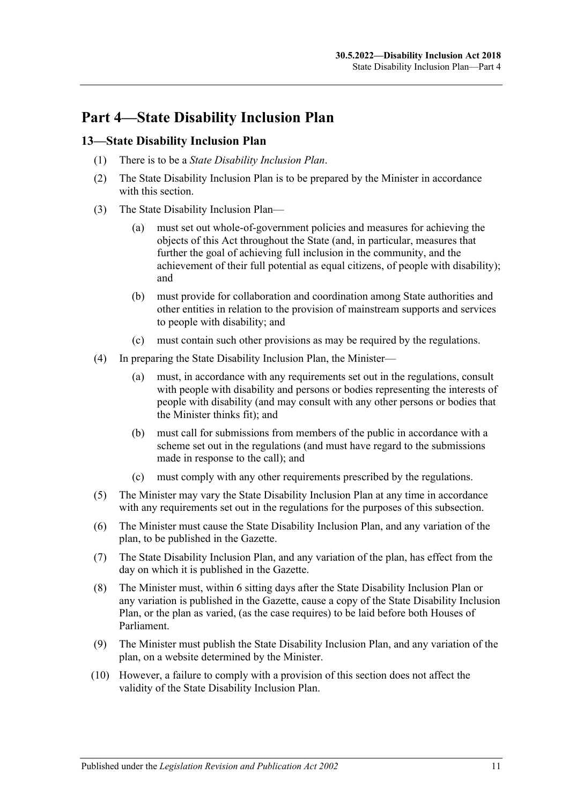## <span id="page-10-0"></span>**Part 4—State Disability Inclusion Plan**

### <span id="page-10-1"></span>**13—State Disability Inclusion Plan**

- (1) There is to be a *State Disability Inclusion Plan*.
- (2) The State Disability Inclusion Plan is to be prepared by the Minister in accordance with this section.
- (3) The State Disability Inclusion Plan—
	- (a) must set out whole-of-government policies and measures for achieving the objects of this Act throughout the State (and, in particular, measures that further the goal of achieving full inclusion in the community, and the achievement of their full potential as equal citizens, of people with disability); and
	- (b) must provide for collaboration and coordination among State authorities and other entities in relation to the provision of mainstream supports and services to people with disability; and
	- (c) must contain such other provisions as may be required by the regulations.
- (4) In preparing the State Disability Inclusion Plan, the Minister—
	- (a) must, in accordance with any requirements set out in the regulations, consult with people with disability and persons or bodies representing the interests of people with disability (and may consult with any other persons or bodies that the Minister thinks fit); and
	- (b) must call for submissions from members of the public in accordance with a scheme set out in the regulations (and must have regard to the submissions made in response to the call); and
	- (c) must comply with any other requirements prescribed by the regulations.
- (5) The Minister may vary the State Disability Inclusion Plan at any time in accordance with any requirements set out in the regulations for the purposes of this subsection.
- (6) The Minister must cause the State Disability Inclusion Plan, and any variation of the plan, to be published in the Gazette.
- (7) The State Disability Inclusion Plan, and any variation of the plan, has effect from the day on which it is published in the Gazette.
- (8) The Minister must, within 6 sitting days after the State Disability Inclusion Plan or any variation is published in the Gazette, cause a copy of the State Disability Inclusion Plan, or the plan as varied, (as the case requires) to be laid before both Houses of Parliament.
- (9) The Minister must publish the State Disability Inclusion Plan, and any variation of the plan, on a website determined by the Minister.
- (10) However, a failure to comply with a provision of this section does not affect the validity of the State Disability Inclusion Plan.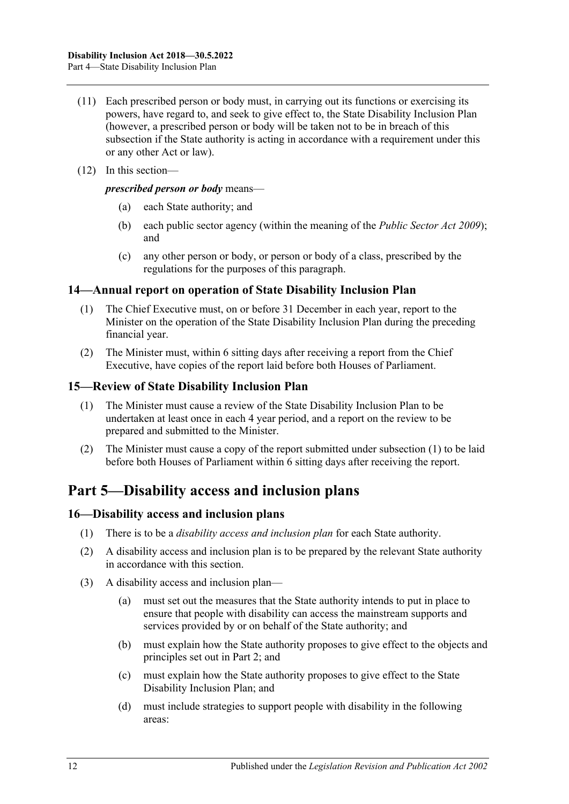- (11) Each prescribed person or body must, in carrying out its functions or exercising its powers, have regard to, and seek to give effect to, the State Disability Inclusion Plan (however, a prescribed person or body will be taken not to be in breach of this subsection if the State authority is acting in accordance with a requirement under this or any other Act or law).
- (12) In this section—

*prescribed person or body* means—

- (a) each State authority; and
- (b) each public sector agency (within the meaning of the *[Public Sector Act](http://www.legislation.sa.gov.au/index.aspx?action=legref&type=act&legtitle=Public%20Sector%20Act%202009) 2009*); and
- (c) any other person or body, or person or body of a class, prescribed by the regulations for the purposes of this paragraph.

#### <span id="page-11-5"></span><span id="page-11-0"></span>**14—Annual report on operation of State Disability Inclusion Plan**

- (1) The Chief Executive must, on or before 31 December in each year, report to the Minister on the operation of the State Disability Inclusion Plan during the preceding financial year.
- (2) The Minister must, within 6 sitting days after receiving a report from the Chief Executive, have copies of the report laid before both Houses of Parliament.

#### <span id="page-11-4"></span><span id="page-11-1"></span>**15—Review of State Disability Inclusion Plan**

- (1) The Minister must cause a review of the State Disability Inclusion Plan to be undertaken at least once in each 4 year period, and a report on the review to be prepared and submitted to the Minister.
- (2) The Minister must cause a copy of the report submitted under [subsection](#page-11-4) (1) to be laid before both Houses of Parliament within 6 sitting days after receiving the report.

## <span id="page-11-2"></span>**Part 5—Disability access and inclusion plans**

#### <span id="page-11-3"></span>**16—Disability access and inclusion plans**

- (1) There is to be a *disability access and inclusion plan* for each State authority.
- (2) A disability access and inclusion plan is to be prepared by the relevant State authority in accordance with this section.
- (3) A disability access and inclusion plan—
	- (a) must set out the measures that the State authority intends to put in place to ensure that people with disability can access the mainstream supports and services provided by or on behalf of the State authority; and
	- (b) must explain how the State authority proposes to give effect to the objects and principles set out in [Part](#page-5-3) 2; and
	- (c) must explain how the State authority proposes to give effect to the State Disability Inclusion Plan; and
	- (d) must include strategies to support people with disability in the following areas: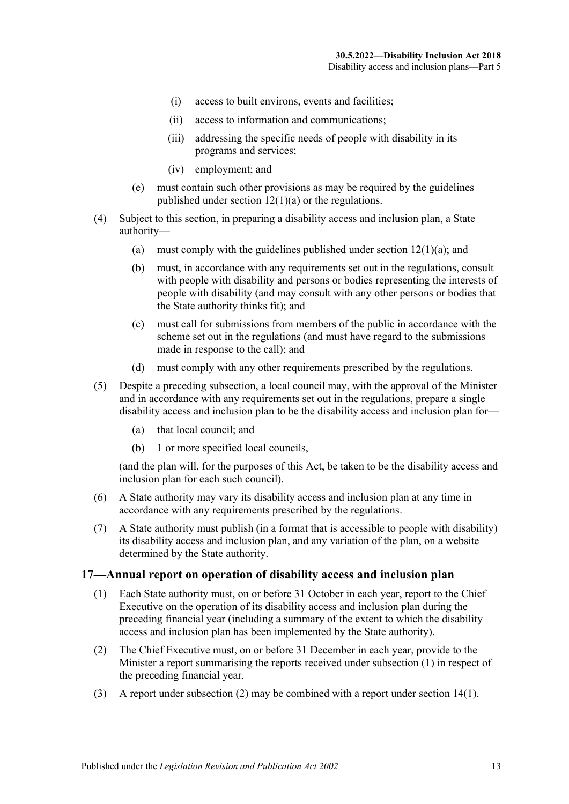- (i) access to built environs, events and facilities;
- (ii) access to information and communications;
- (iii) addressing the specific needs of people with disability in its programs and services;
- (iv) employment; and
- (e) must contain such other provisions as may be required by the guidelines published under section [12\(1\)\(a\)](#page-9-2) or the regulations.
- (4) Subject to this section, in preparing a disability access and inclusion plan, a State authority—
	- (a) must comply with the guidelines published under section  $12(1)(a)$ ; and
	- (b) must, in accordance with any requirements set out in the regulations, consult with people with disability and persons or bodies representing the interests of people with disability (and may consult with any other persons or bodies that the State authority thinks fit); and
	- (c) must call for submissions from members of the public in accordance with the scheme set out in the regulations (and must have regard to the submissions made in response to the call); and
	- (d) must comply with any other requirements prescribed by the regulations.
- (5) Despite a preceding subsection, a local council may, with the approval of the Minister and in accordance with any requirements set out in the regulations, prepare a single disability access and inclusion plan to be the disability access and inclusion plan for—
	- (a) that local council; and
	- (b) 1 or more specified local councils,

(and the plan will, for the purposes of this Act, be taken to be the disability access and inclusion plan for each such council).

- (6) A State authority may vary its disability access and inclusion plan at any time in accordance with any requirements prescribed by the regulations.
- (7) A State authority must publish (in a format that is accessible to people with disability) its disability access and inclusion plan, and any variation of the plan, on a website determined by the State authority.

#### <span id="page-12-1"></span><span id="page-12-0"></span>**17—Annual report on operation of disability access and inclusion plan**

- (1) Each State authority must, on or before 31 October in each year, report to the Chief Executive on the operation of its disability access and inclusion plan during the preceding financial year (including a summary of the extent to which the disability access and inclusion plan has been implemented by the State authority).
- <span id="page-12-2"></span>(2) The Chief Executive must, on or before 31 December in each year, provide to the Minister a report summarising the reports received under [subsection](#page-12-1) (1) in respect of the preceding financial year.
- (3) A report under [subsection](#page-12-2) (2) may be combined with a report under [section](#page-11-5) 14(1).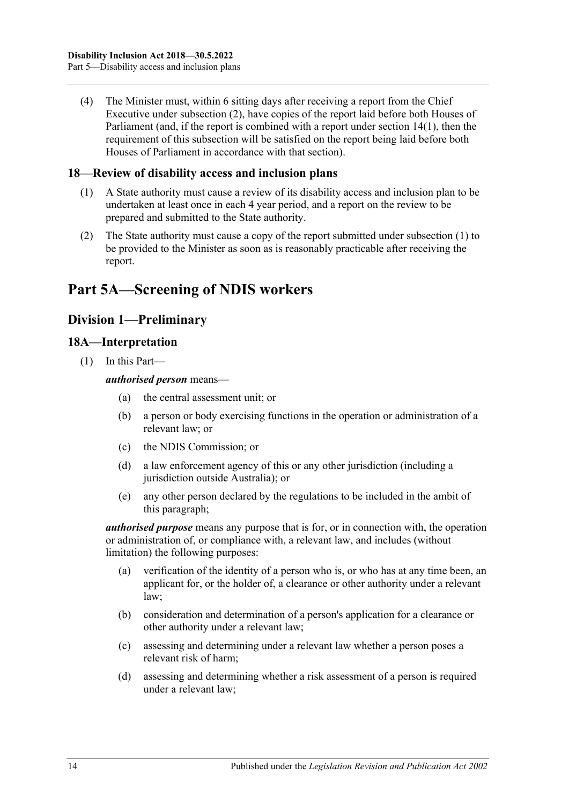(4) The Minister must, within 6 sitting days after receiving a report from the Chief Executive under [subsection](#page-12-2) (2), have copies of the report laid before both Houses of Parliament (and, if the report is combined with a report under [section](#page-11-5) 14(1), then the requirement of this subsection will be satisfied on the report being laid before both Houses of Parliament in accordance with that section).

## <span id="page-13-4"></span><span id="page-13-0"></span>**18—Review of disability access and inclusion plans**

- (1) A State authority must cause a review of its disability access and inclusion plan to be undertaken at least once in each 4 year period, and a report on the review to be prepared and submitted to the State authority.
- (2) The State authority must cause a copy of the report submitted under [subsection](#page-13-4) (1) to be provided to the Minister as soon as is reasonably practicable after receiving the report.

## <span id="page-13-1"></span>**Part 5A—Screening of NDIS workers**

## <span id="page-13-2"></span>**Division 1—Preliminary**

## <span id="page-13-3"></span>**18A—Interpretation**

(1) In this Part—

#### *authorised person* means—

- (a) the central assessment unit; or
- (b) a person or body exercising functions in the operation or administration of a relevant law; or
- (c) the NDIS Commission; or
- (d) a law enforcement agency of this or any other jurisdiction (including a jurisdiction outside Australia); or
- (e) any other person declared by the regulations to be included in the ambit of this paragraph;

*authorised purpose* means any purpose that is for, or in connection with, the operation or administration of, or compliance with, a relevant law, and includes (without limitation) the following purposes:

- (a) verification of the identity of a person who is, or who has at any time been, an applicant for, or the holder of, a clearance or other authority under a relevant law;
- (b) consideration and determination of a person's application for a clearance or other authority under a relevant law;
- (c) assessing and determining under a relevant law whether a person poses a relevant risk of harm;
- (d) assessing and determining whether a risk assessment of a person is required under a relevant law;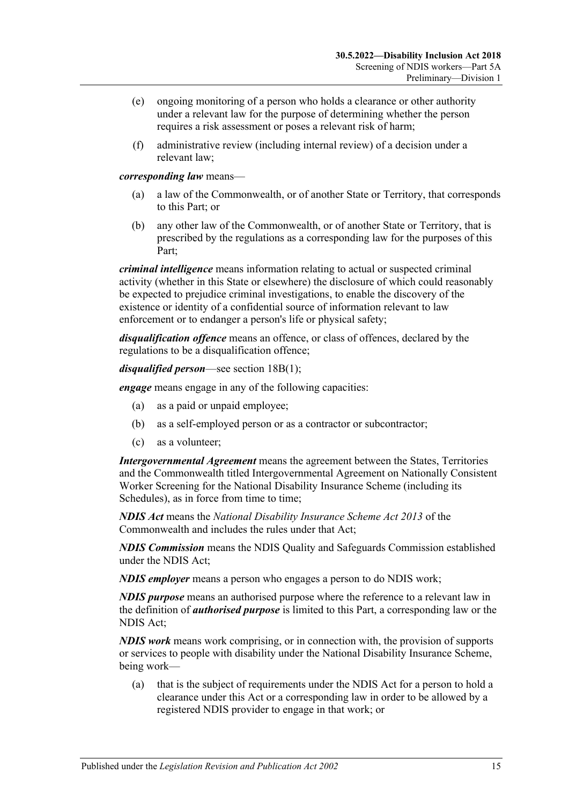- (e) ongoing monitoring of a person who holds a clearance or other authority under a relevant law for the purpose of determining whether the person requires a risk assessment or poses a relevant risk of harm;
- (f) administrative review (including internal review) of a decision under a relevant law;

*corresponding law* means—

- (a) a law of the Commonwealth, or of another State or Territory, that corresponds to this Part; or
- (b) any other law of the Commonwealth, or of another State or Territory, that is prescribed by the regulations as a corresponding law for the purposes of this Part;

*criminal intelligence* means information relating to actual or suspected criminal activity (whether in this State or elsewhere) the disclosure of which could reasonably be expected to prejudice criminal investigations, to enable the discovery of the existence or identity of a confidential source of information relevant to law enforcement or to endanger a person's life or physical safety;

*disqualification offence* means an offence, or class of offences, declared by the regulations to be a disqualification offence;

*disqualified person*—see section [18B\(1\);](#page-17-1)

*engage* means engage in any of the following capacities:

- (a) as a paid or unpaid employee;
- (b) as a self-employed person or as a contractor or subcontractor;
- (c) as a volunteer;

*Intergovernmental Agreement* means the agreement between the States, Territories and the Commonwealth titled Intergovernmental Agreement on Nationally Consistent Worker Screening for the National Disability Insurance Scheme (including its Schedules), as in force from time to time;

*NDIS Act* means the *National Disability Insurance Scheme Act 2013* of the Commonwealth and includes the rules under that Act;

*NDIS Commission* means the NDIS Quality and Safeguards Commission established under the NDIS Act;

*NDIS employer* means a person who engages a person to do NDIS work;

*NDIS purpose* means an authorised purpose where the reference to a relevant law in the definition of *authorised purpose* is limited to this Part, a corresponding law or the NDIS Act;

*NDIS work* means work comprising, or in connection with, the provision of supports or services to people with disability under the National Disability Insurance Scheme, being work—

(a) that is the subject of requirements under the NDIS Act for a person to hold a clearance under this Act or a corresponding law in order to be allowed by a registered NDIS provider to engage in that work; or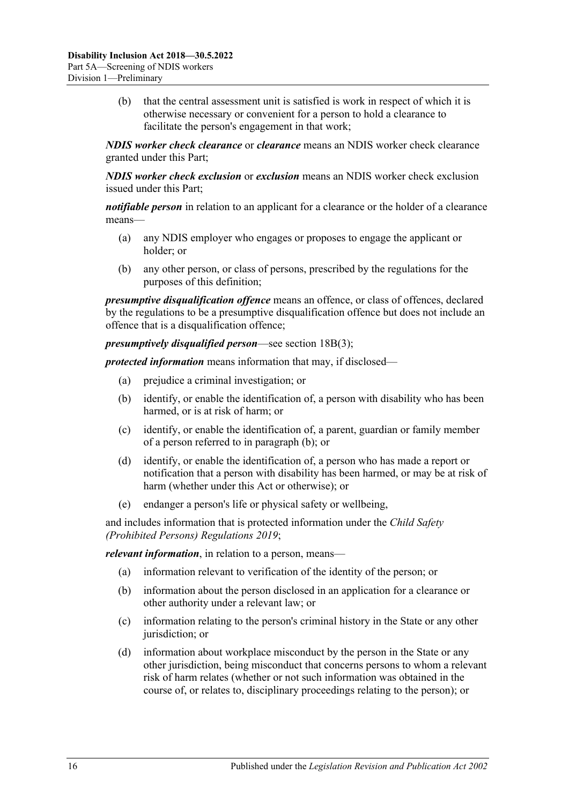(b) that the central assessment unit is satisfied is work in respect of which it is otherwise necessary or convenient for a person to hold a clearance to facilitate the person's engagement in that work;

*NDIS worker check clearance* or *clearance* means an NDIS worker check clearance granted under this Part;

*NDIS worker check exclusion* or *exclusion* means an NDIS worker check exclusion issued under this Part;

*notifiable person* in relation to an applicant for a clearance or the holder of a clearance means—

- (a) any NDIS employer who engages or proposes to engage the applicant or holder; or
- (b) any other person, or class of persons, prescribed by the regulations for the purposes of this definition;

*presumptive disqualification offence* means an offence, or class of offences, declared by the regulations to be a presumptive disqualification offence but does not include an offence that is a disqualification offence;

*presumptively disqualified person*—see [section](#page-17-2) 18B(3);

<span id="page-15-0"></span>*protected information* means information that may, if disclosed—

- (a) prejudice a criminal investigation; or
- (b) identify, or enable the identification of, a person with disability who has been harmed, or is at risk of harm; or
- (c) identify, or enable the identification of, a parent, guardian or family member of a person referred to in [paragraph](#page-15-0) (b); or
- (d) identify, or enable the identification of, a person who has made a report or notification that a person with disability has been harmed, or may be at risk of harm (whether under this Act or otherwise); or
- (e) endanger a person's life or physical safety or wellbeing,

and includes information that is protected information under the *[Child Safety](http://www.legislation.sa.gov.au/index.aspx?action=legref&type=subordleg&legtitle=Child%20Safety%20(Prohibited%20Persons)%20Regulations%202019)  [\(Prohibited Persons\) Regulations](http://www.legislation.sa.gov.au/index.aspx?action=legref&type=subordleg&legtitle=Child%20Safety%20(Prohibited%20Persons)%20Regulations%202019) 2019*;

*relevant information*, in relation to a person, means—

- (a) information relevant to verification of the identity of the person; or
- (b) information about the person disclosed in an application for a clearance or other authority under a relevant law; or
- (c) information relating to the person's criminal history in the State or any other jurisdiction; or
- (d) information about workplace misconduct by the person in the State or any other jurisdiction, being misconduct that concerns persons to whom a relevant risk of harm relates (whether or not such information was obtained in the course of, or relates to, disciplinary proceedings relating to the person); or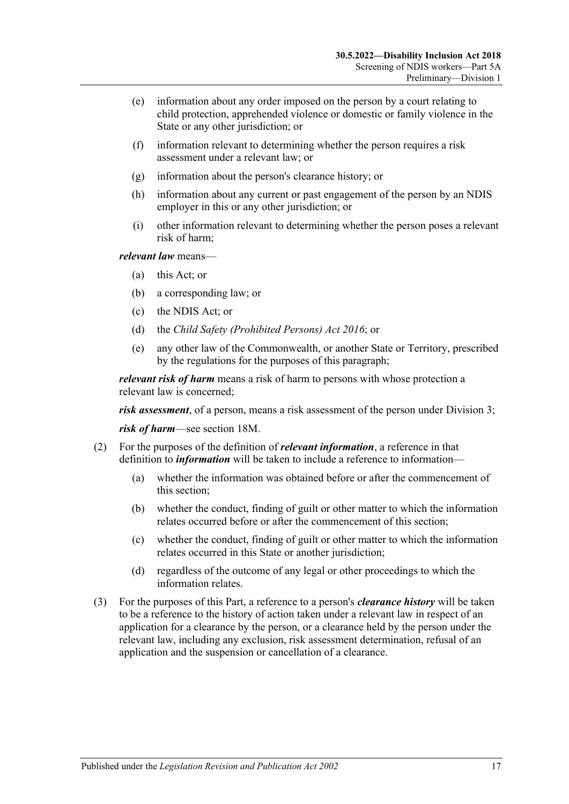- (e) information about any order imposed on the person by a court relating to child protection, apprehended violence or domestic or family violence in the State or any other jurisdiction; or
- (f) information relevant to determining whether the person requires a risk assessment under a relevant law; or
- (g) information about the person's clearance history; or
- (h) information about any current or past engagement of the person by an NDIS employer in this or any other jurisdiction; or
- (i) other information relevant to determining whether the person poses a relevant risk of harm;

*relevant law* means—

- (a) this Act; or
- (b) a corresponding law; or
- (c) the NDIS Act; or
- (d) the *[Child Safety \(Prohibited Persons\) Act](http://www.legislation.sa.gov.au/index.aspx?action=legref&type=act&legtitle=Child%20Safety%20(Prohibited%20Persons)%20Act%202016) 2016*; or
- (e) any other law of the Commonwealth, or another State or Territory, prescribed by the regulations for the purposes of this paragraph;

*relevant risk of harm* means a risk of harm to persons with whose protection a relevant law is concerned;

*risk assessment*, of a person, means a risk assessment of the person under [Division](#page-22-1) 3;

*risk of harm*—see [section](#page-22-2) 18M.

- (2) For the purposes of the definition of *relevant information*, a reference in that definition to *information* will be taken to include a reference to information—
	- (a) whether the information was obtained before or after the commencement of this section;
	- (b) whether the conduct, finding of guilt or other matter to which the information relates occurred before or after the commencement of this section;
	- (c) whether the conduct, finding of guilt or other matter to which the information relates occurred in this State or another jurisdiction;
	- (d) regardless of the outcome of any legal or other proceedings to which the information relates.
- (3) For the purposes of this Part, a reference to a person's *clearance history* will be taken to be a reference to the history of action taken under a relevant law in respect of an application for a clearance by the person, or a clearance held by the person under the relevant law, including any exclusion, risk assessment determination, refusal of an application and the suspension or cancellation of a clearance.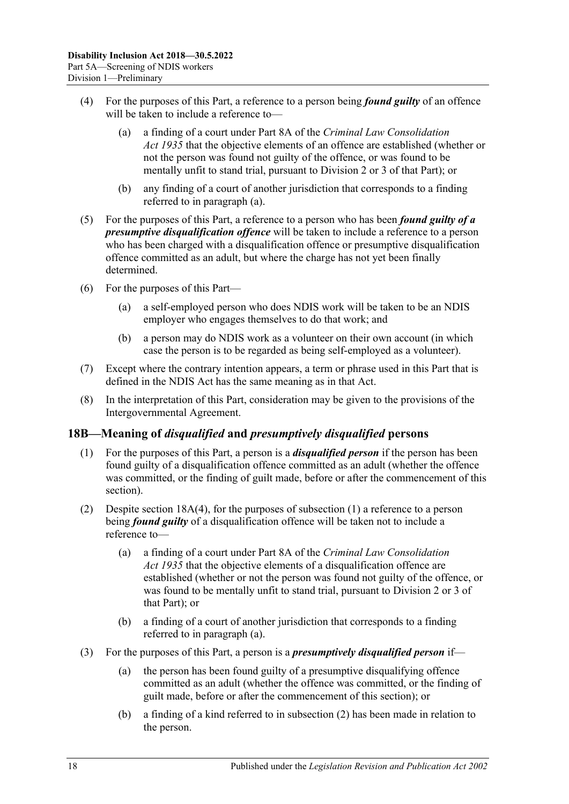- <span id="page-17-4"></span><span id="page-17-3"></span>(4) For the purposes of this Part, a reference to a person being *found guilty* of an offence will be taken to include a reference to—
	- (a) a finding of a court under Part 8A of the *[Criminal Law Consolidation](http://www.legislation.sa.gov.au/index.aspx?action=legref&type=act&legtitle=Criminal%20Law%20Consolidation%20Act%201935)  Act [1935](http://www.legislation.sa.gov.au/index.aspx?action=legref&type=act&legtitle=Criminal%20Law%20Consolidation%20Act%201935)* that the objective elements of an offence are established (whether or not the person was found not guilty of the offence, or was found to be mentally unfit to stand trial, pursuant to Division 2 or 3 of that Part); or
	- (b) any finding of a court of another jurisdiction that corresponds to a finding referred to in [paragraph](#page-17-3) (a).
- (5) For the purposes of this Part, a reference to a person who has been *found guilty of a presumptive disqualification offence* will be taken to include a reference to a person who has been charged with a disqualification offence or presumptive disqualification offence committed as an adult, but where the charge has not yet been finally determined.
- (6) For the purposes of this Part—
	- (a) a self-employed person who does NDIS work will be taken to be an NDIS employer who engages themselves to do that work; and
	- (b) a person may do NDIS work as a volunteer on their own account (in which case the person is to be regarded as being self-employed as a volunteer).
- (7) Except where the contrary intention appears, a term or phrase used in this Part that is defined in the NDIS Act has the same meaning as in that Act.
- (8) In the interpretation of this Part, consideration may be given to the provisions of the Intergovernmental Agreement.

#### <span id="page-17-1"></span><span id="page-17-0"></span>**18B—Meaning of** *disqualified* **and** *presumptively disqualified* **persons**

- (1) For the purposes of this Part, a person is a *disqualified person* if the person has been found guilty of a disqualification offence committed as an adult (whether the offence was committed, or the finding of guilt made, before or after the commencement of this section).
- <span id="page-17-6"></span><span id="page-17-5"></span>(2) Despite section [18A\(4\),](#page-17-4) for the purposes of [subsection](#page-17-1) (1) a reference to a person being *found guilty* of a disqualification offence will be taken not to include a reference to—
	- (a) a finding of a court under Part 8A of the *[Criminal Law Consolidation](http://www.legislation.sa.gov.au/index.aspx?action=legref&type=act&legtitle=Criminal%20Law%20Consolidation%20Act%201935)  Act [1935](http://www.legislation.sa.gov.au/index.aspx?action=legref&type=act&legtitle=Criminal%20Law%20Consolidation%20Act%201935)* that the objective elements of a disqualification offence are established (whether or not the person was found not guilty of the offence, or was found to be mentally unfit to stand trial, pursuant to Division 2 or 3 of that Part); or
	- (b) a finding of a court of another jurisdiction that corresponds to a finding referred to in [paragraph](#page-17-5) (a).
- <span id="page-17-2"></span>(3) For the purposes of this Part, a person is a *presumptively disqualified person* if—
	- (a) the person has been found guilty of a presumptive disqualifying offence committed as an adult (whether the offence was committed, or the finding of guilt made, before or after the commencement of this section); or
	- (b) a finding of a kind referred to in [subsection](#page-17-6) (2) has been made in relation to the person.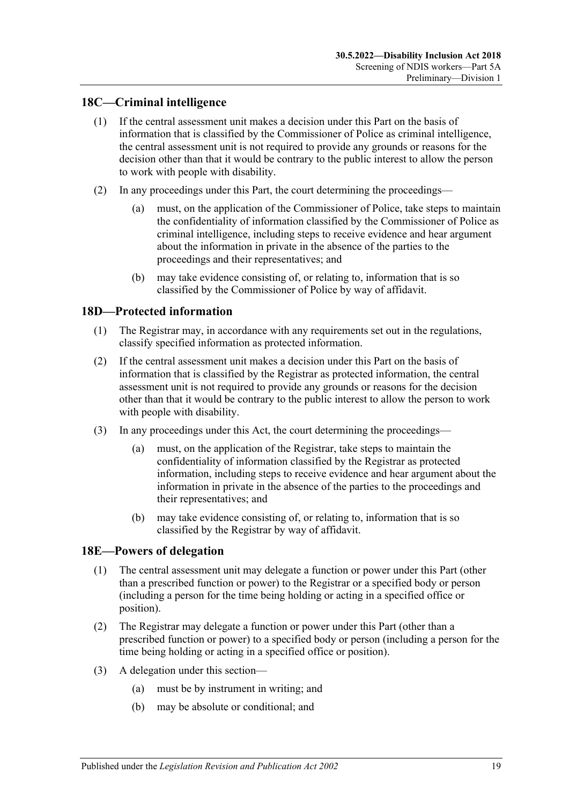## <span id="page-18-0"></span>**18C—Criminal intelligence**

- (1) If the central assessment unit makes a decision under this Part on the basis of information that is classified by the Commissioner of Police as criminal intelligence, the central assessment unit is not required to provide any grounds or reasons for the decision other than that it would be contrary to the public interest to allow the person to work with people with disability.
- (2) In any proceedings under this Part, the court determining the proceedings—
	- (a) must, on the application of the Commissioner of Police, take steps to maintain the confidentiality of information classified by the Commissioner of Police as criminal intelligence, including steps to receive evidence and hear argument about the information in private in the absence of the parties to the proceedings and their representatives; and
	- (b) may take evidence consisting of, or relating to, information that is so classified by the Commissioner of Police by way of affidavit.

## <span id="page-18-1"></span>**18D—Protected information**

- (1) The Registrar may, in accordance with any requirements set out in the regulations, classify specified information as protected information.
- (2) If the central assessment unit makes a decision under this Part on the basis of information that is classified by the Registrar as protected information, the central assessment unit is not required to provide any grounds or reasons for the decision other than that it would be contrary to the public interest to allow the person to work with people with disability.
- (3) In any proceedings under this Act, the court determining the proceedings—
	- (a) must, on the application of the Registrar, take steps to maintain the confidentiality of information classified by the Registrar as protected information, including steps to receive evidence and hear argument about the information in private in the absence of the parties to the proceedings and their representatives; and
	- (b) may take evidence consisting of, or relating to, information that is so classified by the Registrar by way of affidavit.

## <span id="page-18-2"></span>**18E—Powers of delegation**

- (1) The central assessment unit may delegate a function or power under this Part (other than a prescribed function or power) to the Registrar or a specified body or person (including a person for the time being holding or acting in a specified office or position).
- (2) The Registrar may delegate a function or power under this Part (other than a prescribed function or power) to a specified body or person (including a person for the time being holding or acting in a specified office or position).
- (3) A delegation under this section—
	- (a) must be by instrument in writing; and
	- (b) may be absolute or conditional; and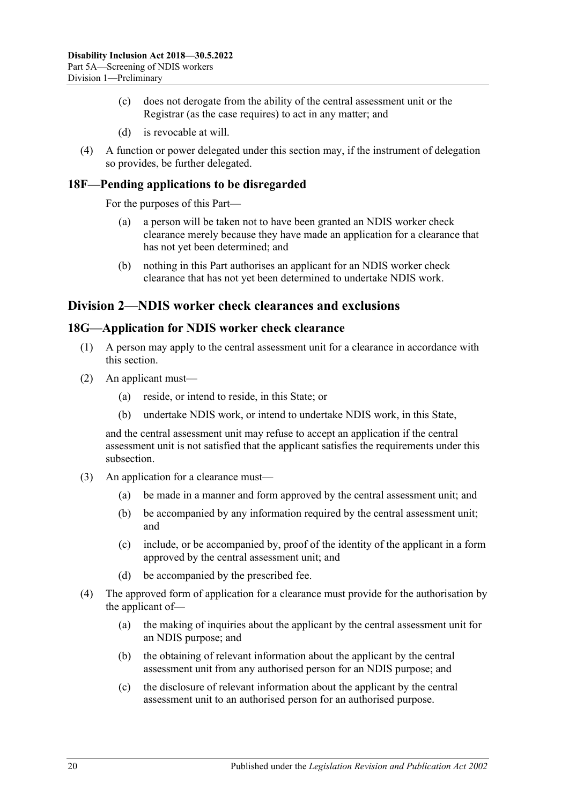- (c) does not derogate from the ability of the central assessment unit or the Registrar (as the case requires) to act in any matter; and
- (d) is revocable at will.
- (4) A function or power delegated under this section may, if the instrument of delegation so provides, be further delegated.

#### <span id="page-19-0"></span>**18F—Pending applications to be disregarded**

For the purposes of this Part—

- (a) a person will be taken not to have been granted an NDIS worker check clearance merely because they have made an application for a clearance that has not yet been determined; and
- (b) nothing in this Part authorises an applicant for an NDIS worker check clearance that has not yet been determined to undertake NDIS work.

## <span id="page-19-1"></span>**Division 2—NDIS worker check clearances and exclusions**

#### <span id="page-19-2"></span>**18G—Application for NDIS worker check clearance**

- (1) A person may apply to the central assessment unit for a clearance in accordance with this section.
- (2) An applicant must—
	- (a) reside, or intend to reside, in this State; or
	- (b) undertake NDIS work, or intend to undertake NDIS work, in this State,

and the central assessment unit may refuse to accept an application if the central assessment unit is not satisfied that the applicant satisfies the requirements under this subsection.

- (3) An application for a clearance must—
	- (a) be made in a manner and form approved by the central assessment unit; and
	- (b) be accompanied by any information required by the central assessment unit; and
	- (c) include, or be accompanied by, proof of the identity of the applicant in a form approved by the central assessment unit; and
	- (d) be accompanied by the prescribed fee.
- (4) The approved form of application for a clearance must provide for the authorisation by the applicant of—
	- (a) the making of inquiries about the applicant by the central assessment unit for an NDIS purpose; and
	- (b) the obtaining of relevant information about the applicant by the central assessment unit from any authorised person for an NDIS purpose; and
	- (c) the disclosure of relevant information about the applicant by the central assessment unit to an authorised person for an authorised purpose.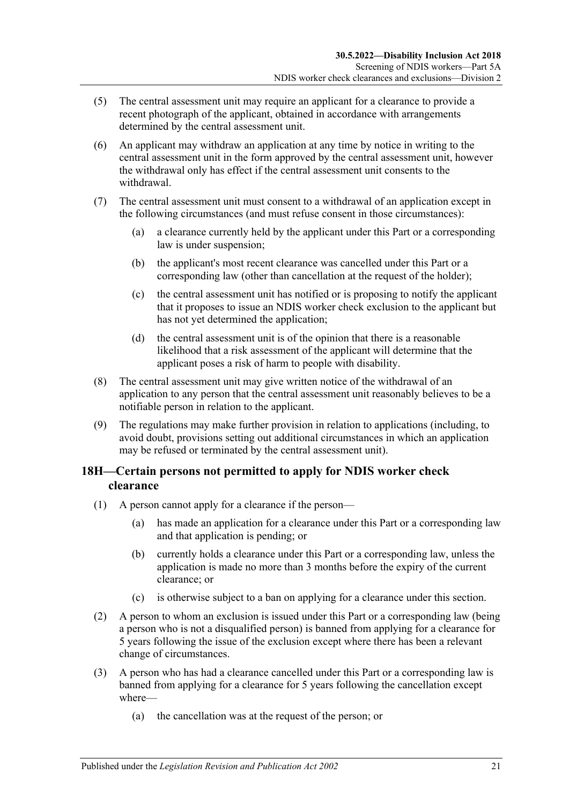- (5) The central assessment unit may require an applicant for a clearance to provide a recent photograph of the applicant, obtained in accordance with arrangements determined by the central assessment unit.
- (6) An applicant may withdraw an application at any time by notice in writing to the central assessment unit in the form approved by the central assessment unit, however the withdrawal only has effect if the central assessment unit consents to the withdrawal.
- (7) The central assessment unit must consent to a withdrawal of an application except in the following circumstances (and must refuse consent in those circumstances):
	- (a) a clearance currently held by the applicant under this Part or a corresponding law is under suspension;
	- (b) the applicant's most recent clearance was cancelled under this Part or a corresponding law (other than cancellation at the request of the holder);
	- (c) the central assessment unit has notified or is proposing to notify the applicant that it proposes to issue an NDIS worker check exclusion to the applicant but has not yet determined the application;
	- (d) the central assessment unit is of the opinion that there is a reasonable likelihood that a risk assessment of the applicant will determine that the applicant poses a risk of harm to people with disability.
- (8) The central assessment unit may give written notice of the withdrawal of an application to any person that the central assessment unit reasonably believes to be a notifiable person in relation to the applicant.
- (9) The regulations may make further provision in relation to applications (including, to avoid doubt, provisions setting out additional circumstances in which an application may be refused or terminated by the central assessment unit).

## <span id="page-20-0"></span>**18H—Certain persons not permitted to apply for NDIS worker check clearance**

- (1) A person cannot apply for a clearance if the person—
	- (a) has made an application for a clearance under this Part or a corresponding law and that application is pending; or
	- (b) currently holds a clearance under this Part or a corresponding law, unless the application is made no more than 3 months before the expiry of the current clearance; or
	- (c) is otherwise subject to a ban on applying for a clearance under this section.
- (2) A person to whom an exclusion is issued under this Part or a corresponding law (being a person who is not a disqualified person) is banned from applying for a clearance for 5 years following the issue of the exclusion except where there has been a relevant change of circumstances.
- (3) A person who has had a clearance cancelled under this Part or a corresponding law is banned from applying for a clearance for 5 years following the cancellation except where—
	- (a) the cancellation was at the request of the person; or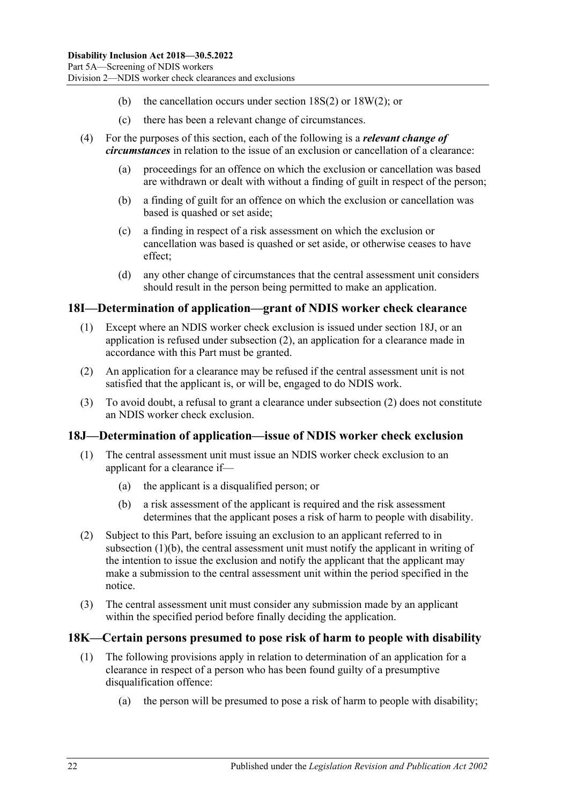- (b) the cancellation occurs under [section](#page-25-2) 18S(2) or [18W\(2\);](#page-26-6) or
- (c) there has been a relevant change of circumstances.
- (4) For the purposes of this section, each of the following is a *relevant change of circumstances* in relation to the issue of an exclusion or cancellation of a clearance:
	- (a) proceedings for an offence on which the exclusion or cancellation was based are withdrawn or dealt with without a finding of guilt in respect of the person;
	- (b) a finding of guilt for an offence on which the exclusion or cancellation was based is quashed or set aside;
	- (c) a finding in respect of a risk assessment on which the exclusion or cancellation was based is quashed or set aside, or otherwise ceases to have effect;
	- (d) any other change of circumstances that the central assessment unit considers should result in the person being permitted to make an application.

#### <span id="page-21-0"></span>**18I—Determination of application—grant of NDIS worker check clearance**

- (1) Except where an NDIS worker check exclusion is issued under [section](#page-21-1) 18J, or an application is refused under [subsection](#page-21-3) (2), an application for a clearance made in accordance with this Part must be granted.
- <span id="page-21-3"></span>(2) An application for a clearance may be refused if the central assessment unit is not satisfied that the applicant is, or will be, engaged to do NDIS work.
- (3) To avoid doubt, a refusal to grant a clearance under [subsection](#page-21-3) (2) does not constitute an NDIS worker check exclusion.

#### <span id="page-21-1"></span>**18J—Determination of application—issue of NDIS worker check exclusion**

- (1) The central assessment unit must issue an NDIS worker check exclusion to an applicant for a clearance if—
	- (a) the applicant is a disqualified person; or
	- (b) a risk assessment of the applicant is required and the risk assessment determines that the applicant poses a risk of harm to people with disability.
- <span id="page-21-4"></span>(2) Subject to this Part, before issuing an exclusion to an applicant referred to in [subsection](#page-21-4) (1)(b), the central assessment unit must notify the applicant in writing of the intention to issue the exclusion and notify the applicant that the applicant may make a submission to the central assessment unit within the period specified in the notice.
- (3) The central assessment unit must consider any submission made by an applicant within the specified period before finally deciding the application.

#### <span id="page-21-2"></span>**18K—Certain persons presumed to pose risk of harm to people with disability**

- (1) The following provisions apply in relation to determination of an application for a clearance in respect of a person who has been found guilty of a presumptive disqualification offence:
	- (a) the person will be presumed to pose a risk of harm to people with disability;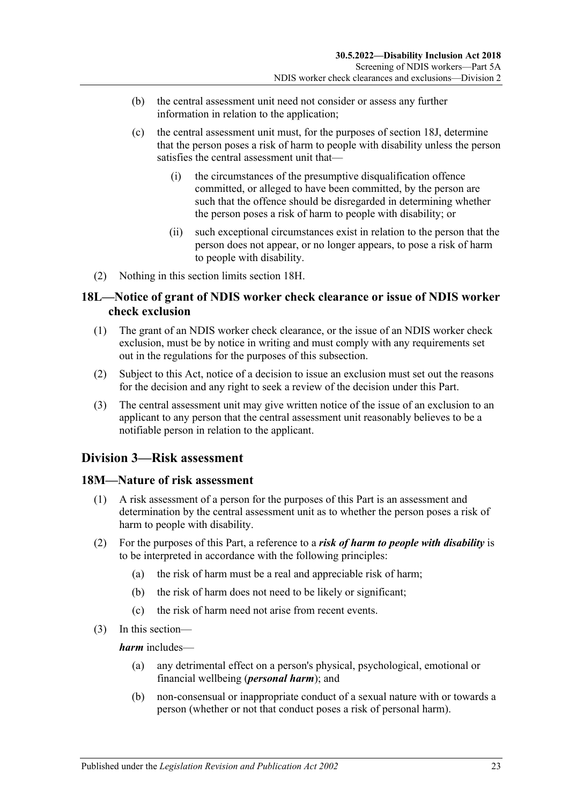- (b) the central assessment unit need not consider or assess any further information in relation to the application;
- (c) the central assessment unit must, for the purposes of [section](#page-21-1) 18J, determine that the person poses a risk of harm to people with disability unless the person satisfies the central assessment unit that—
	- (i) the circumstances of the presumptive disqualification offence committed, or alleged to have been committed, by the person are such that the offence should be disregarded in determining whether the person poses a risk of harm to people with disability; or
	- (ii) such exceptional circumstances exist in relation to the person that the person does not appear, or no longer appears, to pose a risk of harm to people with disability.
- (2) Nothing in this section limits [section](#page-20-0) 18H.

## <span id="page-22-0"></span>**18L—Notice of grant of NDIS worker check clearance or issue of NDIS worker check exclusion**

- (1) The grant of an NDIS worker check clearance, or the issue of an NDIS worker check exclusion, must be by notice in writing and must comply with any requirements set out in the regulations for the purposes of this subsection.
- (2) Subject to this Act, notice of a decision to issue an exclusion must set out the reasons for the decision and any right to seek a review of the decision under this Part.
- (3) The central assessment unit may give written notice of the issue of an exclusion to an applicant to any person that the central assessment unit reasonably believes to be a notifiable person in relation to the applicant.

## <span id="page-22-1"></span>**Division 3—Risk assessment**

#### <span id="page-22-2"></span>**18M—Nature of risk assessment**

- (1) A risk assessment of a person for the purposes of this Part is an assessment and determination by the central assessment unit as to whether the person poses a risk of harm to people with disability.
- (2) For the purposes of this Part, a reference to a *risk of harm to people with disability* is to be interpreted in accordance with the following principles:
	- (a) the risk of harm must be a real and appreciable risk of harm;
	- (b) the risk of harm does not need to be likely or significant;
	- (c) the risk of harm need not arise from recent events.
- (3) In this section—

*harm* includes—

- (a) any detrimental effect on a person's physical, psychological, emotional or financial wellbeing (*personal harm*); and
- (b) non-consensual or inappropriate conduct of a sexual nature with or towards a person (whether or not that conduct poses a risk of personal harm).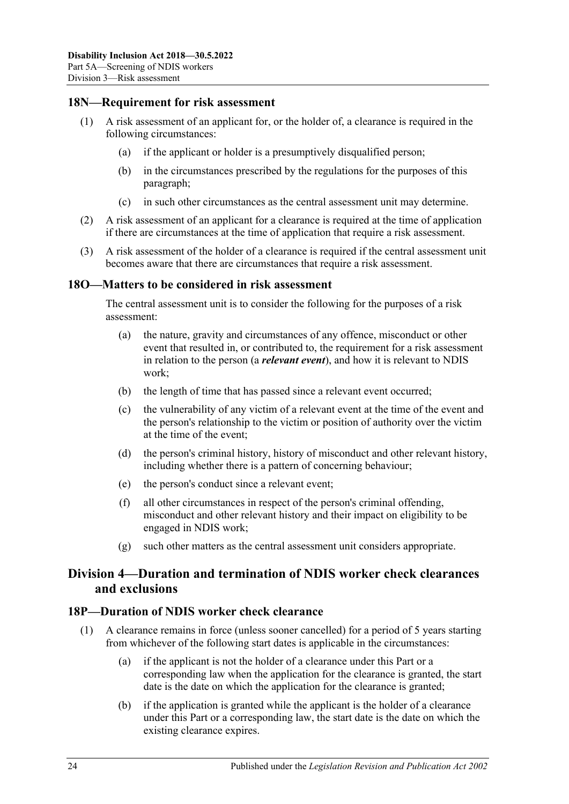#### <span id="page-23-0"></span>**18N—Requirement for risk assessment**

- (1) A risk assessment of an applicant for, or the holder of, a clearance is required in the following circumstances:
	- (a) if the applicant or holder is a presumptively disqualified person;
	- (b) in the circumstances prescribed by the regulations for the purposes of this paragraph;
	- (c) in such other circumstances as the central assessment unit may determine.
- (2) A risk assessment of an applicant for a clearance is required at the time of application if there are circumstances at the time of application that require a risk assessment.
- (3) A risk assessment of the holder of a clearance is required if the central assessment unit becomes aware that there are circumstances that require a risk assessment.

#### <span id="page-23-1"></span>**18O—Matters to be considered in risk assessment**

The central assessment unit is to consider the following for the purposes of a risk assessment:

- (a) the nature, gravity and circumstances of any offence, misconduct or other event that resulted in, or contributed to, the requirement for a risk assessment in relation to the person (a *relevant event*), and how it is relevant to NDIS work;
- (b) the length of time that has passed since a relevant event occurred;
- (c) the vulnerability of any victim of a relevant event at the time of the event and the person's relationship to the victim or position of authority over the victim at the time of the event;
- (d) the person's criminal history, history of misconduct and other relevant history, including whether there is a pattern of concerning behaviour;
- (e) the person's conduct since a relevant event;
- (f) all other circumstances in respect of the person's criminal offending, misconduct and other relevant history and their impact on eligibility to be engaged in NDIS work;
- (g) such other matters as the central assessment unit considers appropriate.

## <span id="page-23-2"></span>**Division 4—Duration and termination of NDIS worker check clearances and exclusions**

#### <span id="page-23-3"></span>**18P—Duration of NDIS worker check clearance**

- (1) A clearance remains in force (unless sooner cancelled) for a period of 5 years starting from whichever of the following start dates is applicable in the circumstances:
	- (a) if the applicant is not the holder of a clearance under this Part or a corresponding law when the application for the clearance is granted, the start date is the date on which the application for the clearance is granted;
	- (b) if the application is granted while the applicant is the holder of a clearance under this Part or a corresponding law, the start date is the date on which the existing clearance expires.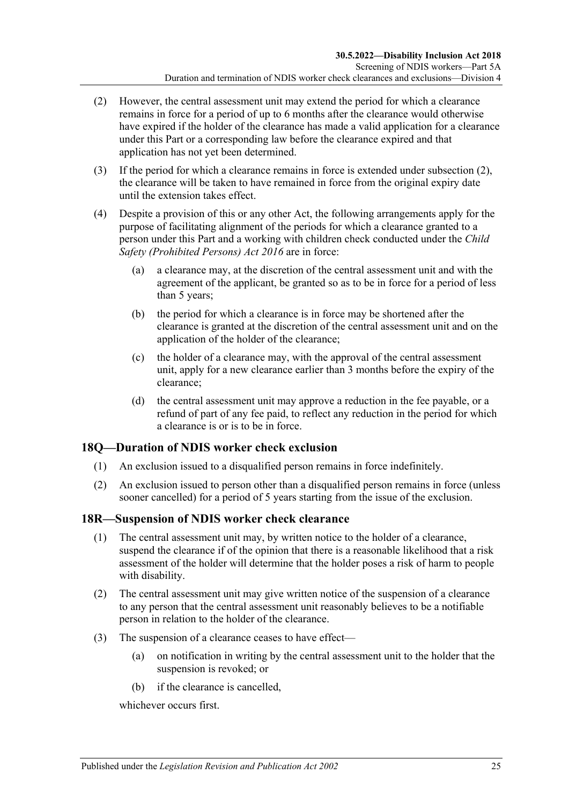- <span id="page-24-2"></span>(2) However, the central assessment unit may extend the period for which a clearance remains in force for a period of up to 6 months after the clearance would otherwise have expired if the holder of the clearance has made a valid application for a clearance under this Part or a corresponding law before the clearance expired and that application has not yet been determined.
- (3) If the period for which a clearance remains in force is extended under [subsection](#page-24-2) (2), the clearance will be taken to have remained in force from the original expiry date until the extension takes effect.
- (4) Despite a provision of this or any other Act, the following arrangements apply for the purpose of facilitating alignment of the periods for which a clearance granted to a person under this Part and a working with children check conducted under the *[Child](http://www.legislation.sa.gov.au/index.aspx?action=legref&type=act&legtitle=Child%20Safety%20(Prohibited%20Persons)%20Act%202016)  [Safety \(Prohibited Persons\) Act](http://www.legislation.sa.gov.au/index.aspx?action=legref&type=act&legtitle=Child%20Safety%20(Prohibited%20Persons)%20Act%202016) 2016* are in force:
	- (a) a clearance may, at the discretion of the central assessment unit and with the agreement of the applicant, be granted so as to be in force for a period of less than 5 years;
	- (b) the period for which a clearance is in force may be shortened after the clearance is granted at the discretion of the central assessment unit and on the application of the holder of the clearance;
	- (c) the holder of a clearance may, with the approval of the central assessment unit, apply for a new clearance earlier than 3 months before the expiry of the clearance;
	- (d) the central assessment unit may approve a reduction in the fee payable, or a refund of part of any fee paid, to reflect any reduction in the period for which a clearance is or is to be in force.

## <span id="page-24-0"></span>**18Q—Duration of NDIS worker check exclusion**

- (1) An exclusion issued to a disqualified person remains in force indefinitely.
- (2) An exclusion issued to person other than a disqualified person remains in force (unless sooner cancelled) for a period of 5 years starting from the issue of the exclusion.

## <span id="page-24-1"></span>**18R—Suspension of NDIS worker check clearance**

- (1) The central assessment unit may, by written notice to the holder of a clearance, suspend the clearance if of the opinion that there is a reasonable likelihood that a risk assessment of the holder will determine that the holder poses a risk of harm to people with disability.
- (2) The central assessment unit may give written notice of the suspension of a clearance to any person that the central assessment unit reasonably believes to be a notifiable person in relation to the holder of the clearance.
- (3) The suspension of a clearance ceases to have effect—
	- (a) on notification in writing by the central assessment unit to the holder that the suspension is revoked; or
	- (b) if the clearance is cancelled,

whichever occurs first.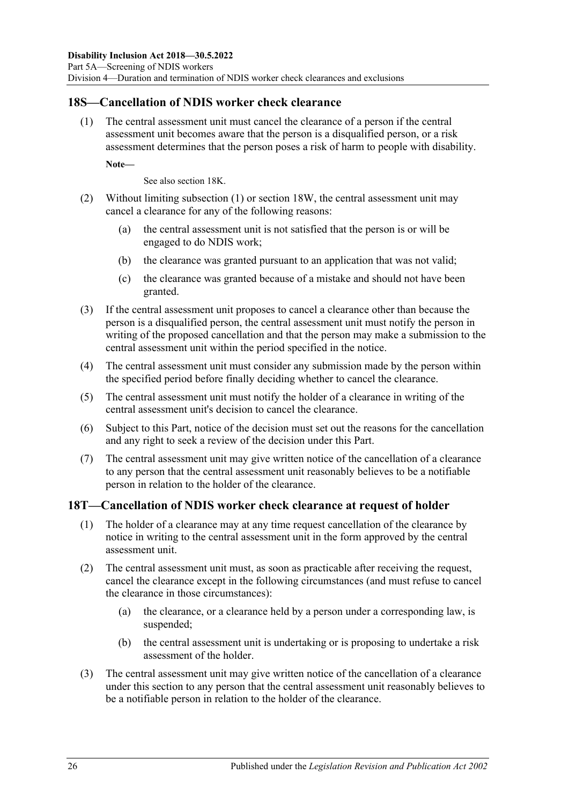## <span id="page-25-3"></span><span id="page-25-0"></span>**18S—Cancellation of NDIS worker check clearance**

(1) The central assessment unit must cancel the clearance of a person if the central assessment unit becomes aware that the person is a disqualified person, or a risk assessment determines that the person poses a risk of harm to people with disability.

**Note—**

See also [section](#page-21-2) 18K.

- <span id="page-25-2"></span>(2) Without limiting [subsection](#page-25-3) (1) or [section](#page-26-4) 18W, the central assessment unit may cancel a clearance for any of the following reasons:
	- (a) the central assessment unit is not satisfied that the person is or will be engaged to do NDIS work;
	- (b) the clearance was granted pursuant to an application that was not valid;
	- (c) the clearance was granted because of a mistake and should not have been granted.
- (3) If the central assessment unit proposes to cancel a clearance other than because the person is a disqualified person, the central assessment unit must notify the person in writing of the proposed cancellation and that the person may make a submission to the central assessment unit within the period specified in the notice.
- (4) The central assessment unit must consider any submission made by the person within the specified period before finally deciding whether to cancel the clearance.
- (5) The central assessment unit must notify the holder of a clearance in writing of the central assessment unit's decision to cancel the clearance.
- (6) Subject to this Part, notice of the decision must set out the reasons for the cancellation and any right to seek a review of the decision under this Part.
- (7) The central assessment unit may give written notice of the cancellation of a clearance to any person that the central assessment unit reasonably believes to be a notifiable person in relation to the holder of the clearance.

#### <span id="page-25-1"></span>**18T—Cancellation of NDIS worker check clearance at request of holder**

- (1) The holder of a clearance may at any time request cancellation of the clearance by notice in writing to the central assessment unit in the form approved by the central assessment unit.
- (2) The central assessment unit must, as soon as practicable after receiving the request, cancel the clearance except in the following circumstances (and must refuse to cancel the clearance in those circumstances):
	- (a) the clearance, or a clearance held by a person under a corresponding law, is suspended;
	- (b) the central assessment unit is undertaking or is proposing to undertake a risk assessment of the holder.
- (3) The central assessment unit may give written notice of the cancellation of a clearance under this section to any person that the central assessment unit reasonably believes to be a notifiable person in relation to the holder of the clearance.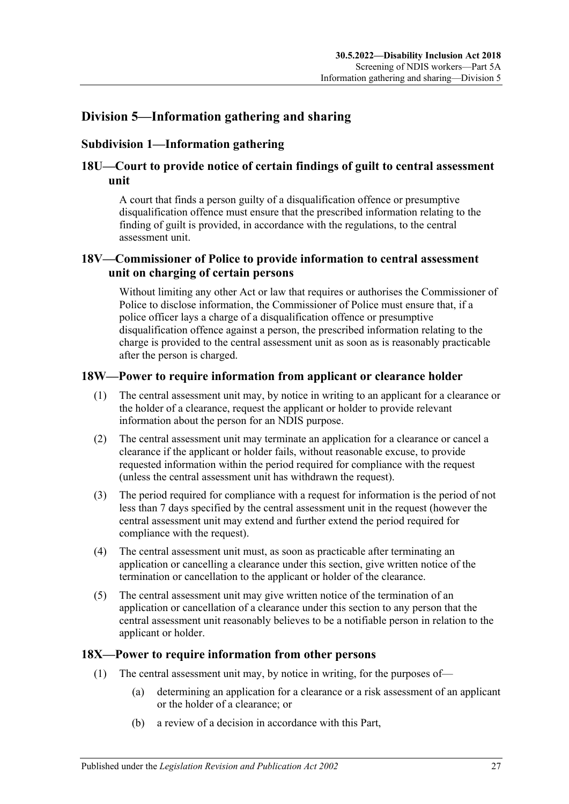## <span id="page-26-1"></span><span id="page-26-0"></span>**Division 5—Information gathering and sharing**

## **Subdivision 1—Information gathering**

## <span id="page-26-2"></span>**18U—Court to provide notice of certain findings of guilt to central assessment unit**

A court that finds a person guilty of a disqualification offence or presumptive disqualification offence must ensure that the prescribed information relating to the finding of guilt is provided, in accordance with the regulations, to the central assessment unit.

## <span id="page-26-3"></span>**18V—Commissioner of Police to provide information to central assessment unit on charging of certain persons**

Without limiting any other Act or law that requires or authorises the Commissioner of Police to disclose information, the Commissioner of Police must ensure that, if a police officer lays a charge of a disqualification offence or presumptive disqualification offence against a person, the prescribed information relating to the charge is provided to the central assessment unit as soon as is reasonably practicable after the person is charged.

## <span id="page-26-4"></span>**18W—Power to require information from applicant or clearance holder**

- (1) The central assessment unit may, by notice in writing to an applicant for a clearance or the holder of a clearance, request the applicant or holder to provide relevant information about the person for an NDIS purpose.
- <span id="page-26-6"></span>(2) The central assessment unit may terminate an application for a clearance or cancel a clearance if the applicant or holder fails, without reasonable excuse, to provide requested information within the period required for compliance with the request (unless the central assessment unit has withdrawn the request).
- (3) The period required for compliance with a request for information is the period of not less than 7 days specified by the central assessment unit in the request (however the central assessment unit may extend and further extend the period required for compliance with the request).
- (4) The central assessment unit must, as soon as practicable after terminating an application or cancelling a clearance under this section, give written notice of the termination or cancellation to the applicant or holder of the clearance.
- (5) The central assessment unit may give written notice of the termination of an application or cancellation of a clearance under this section to any person that the central assessment unit reasonably believes to be a notifiable person in relation to the applicant or holder.

#### <span id="page-26-7"></span><span id="page-26-5"></span>**18X—Power to require information from other persons**

- (1) The central assessment unit may, by notice in writing, for the purposes of—
	- (a) determining an application for a clearance or a risk assessment of an applicant or the holder of a clearance; or
	- (b) a review of a decision in accordance with this Part,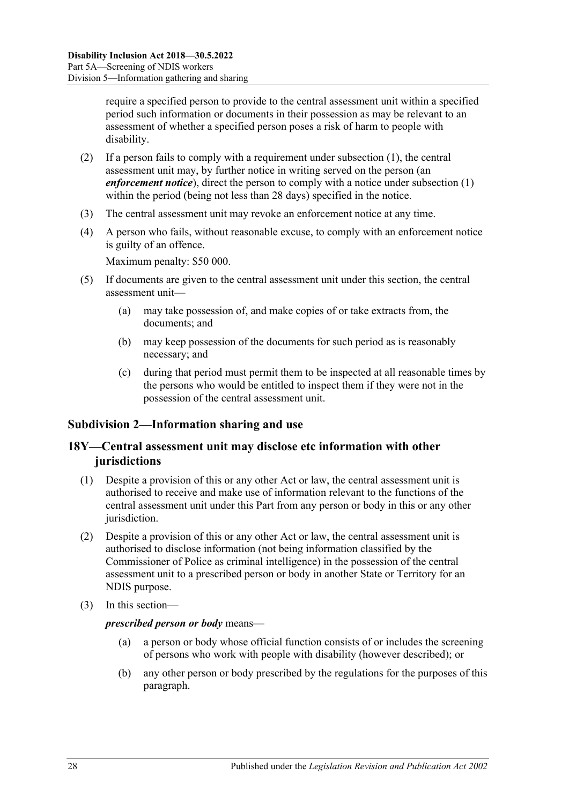require a specified person to provide to the central assessment unit within a specified period such information or documents in their possession as may be relevant to an assessment of whether a specified person poses a risk of harm to people with disability.

- (2) If a person fails to comply with a requirement under [subsection](#page-26-7) (1), the central assessment unit may, by further notice in writing served on the person (an *enforcement notice*), direct the person to comply with a notice under [subsection](#page-26-7) (1) within the period (being not less than 28 days) specified in the notice.
- (3) The central assessment unit may revoke an enforcement notice at any time.
- (4) A person who fails, without reasonable excuse, to comply with an enforcement notice is guilty of an offence.

Maximum penalty: \$50 000.

- (5) If documents are given to the central assessment unit under this section, the central assessment unit—
	- (a) may take possession of, and make copies of or take extracts from, the documents; and
	- (b) may keep possession of the documents for such period as is reasonably necessary; and
	- (c) during that period must permit them to be inspected at all reasonable times by the persons who would be entitled to inspect them if they were not in the possession of the central assessment unit.

## <span id="page-27-0"></span>**Subdivision 2—Information sharing and use**

## <span id="page-27-1"></span>**18Y—Central assessment unit may disclose etc information with other jurisdictions**

- (1) Despite a provision of this or any other Act or law, the central assessment unit is authorised to receive and make use of information relevant to the functions of the central assessment unit under this Part from any person or body in this or any other jurisdiction.
- (2) Despite a provision of this or any other Act or law, the central assessment unit is authorised to disclose information (not being information classified by the Commissioner of Police as criminal intelligence) in the possession of the central assessment unit to a prescribed person or body in another State or Territory for an NDIS purpose.
- (3) In this section—

#### *prescribed person or body* means—

- (a) a person or body whose official function consists of or includes the screening of persons who work with people with disability (however described); or
- (b) any other person or body prescribed by the regulations for the purposes of this paragraph.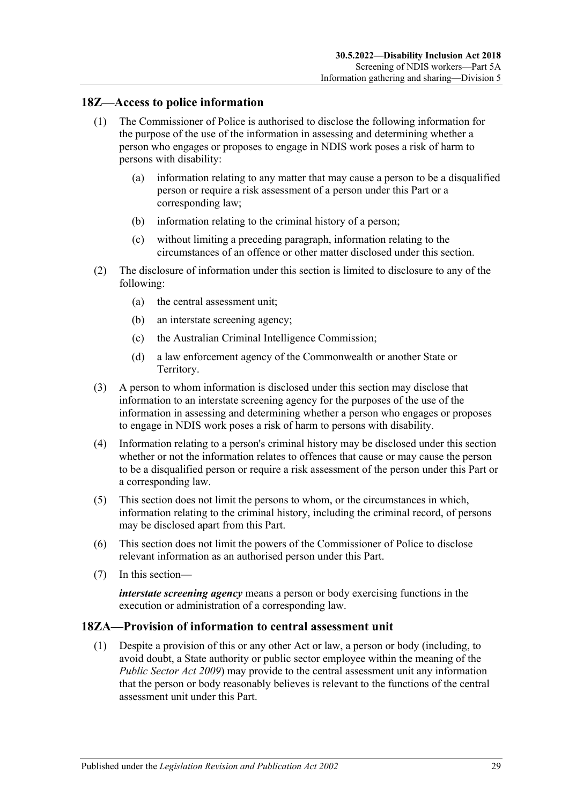## <span id="page-28-0"></span>**18Z—Access to police information**

- (1) The Commissioner of Police is authorised to disclose the following information for the purpose of the use of the information in assessing and determining whether a person who engages or proposes to engage in NDIS work poses a risk of harm to persons with disability:
	- (a) information relating to any matter that may cause a person to be a disqualified person or require a risk assessment of a person under this Part or a corresponding law;
	- (b) information relating to the criminal history of a person;
	- (c) without limiting a preceding paragraph, information relating to the circumstances of an offence or other matter disclosed under this section.
- (2) The disclosure of information under this section is limited to disclosure to any of the following:
	- (a) the central assessment unit;
	- (b) an interstate screening agency;
	- (c) the Australian Criminal Intelligence Commission;
	- (d) a law enforcement agency of the Commonwealth or another State or Territory.
- (3) A person to whom information is disclosed under this section may disclose that information to an interstate screening agency for the purposes of the use of the information in assessing and determining whether a person who engages or proposes to engage in NDIS work poses a risk of harm to persons with disability.
- (4) Information relating to a person's criminal history may be disclosed under this section whether or not the information relates to offences that cause or may cause the person to be a disqualified person or require a risk assessment of the person under this Part or a corresponding law.
- (5) This section does not limit the persons to whom, or the circumstances in which, information relating to the criminal history, including the criminal record, of persons may be disclosed apart from this Part.
- (6) This section does not limit the powers of the Commissioner of Police to disclose relevant information as an authorised person under this Part.
- (7) In this section—

*interstate screening agency* means a person or body exercising functions in the execution or administration of a corresponding law.

#### <span id="page-28-1"></span>**18ZA—Provision of information to central assessment unit**

(1) Despite a provision of this or any other Act or law, a person or body (including, to avoid doubt, a State authority or public sector employee within the meaning of the *[Public Sector Act](http://www.legislation.sa.gov.au/index.aspx?action=legref&type=act&legtitle=Public%20Sector%20Act%202009) 2009*) may provide to the central assessment unit any information that the person or body reasonably believes is relevant to the functions of the central assessment unit under this Part.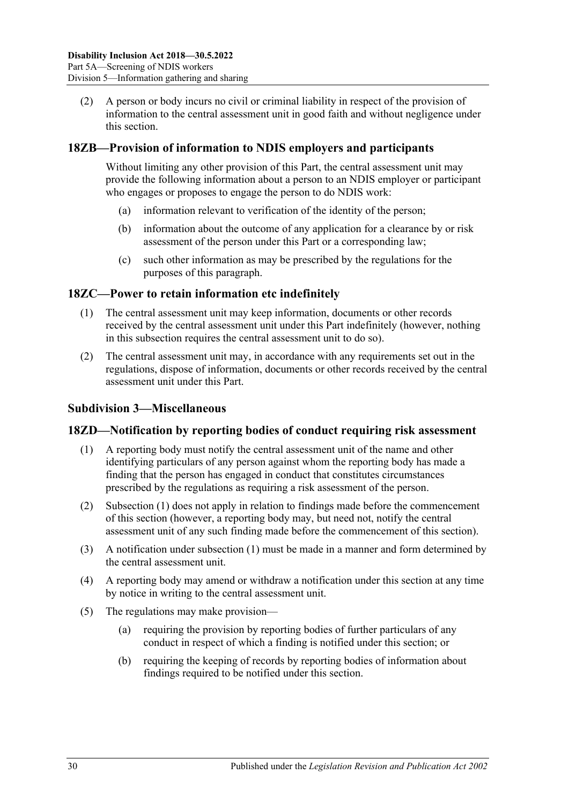(2) A person or body incurs no civil or criminal liability in respect of the provision of information to the central assessment unit in good faith and without negligence under this section.

### <span id="page-29-0"></span>**18ZB—Provision of information to NDIS employers and participants**

Without limiting any other provision of this Part, the central assessment unit may provide the following information about a person to an NDIS employer or participant who engages or proposes to engage the person to do NDIS work:

- (a) information relevant to verification of the identity of the person;
- (b) information about the outcome of any application for a clearance by or risk assessment of the person under this Part or a corresponding law;
- (c) such other information as may be prescribed by the regulations for the purposes of this paragraph.

#### <span id="page-29-1"></span>**18ZC—Power to retain information etc indefinitely**

- (1) The central assessment unit may keep information, documents or other records received by the central assessment unit under this Part indefinitely (however, nothing in this subsection requires the central assessment unit to do so).
- (2) The central assessment unit may, in accordance with any requirements set out in the regulations, dispose of information, documents or other records received by the central assessment unit under this Part.

#### <span id="page-29-2"></span>**Subdivision 3—Miscellaneous**

#### <span id="page-29-4"></span><span id="page-29-3"></span>**18ZD—Notification by reporting bodies of conduct requiring risk assessment**

- (1) A reporting body must notify the central assessment unit of the name and other identifying particulars of any person against whom the reporting body has made a finding that the person has engaged in conduct that constitutes circumstances prescribed by the regulations as requiring a risk assessment of the person.
- (2) [Subsection](#page-29-4) (1) does not apply in relation to findings made before the commencement of this section (however, a reporting body may, but need not, notify the central assessment unit of any such finding made before the commencement of this section).
- (3) A notification under [subsection](#page-29-4) (1) must be made in a manner and form determined by the central assessment unit.
- (4) A reporting body may amend or withdraw a notification under this section at any time by notice in writing to the central assessment unit.
- (5) The regulations may make provision—
	- (a) requiring the provision by reporting bodies of further particulars of any conduct in respect of which a finding is notified under this section; or
	- (b) requiring the keeping of records by reporting bodies of information about findings required to be notified under this section.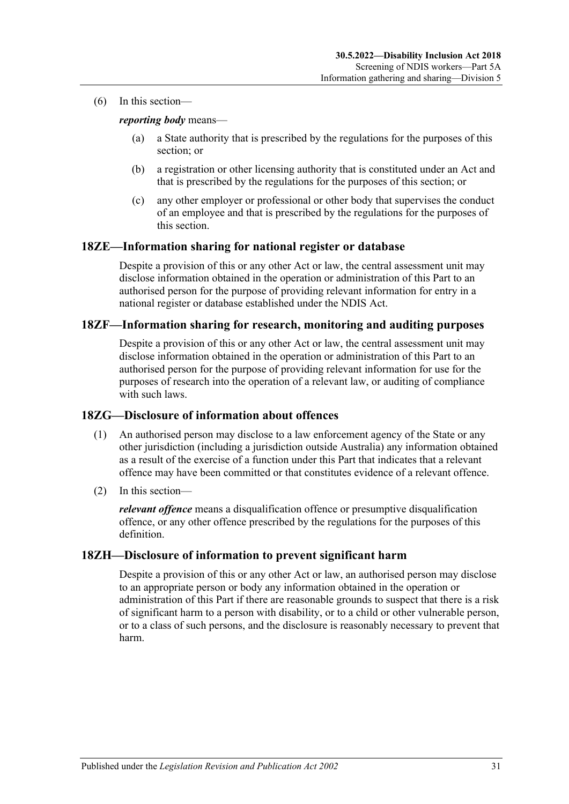(6) In this section—

#### *reporting body* means—

- (a) a State authority that is prescribed by the regulations for the purposes of this section; or
- (b) a registration or other licensing authority that is constituted under an Act and that is prescribed by the regulations for the purposes of this section; or
- (c) any other employer or professional or other body that supervises the conduct of an employee and that is prescribed by the regulations for the purposes of this section.

#### <span id="page-30-0"></span>**18ZE—Information sharing for national register or database**

Despite a provision of this or any other Act or law, the central assessment unit may disclose information obtained in the operation or administration of this Part to an authorised person for the purpose of providing relevant information for entry in a national register or database established under the NDIS Act.

#### <span id="page-30-1"></span>**18ZF—Information sharing for research, monitoring and auditing purposes**

Despite a provision of this or any other Act or law, the central assessment unit may disclose information obtained in the operation or administration of this Part to an authorised person for the purpose of providing relevant information for use for the purposes of research into the operation of a relevant law, or auditing of compliance with such laws.

#### <span id="page-30-2"></span>**18ZG—Disclosure of information about offences**

- (1) An authorised person may disclose to a law enforcement agency of the State or any other jurisdiction (including a jurisdiction outside Australia) any information obtained as a result of the exercise of a function under this Part that indicates that a relevant offence may have been committed or that constitutes evidence of a relevant offence.
- (2) In this section—

*relevant offence* means a disqualification offence or presumptive disqualification offence, or any other offence prescribed by the regulations for the purposes of this definition.

#### <span id="page-30-3"></span>**18ZH—Disclosure of information to prevent significant harm**

Despite a provision of this or any other Act or law, an authorised person may disclose to an appropriate person or body any information obtained in the operation or administration of this Part if there are reasonable grounds to suspect that there is a risk of significant harm to a person with disability, or to a child or other vulnerable person, or to a class of such persons, and the disclosure is reasonably necessary to prevent that harm.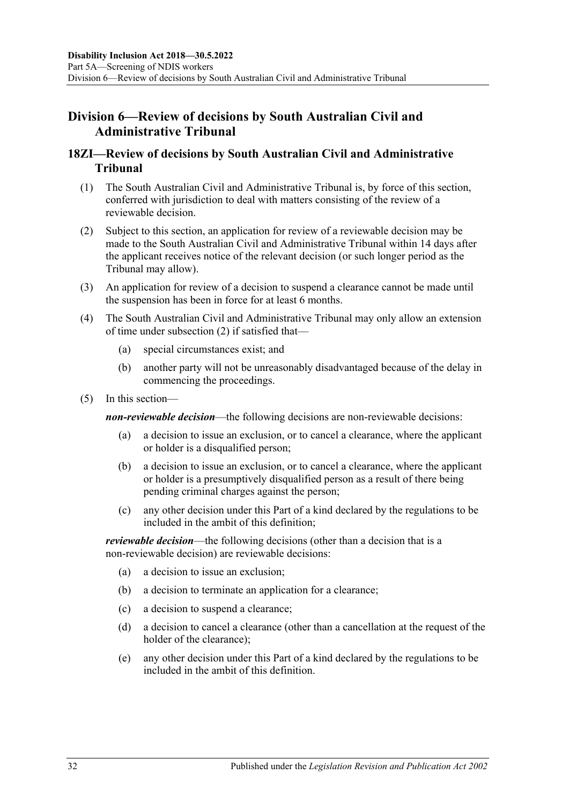## <span id="page-31-0"></span>**Division 6—Review of decisions by South Australian Civil and Administrative Tribunal**

## <span id="page-31-1"></span>**18ZI—Review of decisions by South Australian Civil and Administrative Tribunal**

- (1) The South Australian Civil and Administrative Tribunal is, by force of this section, conferred with jurisdiction to deal with matters consisting of the review of a reviewable decision.
- <span id="page-31-2"></span>(2) Subject to this section, an application for review of a reviewable decision may be made to the South Australian Civil and Administrative Tribunal within 14 days after the applicant receives notice of the relevant decision (or such longer period as the Tribunal may allow).
- (3) An application for review of a decision to suspend a clearance cannot be made until the suspension has been in force for at least 6 months.
- (4) The South Australian Civil and Administrative Tribunal may only allow an extension of time under [subsection](#page-31-2) (2) if satisfied that—
	- (a) special circumstances exist; and
	- (b) another party will not be unreasonably disadvantaged because of the delay in commencing the proceedings.
- (5) In this section—

*non-reviewable decision*—the following decisions are non-reviewable decisions:

- (a) a decision to issue an exclusion, or to cancel a clearance, where the applicant or holder is a disqualified person;
- (b) a decision to issue an exclusion, or to cancel a clearance, where the applicant or holder is a presumptively disqualified person as a result of there being pending criminal charges against the person;
- (c) any other decision under this Part of a kind declared by the regulations to be included in the ambit of this definition;

*reviewable decision*—the following decisions (other than a decision that is a non-reviewable decision) are reviewable decisions:

- (a) a decision to issue an exclusion;
- (b) a decision to terminate an application for a clearance;
- (c) a decision to suspend a clearance;
- (d) a decision to cancel a clearance (other than a cancellation at the request of the holder of the clearance);
- (e) any other decision under this Part of a kind declared by the regulations to be included in the ambit of this definition.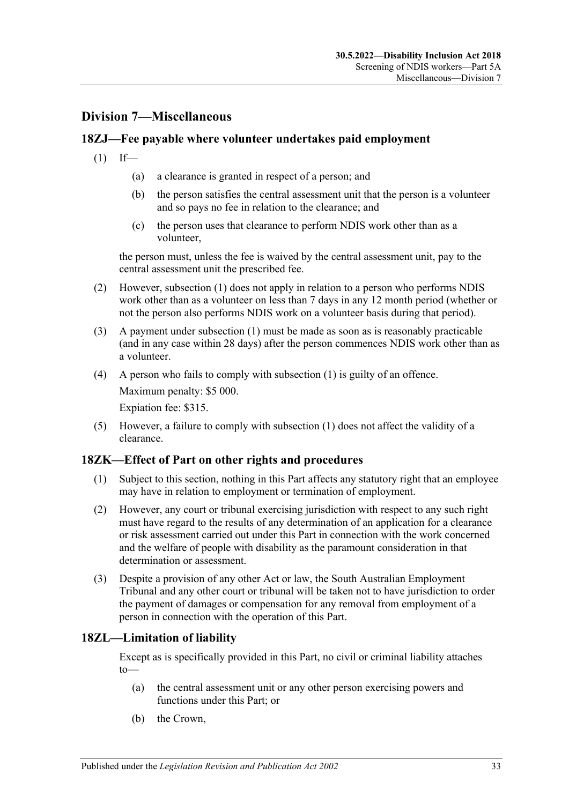## <span id="page-32-0"></span>**Division 7—Miscellaneous**

### <span id="page-32-4"></span><span id="page-32-1"></span>**18ZJ—Fee payable where volunteer undertakes paid employment**

- $(1)$  If—
	- (a) a clearance is granted in respect of a person; and
	- (b) the person satisfies the central assessment unit that the person is a volunteer and so pays no fee in relation to the clearance; and
	- (c) the person uses that clearance to perform NDIS work other than as a volunteer,

the person must, unless the fee is waived by the central assessment unit, pay to the central assessment unit the prescribed fee.

- (2) However, [subsection](#page-32-4) (1) does not apply in relation to a person who performs NDIS work other than as a volunteer on less than 7 days in any 12 month period (whether or not the person also performs NDIS work on a volunteer basis during that period).
- (3) A payment under [subsection](#page-32-4) (1) must be made as soon as is reasonably practicable (and in any case within 28 days) after the person commences NDIS work other than as a volunteer.
- (4) A person who fails to comply with [subsection](#page-32-4) (1) is guilty of an offence. Maximum penalty: \$5 000.

Expiation fee: \$315.

(5) However, a failure to comply with [subsection](#page-32-4) (1) does not affect the validity of a clearance.

#### <span id="page-32-2"></span>**18ZK—Effect of Part on other rights and procedures**

- (1) Subject to this section, nothing in this Part affects any statutory right that an employee may have in relation to employment or termination of employment.
- (2) However, any court or tribunal exercising jurisdiction with respect to any such right must have regard to the results of any determination of an application for a clearance or risk assessment carried out under this Part in connection with the work concerned and the welfare of people with disability as the paramount consideration in that determination or assessment.
- (3) Despite a provision of any other Act or law, the South Australian Employment Tribunal and any other court or tribunal will be taken not to have jurisdiction to order the payment of damages or compensation for any removal from employment of a person in connection with the operation of this Part.

#### <span id="page-32-3"></span>**18ZL—Limitation of liability**

Except as is specifically provided in this Part, no civil or criminal liability attaches to—

- (a) the central assessment unit or any other person exercising powers and functions under this Part; or
- (b) the Crown,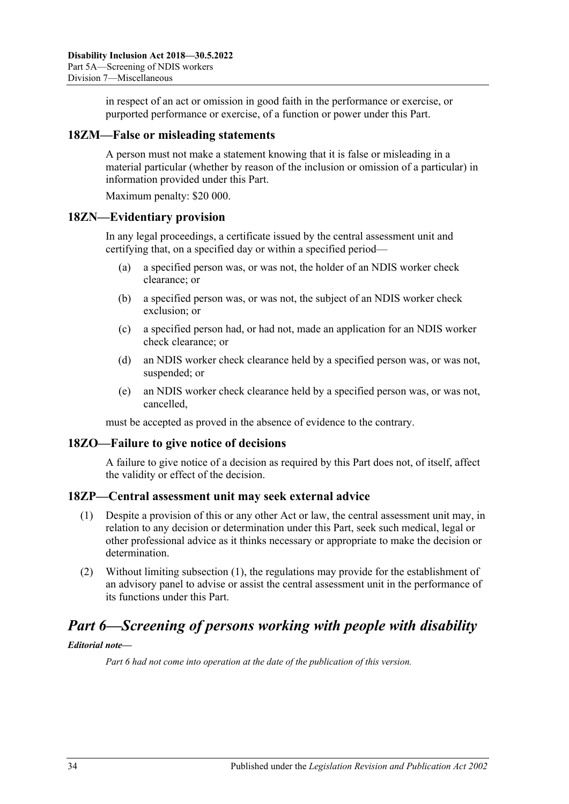in respect of an act or omission in good faith in the performance or exercise, or purported performance or exercise, of a function or power under this Part.

#### <span id="page-33-0"></span>**18ZM—False or misleading statements**

A person must not make a statement knowing that it is false or misleading in a material particular (whether by reason of the inclusion or omission of a particular) in information provided under this Part.

Maximum penalty: \$20 000.

#### <span id="page-33-1"></span>**18ZN—Evidentiary provision**

In any legal proceedings, a certificate issued by the central assessment unit and certifying that, on a specified day or within a specified period—

- (a) a specified person was, or was not, the holder of an NDIS worker check clearance; or
- (b) a specified person was, or was not, the subject of an NDIS worker check exclusion; or
- (c) a specified person had, or had not, made an application for an NDIS worker check clearance; or
- (d) an NDIS worker check clearance held by a specified person was, or was not, suspended; or
- (e) an NDIS worker check clearance held by a specified person was, or was not, cancelled,

must be accepted as proved in the absence of evidence to the contrary.

#### <span id="page-33-2"></span>**18ZO—Failure to give notice of decisions**

A failure to give notice of a decision as required by this Part does not, of itself, affect the validity or effect of the decision.

#### <span id="page-33-5"></span><span id="page-33-3"></span>**18ZP—Central assessment unit may seek external advice**

- (1) Despite a provision of this or any other Act or law, the central assessment unit may, in relation to any decision or determination under this Part, seek such medical, legal or other professional advice as it thinks necessary or appropriate to make the decision or determination.
- (2) Without limiting [subsection](#page-33-5) (1), the regulations may provide for the establishment of an advisory panel to advise or assist the central assessment unit in the performance of its functions under this Part.

## <span id="page-33-4"></span>*Part 6—Screening of persons working with people with disability*

#### *Editorial note—*

*Part 6 had not come into operation at the date of the publication of this version.*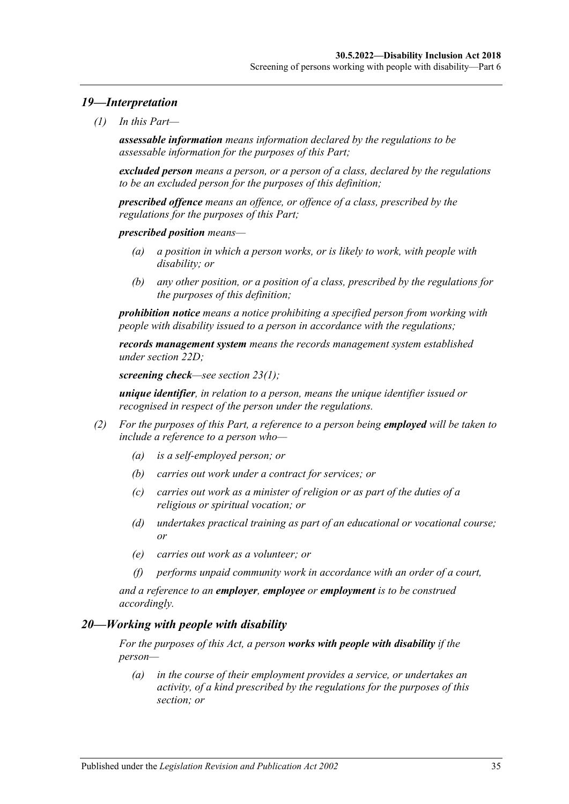### <span id="page-34-0"></span>*19—Interpretation*

*(1) In this Part—*

*assessable information means information declared by the regulations to be assessable information for the purposes of this Part;*

*excluded person means a person, or a person of a class, declared by the regulations to be an excluded person for the purposes of this definition;*

*prescribed offence means an offence, or offence of a class, prescribed by the regulations for the purposes of this Part;*

*prescribed position means—*

- *(a) a position in which a person works, or is likely to work, with people with disability; or*
- *(b) any other position, or a position of a class, prescribed by the regulations for the purposes of this definition;*

*prohibition notice means a notice prohibiting a specified person from working with people with disability issued to a person in accordance with the regulations;*

*records management system means the records management system established under section 22D;*

*screening check—see [section](#page-37-3) 23(1);*

*unique identifier, in relation to a person, means the unique identifier issued or recognised in respect of the person under the regulations.*

- *(2) For the purposes of this Part, a reference to a person being employed will be taken to include a reference to a person who—*
	- *(a) is a self-employed person; or*
	- *(b) carries out work under a contract for services; or*
	- *(c) carries out work as a minister of religion or as part of the duties of a religious or spiritual vocation; or*
	- *(d) undertakes practical training as part of an educational or vocational course; or*
	- *(e) carries out work as a volunteer; or*
	- *(f) performs unpaid community work in accordance with an order of a court,*

*and a reference to an employer, employee or employment is to be construed accordingly.*

#### <span id="page-34-2"></span><span id="page-34-1"></span>*20—Working with people with disability*

*For the purposes of this Act, a person works with people with disability if the person—*

*(a) in the course of their employment provides a service, or undertakes an activity, of a kind prescribed by the regulations for the purposes of this section; or*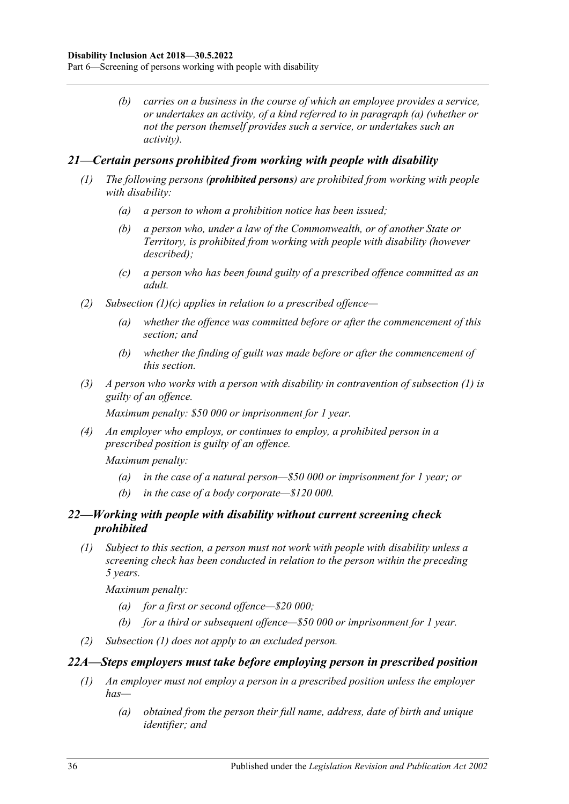Part 6—Screening of persons working with people with disability

*(b) carries on a business in the course of which an employee provides a service, or undertakes an activity, of a kind referred to in [paragraph](#page-34-2) (a) (whether or not the person themself provides such a service, or undertakes such an activity).*

#### <span id="page-35-4"></span><span id="page-35-0"></span>*21—Certain persons prohibited from working with people with disability*

- *(1) The following persons (prohibited persons) are prohibited from working with people with disability:*
	- *(a) a person to whom a prohibition notice has been issued;*
	- *(b) a person who, under a law of the Commonwealth, or of another State or Territory, is prohibited from working with people with disability (however described);*
	- *(c) a person who has been found guilty of a prescribed offence committed as an adult.*
- <span id="page-35-3"></span>*(2) [Subsection](#page-35-3) (1)(c) applies in relation to a prescribed offence—*
	- *(a) whether the offence was committed before or after the commencement of this section; and*
	- *(b) whether the finding of guilt was made before or after the commencement of this section.*
- *(3) A person who works with a person with disability in contravention of [subsection](#page-35-4) (1) is guilty of an offence.*

*Maximum penalty: \$50 000 or imprisonment for 1 year.*

*(4) An employer who employs, or continues to employ, a prohibited person in a prescribed position is guilty of an offence.*

*Maximum penalty:* 

- *(a) in the case of a natural person—\$50 000 or imprisonment for 1 year; or*
- *(b) in the case of a body corporate—\$120 000.*

## <span id="page-35-1"></span>*22—Working with people with disability without current screening check prohibited*

<span id="page-35-5"></span>*(1) Subject to this section, a person must not work with people with disability unless a screening check has been conducted in relation to the person within the preceding 5 years.*

*Maximum penalty:* 

- *(a) for a first or second offence—\$20 000;*
- *(b) for a third or subsequent offence—\$50 000 or imprisonment for 1 year.*
- *(2) [Subsection](#page-35-5) (1) does not apply to an excluded person.*

#### <span id="page-35-6"></span><span id="page-35-2"></span>*22A—Steps employers must take before employing person in prescribed position*

- *(1) An employer must not employ a person in a prescribed position unless the employer has—*
	- *(a) obtained from the person their full name, address, date of birth and unique identifier; and*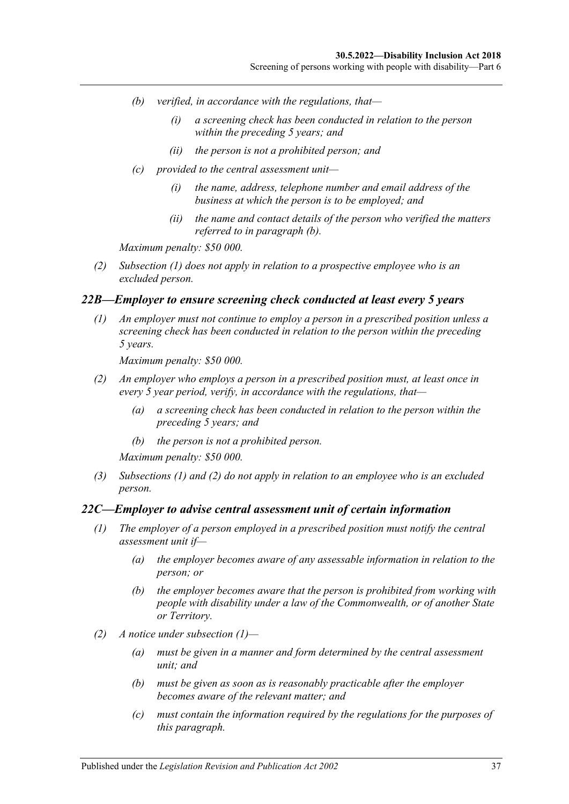- <span id="page-36-2"></span>*(b) verified, in accordance with the regulations, that—*
	- *(i) a screening check has been conducted in relation to the person within the preceding 5 years; and*
	- *(ii) the person is not a prohibited person; and*
- *(c) provided to the central assessment unit—*
	- *(i) the name, address, telephone number and email address of the business at which the person is to be employed; and*
	- *(ii) the name and contact details of the person who verified the matters referred to in [paragraph](#page-36-2) (b).*

*Maximum penalty: \$50 000.*

*(2) [Subsection](#page-35-6) (1) does not apply in relation to a prospective employee who is an excluded person.*

#### <span id="page-36-3"></span><span id="page-36-0"></span>*22B—Employer to ensure screening check conducted at least every 5 years*

*(1) An employer must not continue to employ a person in a prescribed position unless a screening check has been conducted in relation to the person within the preceding 5 years.*

*Maximum penalty: \$50 000.*

- <span id="page-36-4"></span>*(2) An employer who employs a person in a prescribed position must, at least once in every 5 year period, verify, in accordance with the regulations, that—*
	- *(a) a screening check has been conducted in relation to the person within the preceding 5 years; and*
	- *(b) the person is not a prohibited person.*

*Maximum penalty: \$50 000.*

*(3) [Subsections](#page-36-3) (1) and [\(2\)](#page-36-4) do not apply in relation to an employee who is an excluded person.*

#### <span id="page-36-5"></span><span id="page-36-1"></span>*22C—Employer to advise central assessment unit of certain information*

- *(1) The employer of a person employed in a prescribed position must notify the central assessment unit if—*
	- *(a) the employer becomes aware of any assessable information in relation to the person; or*
	- *(b) the employer becomes aware that the person is prohibited from working with people with disability under a law of the Commonwealth, or of another State or Territory.*
- *(2) A notice under [subsection](#page-36-5) (1)—*
	- *(a) must be given in a manner and form determined by the central assessment unit; and*
	- *(b) must be given as soon as is reasonably practicable after the employer becomes aware of the relevant matter; and*
	- *(c) must contain the information required by the regulations for the purposes of this paragraph.*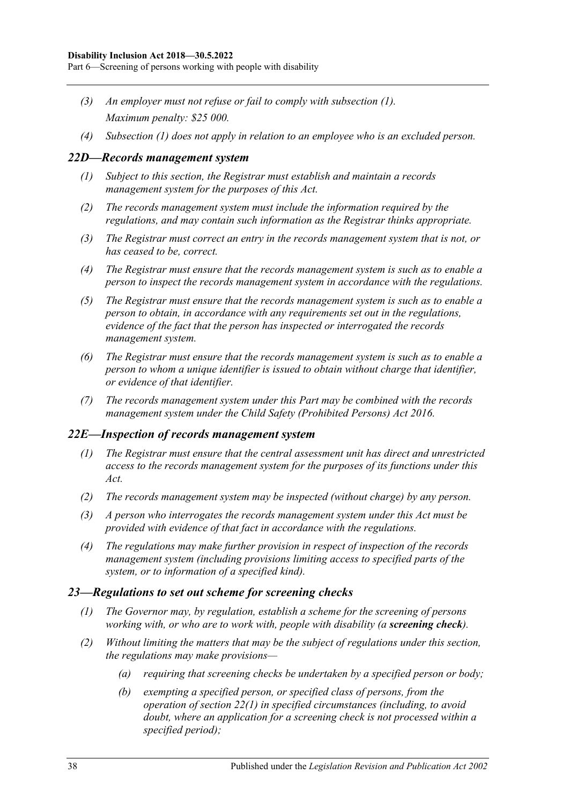#### **Disability Inclusion Act 2018—30.5.2022**

Part 6—Screening of persons working with people with disability

- *(3) An employer must not refuse or fail to comply with [subsection](#page-36-5) (1). Maximum penalty: \$25 000.*
- *(4) [Subsection](#page-36-5) (1) does not apply in relation to an employee who is an excluded person.*

#### <span id="page-37-0"></span>*22D—Records management system*

- *(1) Subject to this section, the Registrar must establish and maintain a records management system for the purposes of this Act.*
- *(2) The records management system must include the information required by the regulations, and may contain such information as the Registrar thinks appropriate.*
- *(3) The Registrar must correct an entry in the records management system that is not, or has ceased to be, correct.*
- *(4) The Registrar must ensure that the records management system is such as to enable a person to inspect the records management system in accordance with the regulations.*
- *(5) The Registrar must ensure that the records management system is such as to enable a person to obtain, in accordance with any requirements set out in the regulations, evidence of the fact that the person has inspected or interrogated the records management system.*
- *(6) The Registrar must ensure that the records management system is such as to enable a person to whom a unique identifier is issued to obtain without charge that identifier, or evidence of that identifier.*
- *(7) The records management system under this Part may be combined with the records management system under the [Child Safety \(Prohibited Persons\) Act](http://www.legislation.sa.gov.au/index.aspx?action=legref&type=act&legtitle=Child%20Safety%20(Prohibited%20Persons)%20Act%202016) 2016.*

#### <span id="page-37-1"></span>*22E—Inspection of records management system*

- *(1) The Registrar must ensure that the central assessment unit has direct and unrestricted access to the records management system for the purposes of its functions under this Act.*
- *(2) The records management system may be inspected (without charge) by any person.*
- *(3) A person who interrogates the records management system under this Act must be provided with evidence of that fact in accordance with the regulations.*
- *(4) The regulations may make further provision in respect of inspection of the records management system (including provisions limiting access to specified parts of the system, or to information of a specified kind).*

#### <span id="page-37-3"></span><span id="page-37-2"></span>*23—Regulations to set out scheme for screening checks*

- *(1) The Governor may, by regulation, establish a scheme for the screening of persons working with, or who are to work with, people with disability (a <i>screening check*).
- *(2) Without limiting the matters that may be the subject of regulations under this section, the regulations may make provisions—*
	- *(a) requiring that screening checks be undertaken by a specified person or body;*
	- *(b) exempting a specified person, or specified class of persons, from the operation of [section](#page-35-5) 22(1) in specified circumstances (including, to avoid doubt, where an application for a screening check is not processed within a specified period);*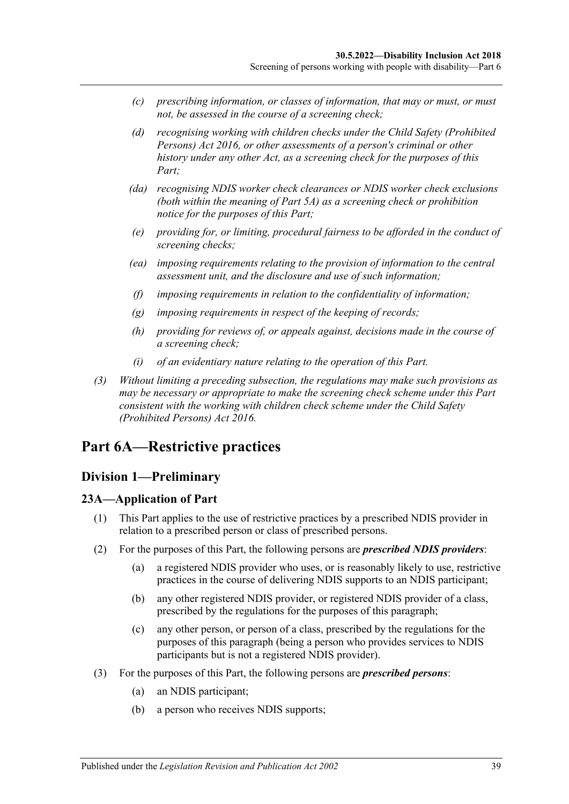- *(c) prescribing information, or classes of information, that may or must, or must not, be assessed in the course of a screening check;*
- *(d) recognising working with children checks under the [Child Safety \(Prohibited](http://www.legislation.sa.gov.au/index.aspx?action=legref&type=act&legtitle=Child%20Safety%20(Prohibited%20Persons)%20Act%202016)  [Persons\) Act](http://www.legislation.sa.gov.au/index.aspx?action=legref&type=act&legtitle=Child%20Safety%20(Prohibited%20Persons)%20Act%202016) 2016, or other assessments of a person's criminal or other history under any other Act, as a screening check for the purposes of this Part;*
- *(da) recognising NDIS worker check clearances or NDIS worker check exclusions (both within the meaning of Part 5A) as a screening check or prohibition notice for the purposes of this Part;*
- *(e) providing for, or limiting, procedural fairness to be afforded in the conduct of screening checks;*
- *(ea) imposing requirements relating to the provision of information to the central assessment unit, and the disclosure and use of such information;*
- *(f) imposing requirements in relation to the confidentiality of information;*
- *(g) imposing requirements in respect of the keeping of records;*
- *(h) providing for reviews of, or appeals against, decisions made in the course of a screening check;*
- *(i) of an evidentiary nature relating to the operation of this Part.*
- *(3) Without limiting a preceding subsection, the regulations may make such provisions as may be necessary or appropriate to make the screening check scheme under this Part consistent with the working with children check scheme under the [Child Safety](http://www.legislation.sa.gov.au/index.aspx?action=legref&type=act&legtitle=Child%20Safety%20(Prohibited%20Persons)%20Act%202016)  [\(Prohibited Persons\) Act](http://www.legislation.sa.gov.au/index.aspx?action=legref&type=act&legtitle=Child%20Safety%20(Prohibited%20Persons)%20Act%202016) 2016.*

## <span id="page-38-1"></span><span id="page-38-0"></span>**Part 6A—Restrictive practices**

## **Division 1—Preliminary**

#### <span id="page-38-2"></span>**23A—Application of Part**

- (1) This Part applies to the use of restrictive practices by a prescribed NDIS provider in relation to a prescribed person or class of prescribed persons.
- <span id="page-38-3"></span>(2) For the purposes of this Part, the following persons are *prescribed NDIS providers*:
	- (a) a registered NDIS provider who uses, or is reasonably likely to use, restrictive practices in the course of delivering NDIS supports to an NDIS participant;
	- (b) any other registered NDIS provider, or registered NDIS provider of a class, prescribed by the regulations for the purposes of this paragraph;
	- (c) any other person, or person of a class, prescribed by the regulations for the purposes of this paragraph (being a person who provides services to NDIS participants but is not a registered NDIS provider).
- <span id="page-38-4"></span>(3) For the purposes of this Part, the following persons are *prescribed persons*:
	- (a) an NDIS participant;
	- (b) a person who receives NDIS supports;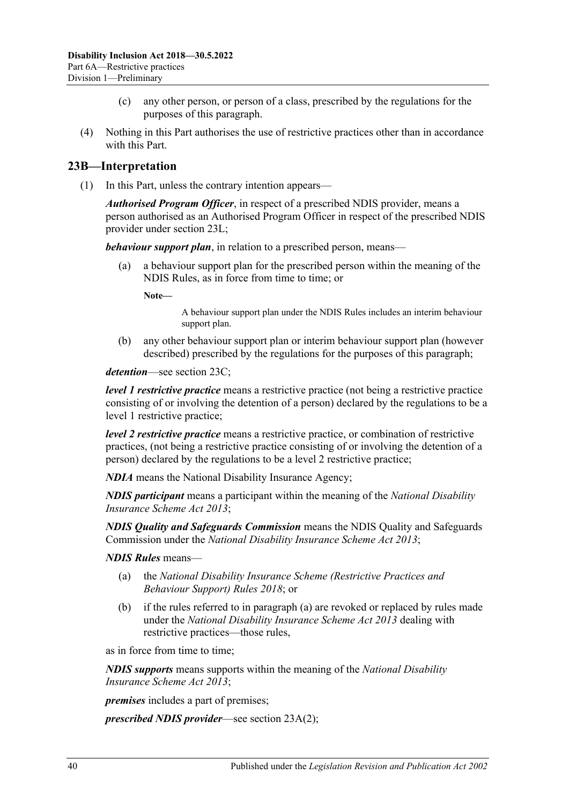- (c) any other person, or person of a class, prescribed by the regulations for the purposes of this paragraph.
- (4) Nothing in this Part authorises the use of restrictive practices other than in accordance with this Part.

#### <span id="page-39-0"></span>**23B—Interpretation**

(1) In this Part, unless the contrary intention appears—

*Authorised Program Officer*, in respect of a prescribed NDIS provider, means a person authorised as an Authorised Program Officer in respect of the prescribed NDIS provider under [section](#page-44-1) 23L;

*behaviour support plan*, in relation to a prescribed person, means—

(a) a behaviour support plan for the prescribed person within the meaning of the NDIS Rules, as in force from time to time; or

**Note—**

A behaviour support plan under the NDIS Rules includes an interim behaviour support plan.

(b) any other behaviour support plan or interim behaviour support plan (however described) prescribed by the regulations for the purposes of this paragraph;

*detention*—see [section](#page-41-0) 23C;

*level 1 restrictive practice* means a restrictive practice (not being a restrictive practice consisting of or involving the detention of a person) declared by the regulations to be a level 1 restrictive practice;

*level 2 restrictive practice* means a restrictive practice, or combination of restrictive practices, (not being a restrictive practice consisting of or involving the detention of a person) declared by the regulations to be a level 2 restrictive practice;

*NDIA* means the National Disability Insurance Agency;

*NDIS participant* means a participant within the meaning of the *National Disability Insurance Scheme Act 2013*;

*NDIS Quality and Safeguards Commission* means the NDIS Quality and Safeguards Commission under the *National Disability Insurance Scheme Act 2013*;

#### <span id="page-39-1"></span>*NDIS Rules* means—

- (a) the *National Disability Insurance Scheme (Restrictive Practices and Behaviour Support) Rules 2018*; or
- (b) if the rules referred to in [paragraph](#page-39-1) (a) are revoked or replaced by rules made under the *National Disability Insurance Scheme Act 2013* dealing with restrictive practices—those rules,

as in force from time to time;

*NDIS supports* means supports within the meaning of the *National Disability Insurance Scheme Act 2013*;

*premises* includes a part of premises;

*prescribed NDIS provider*—see section [23A\(2\);](#page-38-3)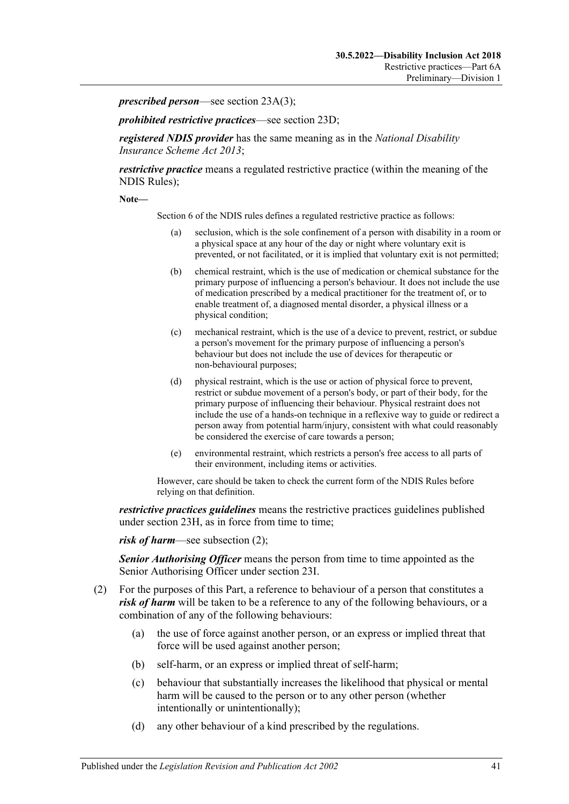*prescribed person*—see section [23A\(3\);](#page-38-4)

*prohibited restrictive practices*—see [section](#page-41-1) 23D;

*registered NDIS provider* has the same meaning as in the *National Disability Insurance Scheme Act 2013*;

*restrictive practice* means a regulated restrictive practice (within the meaning of the NDIS Rules);

**Note—**

Section 6 of the NDIS rules defines a regulated restrictive practice as follows:

- (a) seclusion, which is the sole confinement of a person with disability in a room or a physical space at any hour of the day or night where voluntary exit is prevented, or not facilitated, or it is implied that voluntary exit is not permitted;
- (b) chemical restraint, which is the use of medication or chemical substance for the primary purpose of influencing a person's behaviour. It does not include the use of medication prescribed by a medical practitioner for the treatment of, or to enable treatment of, a diagnosed mental disorder, a physical illness or a physical condition;
- (c) mechanical restraint, which is the use of a device to prevent, restrict, or subdue a person's movement for the primary purpose of influencing a person's behaviour but does not include the use of devices for therapeutic or non-behavioural purposes;
- (d) physical restraint, which is the use or action of physical force to prevent, restrict or subdue movement of a person's body, or part of their body, for the primary purpose of influencing their behaviour. Physical restraint does not include the use of a hands-on technique in a reflexive way to guide or redirect a person away from potential harm/injury, consistent with what could reasonably be considered the exercise of care towards a person;
- (e) environmental restraint, which restricts a person's free access to all parts of their environment, including items or activities.

However, care should be taken to check the current form of the NDIS Rules before relying on that definition.

*restrictive practices guidelines* means the restrictive practices guidelines published under [section](#page-42-1) 23H, as in force from time to time;

*risk of harm*—see [subsection](#page-40-0) (2);

*Senior Authorising Officer* means the person from time to time appointed as the Senior Authorising Officer under [section](#page-43-1) 23I.

- <span id="page-40-0"></span>(2) For the purposes of this Part, a reference to behaviour of a person that constitutes a *risk of harm* will be taken to be a reference to any of the following behaviours, or a combination of any of the following behaviours:
	- (a) the use of force against another person, or an express or implied threat that force will be used against another person;
	- (b) self-harm, or an express or implied threat of self-harm;
	- (c) behaviour that substantially increases the likelihood that physical or mental harm will be caused to the person or to any other person (whether intentionally or unintentionally);
	- (d) any other behaviour of a kind prescribed by the regulations.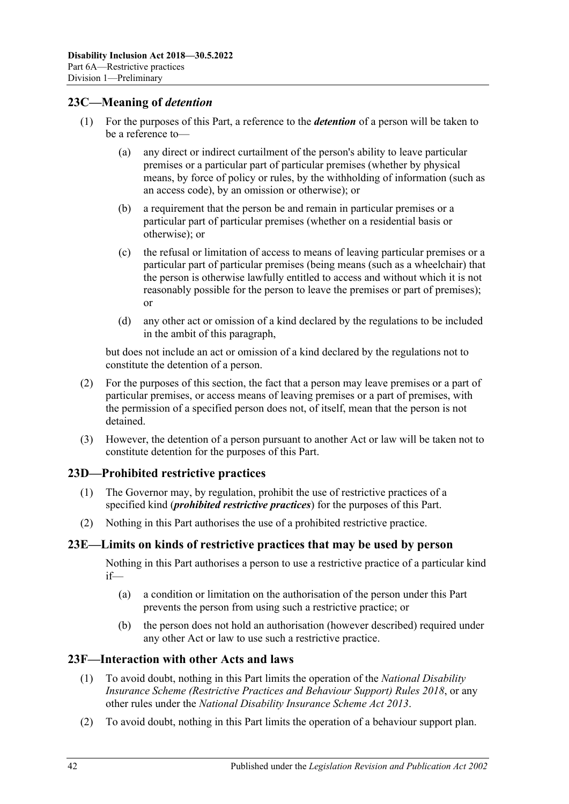### <span id="page-41-0"></span>**23C—Meaning of** *detention*

- (1) For the purposes of this Part, a reference to the *detention* of a person will be taken to be a reference to—
	- (a) any direct or indirect curtailment of the person's ability to leave particular premises or a particular part of particular premises (whether by physical means, by force of policy or rules, by the withholding of information (such as an access code), by an omission or otherwise); or
	- (b) a requirement that the person be and remain in particular premises or a particular part of particular premises (whether on a residential basis or otherwise); or
	- (c) the refusal or limitation of access to means of leaving particular premises or a particular part of particular premises (being means (such as a wheelchair) that the person is otherwise lawfully entitled to access and without which it is not reasonably possible for the person to leave the premises or part of premises); or
	- (d) any other act or omission of a kind declared by the regulations to be included in the ambit of this paragraph,

but does not include an act or omission of a kind declared by the regulations not to constitute the detention of a person.

- (2) For the purposes of this section, the fact that a person may leave premises or a part of particular premises, or access means of leaving premises or a part of premises, with the permission of a specified person does not, of itself, mean that the person is not detained.
- (3) However, the detention of a person pursuant to another Act or law will be taken not to constitute detention for the purposes of this Part.

#### <span id="page-41-1"></span>**23D—Prohibited restrictive practices**

- (1) The Governor may, by regulation, prohibit the use of restrictive practices of a specified kind (*prohibited restrictive practices*) for the purposes of this Part.
- (2) Nothing in this Part authorises the use of a prohibited restrictive practice.

## <span id="page-41-2"></span>**23E—Limits on kinds of restrictive practices that may be used by person**

Nothing in this Part authorises a person to use a restrictive practice of a particular kind if—

- (a) a condition or limitation on the authorisation of the person under this Part prevents the person from using such a restrictive practice; or
- (b) the person does not hold an authorisation (however described) required under any other Act or law to use such a restrictive practice.

#### <span id="page-41-3"></span>**23F—Interaction with other Acts and laws**

- (1) To avoid doubt, nothing in this Part limits the operation of the *National Disability Insurance Scheme (Restrictive Practices and Behaviour Support) Rules 2018*, or any other rules under the *National Disability Insurance Scheme Act 2013*.
- (2) To avoid doubt, nothing in this Part limits the operation of a behaviour support plan.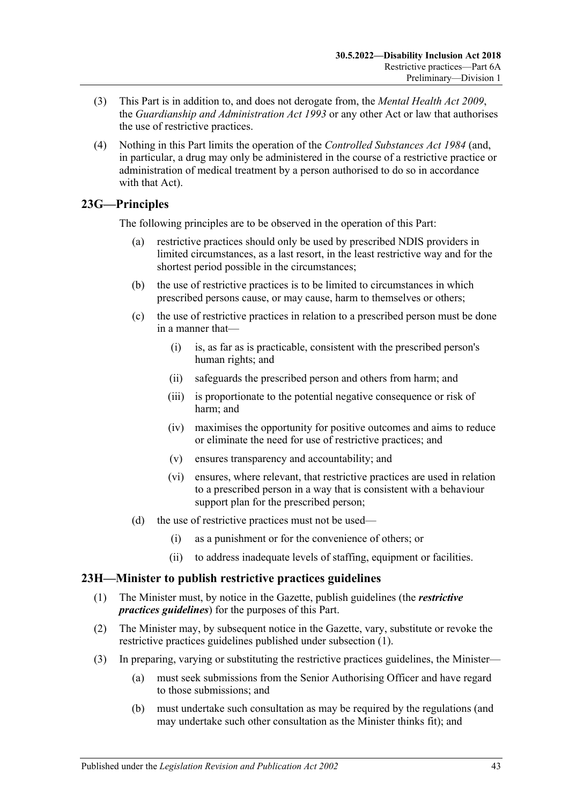- (3) This Part is in addition to, and does not derogate from, the *[Mental Health Act](http://www.legislation.sa.gov.au/index.aspx?action=legref&type=act&legtitle=Mental%20Health%20Act%202009) 2009*, the *[Guardianship and Administration Act](http://www.legislation.sa.gov.au/index.aspx?action=legref&type=act&legtitle=Guardianship%20and%20Administration%20Act%201993) 1993* or any other Act or law that authorises the use of restrictive practices.
- (4) Nothing in this Part limits the operation of the *[Controlled Substances Act](http://www.legislation.sa.gov.au/index.aspx?action=legref&type=act&legtitle=Controlled%20Substances%20Act%201984) 1984* (and, in particular, a drug may only be administered in the course of a restrictive practice or administration of medical treatment by a person authorised to do so in accordance with that Act).

## <span id="page-42-0"></span>**23G—Principles**

The following principles are to be observed in the operation of this Part:

- (a) restrictive practices should only be used by prescribed NDIS providers in limited circumstances, as a last resort, in the least restrictive way and for the shortest period possible in the circumstances;
- (b) the use of restrictive practices is to be limited to circumstances in which prescribed persons cause, or may cause, harm to themselves or others;
- (c) the use of restrictive practices in relation to a prescribed person must be done in a manner that—
	- (i) is, as far as is practicable, consistent with the prescribed person's human rights; and
	- (ii) safeguards the prescribed person and others from harm; and
	- (iii) is proportionate to the potential negative consequence or risk of harm; and
	- (iv) maximises the opportunity for positive outcomes and aims to reduce or eliminate the need for use of restrictive practices; and
	- (v) ensures transparency and accountability; and
	- (vi) ensures, where relevant, that restrictive practices are used in relation to a prescribed person in a way that is consistent with a behaviour support plan for the prescribed person;
- (d) the use of restrictive practices must not be used—
	- (i) as a punishment or for the convenience of others; or
	- (ii) to address inadequate levels of staffing, equipment or facilities.

## <span id="page-42-2"></span><span id="page-42-1"></span>**23H—Minister to publish restrictive practices guidelines**

- (1) The Minister must, by notice in the Gazette, publish guidelines (the *restrictive practices guidelines*) for the purposes of this Part.
- (2) The Minister may, by subsequent notice in the Gazette, vary, substitute or revoke the restrictive practices guidelines published under [subsection](#page-42-2) (1).
- (3) In preparing, varying or substituting the restrictive practices guidelines, the Minister—
	- (a) must seek submissions from the Senior Authorising Officer and have regard to those submissions; and
	- (b) must undertake such consultation as may be required by the regulations (and may undertake such other consultation as the Minister thinks fit); and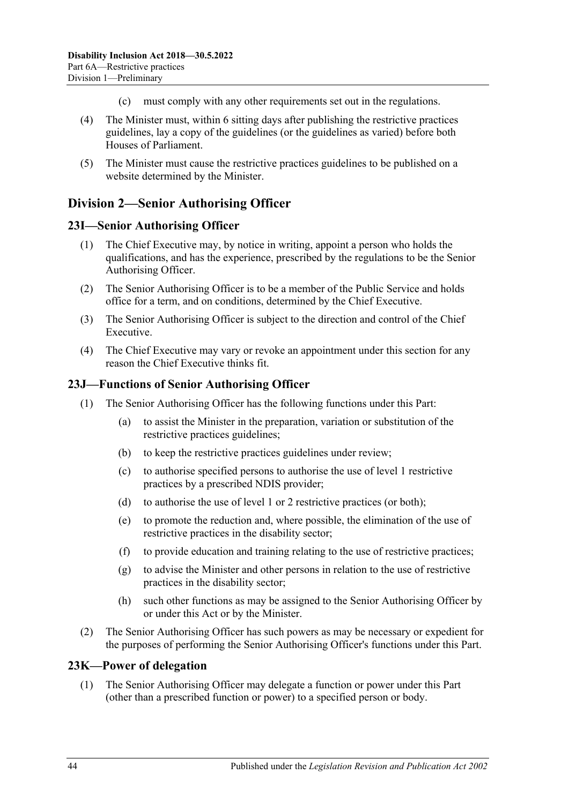- (c) must comply with any other requirements set out in the regulations.
- (4) The Minister must, within 6 sitting days after publishing the restrictive practices guidelines, lay a copy of the guidelines (or the guidelines as varied) before both Houses of Parliament.
- (5) The Minister must cause the restrictive practices guidelines to be published on a website determined by the Minister.

## <span id="page-43-0"></span>**Division 2—Senior Authorising Officer**

#### <span id="page-43-1"></span>**23I—Senior Authorising Officer**

- (1) The Chief Executive may, by notice in writing, appoint a person who holds the qualifications, and has the experience, prescribed by the regulations to be the Senior Authorising Officer.
- (2) The Senior Authorising Officer is to be a member of the Public Service and holds office for a term, and on conditions, determined by the Chief Executive.
- (3) The Senior Authorising Officer is subject to the direction and control of the Chief Executive.
- (4) The Chief Executive may vary or revoke an appointment under this section for any reason the Chief Executive thinks fit.

#### <span id="page-43-2"></span>**23J—Functions of Senior Authorising Officer**

- (1) The Senior Authorising Officer has the following functions under this Part:
	- (a) to assist the Minister in the preparation, variation or substitution of the restrictive practices guidelines;
	- (b) to keep the restrictive practices guidelines under review;
	- (c) to authorise specified persons to authorise the use of level 1 restrictive practices by a prescribed NDIS provider;
	- (d) to authorise the use of level 1 or 2 restrictive practices (or both);
	- (e) to promote the reduction and, where possible, the elimination of the use of restrictive practices in the disability sector;
	- (f) to provide education and training relating to the use of restrictive practices;
	- (g) to advise the Minister and other persons in relation to the use of restrictive practices in the disability sector;
	- (h) such other functions as may be assigned to the Senior Authorising Officer by or under this Act or by the Minister.
- (2) The Senior Authorising Officer has such powers as may be necessary or expedient for the purposes of performing the Senior Authorising Officer's functions under this Part.

#### <span id="page-43-3"></span>**23K—Power of delegation**

(1) The Senior Authorising Officer may delegate a function or power under this Part (other than a prescribed function or power) to a specified person or body.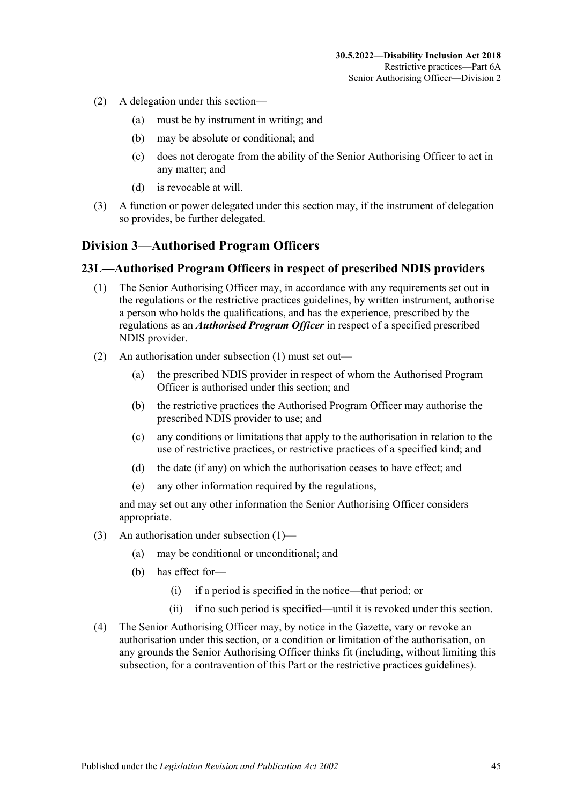- (2) A delegation under this section—
	- (a) must be by instrument in writing; and
	- (b) may be absolute or conditional; and
	- (c) does not derogate from the ability of the Senior Authorising Officer to act in any matter; and
	- (d) is revocable at will.
- (3) A function or power delegated under this section may, if the instrument of delegation so provides, be further delegated.

## <span id="page-44-0"></span>**Division 3—Authorised Program Officers**

#### <span id="page-44-2"></span><span id="page-44-1"></span>**23L—Authorised Program Officers in respect of prescribed NDIS providers**

- (1) The Senior Authorising Officer may, in accordance with any requirements set out in the regulations or the restrictive practices guidelines, by written instrument, authorise a person who holds the qualifications, and has the experience, prescribed by the regulations as an *Authorised Program Officer* in respect of a specified prescribed NDIS provider.
- (2) An authorisation under [subsection](#page-44-2) (1) must set out—
	- (a) the prescribed NDIS provider in respect of whom the Authorised Program Officer is authorised under this section; and
	- (b) the restrictive practices the Authorised Program Officer may authorise the prescribed NDIS provider to use; and
	- (c) any conditions or limitations that apply to the authorisation in relation to the use of restrictive practices, or restrictive practices of a specified kind; and
	- (d) the date (if any) on which the authorisation ceases to have effect; and
	- (e) any other information required by the regulations,

and may set out any other information the Senior Authorising Officer considers appropriate.

- (3) An authorisation under [subsection](#page-44-2) (1)—
	- (a) may be conditional or unconditional; and
	- (b) has effect for—
		- (i) if a period is specified in the notice—that period; or
		- (ii) if no such period is specified—until it is revoked under this section.
- (4) The Senior Authorising Officer may, by notice in the Gazette, vary or revoke an authorisation under this section, or a condition or limitation of the authorisation, on any grounds the Senior Authorising Officer thinks fit (including, without limiting this subsection, for a contravention of this Part or the restrictive practices guidelines).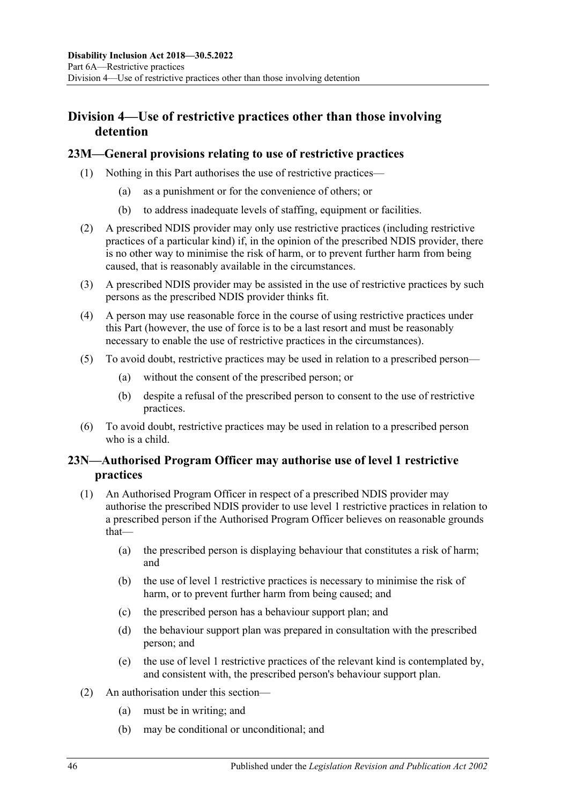## <span id="page-45-0"></span>**Division 4—Use of restrictive practices other than those involving detention**

### <span id="page-45-1"></span>**23M—General provisions relating to use of restrictive practices**

- (1) Nothing in this Part authorises the use of restrictive practices—
	- (a) as a punishment or for the convenience of others; or
	- (b) to address inadequate levels of staffing, equipment or facilities.
- (2) A prescribed NDIS provider may only use restrictive practices (including restrictive practices of a particular kind) if, in the opinion of the prescribed NDIS provider, there is no other way to minimise the risk of harm, or to prevent further harm from being caused, that is reasonably available in the circumstances.
- (3) A prescribed NDIS provider may be assisted in the use of restrictive practices by such persons as the prescribed NDIS provider thinks fit.
- (4) A person may use reasonable force in the course of using restrictive practices under this Part (however, the use of force is to be a last resort and must be reasonably necessary to enable the use of restrictive practices in the circumstances).
- (5) To avoid doubt, restrictive practices may be used in relation to a prescribed person—
	- (a) without the consent of the prescribed person; or
	- (b) despite a refusal of the prescribed person to consent to the use of restrictive practices.
- (6) To avoid doubt, restrictive practices may be used in relation to a prescribed person who is a child.

## <span id="page-45-2"></span>**23N—Authorised Program Officer may authorise use of level 1 restrictive practices**

- (1) An Authorised Program Officer in respect of a prescribed NDIS provider may authorise the prescribed NDIS provider to use level 1 restrictive practices in relation to a prescribed person if the Authorised Program Officer believes on reasonable grounds that—
	- (a) the prescribed person is displaying behaviour that constitutes a risk of harm; and
	- (b) the use of level 1 restrictive practices is necessary to minimise the risk of harm, or to prevent further harm from being caused; and
	- (c) the prescribed person has a behaviour support plan; and
	- (d) the behaviour support plan was prepared in consultation with the prescribed person; and
	- (e) the use of level 1 restrictive practices of the relevant kind is contemplated by, and consistent with, the prescribed person's behaviour support plan.
- (2) An authorisation under this section—
	- (a) must be in writing; and
	- (b) may be conditional or unconditional; and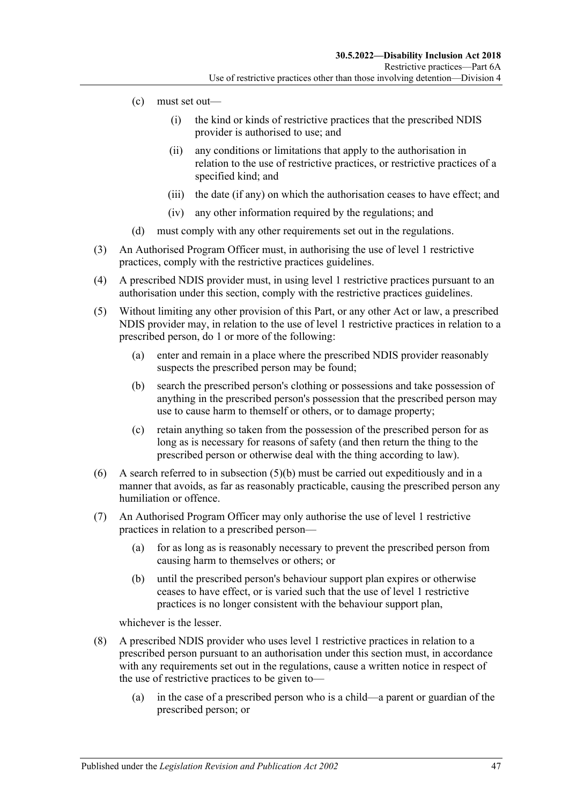- (c) must set out—
	- (i) the kind or kinds of restrictive practices that the prescribed NDIS provider is authorised to use; and
	- (ii) any conditions or limitations that apply to the authorisation in relation to the use of restrictive practices, or restrictive practices of a specified kind; and
	- (iii) the date (if any) on which the authorisation ceases to have effect; and
	- (iv) any other information required by the regulations; and
- (d) must comply with any other requirements set out in the regulations.
- (3) An Authorised Program Officer must, in authorising the use of level 1 restrictive practices, comply with the restrictive practices guidelines.
- (4) A prescribed NDIS provider must, in using level 1 restrictive practices pursuant to an authorisation under this section, comply with the restrictive practices guidelines.
- <span id="page-46-0"></span>(5) Without limiting any other provision of this Part, or any other Act or law, a prescribed NDIS provider may, in relation to the use of level 1 restrictive practices in relation to a prescribed person, do 1 or more of the following:
	- (a) enter and remain in a place where the prescribed NDIS provider reasonably suspects the prescribed person may be found;
	- (b) search the prescribed person's clothing or possessions and take possession of anything in the prescribed person's possession that the prescribed person may use to cause harm to themself or others, or to damage property;
	- (c) retain anything so taken from the possession of the prescribed person for as long as is necessary for reasons of safety (and then return the thing to the prescribed person or otherwise deal with the thing according to law).
- (6) A search referred to in [subsection](#page-46-0)  $(5)(b)$  must be carried out expeditiously and in a manner that avoids, as far as reasonably practicable, causing the prescribed person any humiliation or offence.
- (7) An Authorised Program Officer may only authorise the use of level 1 restrictive practices in relation to a prescribed person—
	- (a) for as long as is reasonably necessary to prevent the prescribed person from causing harm to themselves or others; or
	- (b) until the prescribed person's behaviour support plan expires or otherwise ceases to have effect, or is varied such that the use of level 1 restrictive practices is no longer consistent with the behaviour support plan,

whichever is the lesser.

- (8) A prescribed NDIS provider who uses level 1 restrictive practices in relation to a prescribed person pursuant to an authorisation under this section must, in accordance with any requirements set out in the regulations, cause a written notice in respect of the use of restrictive practices to be given to—
	- (a) in the case of a prescribed person who is a child—a parent or guardian of the prescribed person; or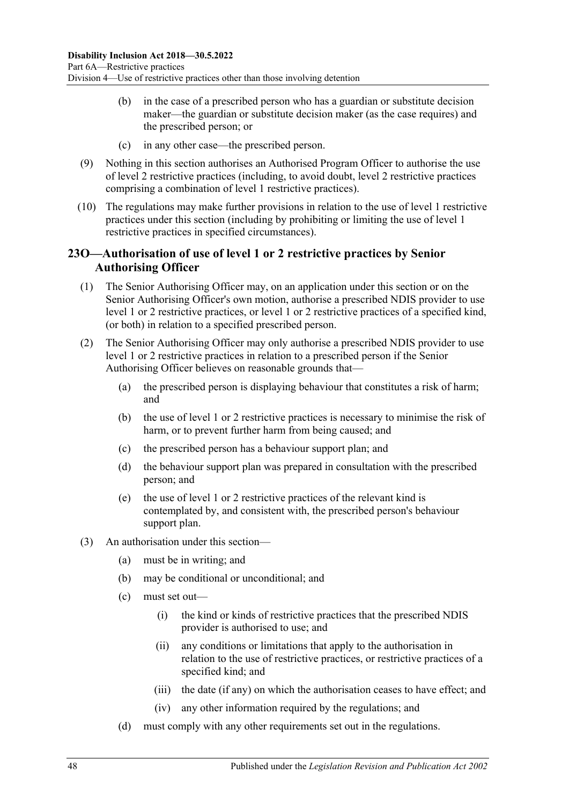- (b) in the case of a prescribed person who has a guardian or substitute decision maker—the guardian or substitute decision maker (as the case requires) and the prescribed person; or
- (c) in any other case—the prescribed person.
- (9) Nothing in this section authorises an Authorised Program Officer to authorise the use of level 2 restrictive practices (including, to avoid doubt, level 2 restrictive practices comprising a combination of level 1 restrictive practices).
- (10) The regulations may make further provisions in relation to the use of level 1 restrictive practices under this section (including by prohibiting or limiting the use of level 1 restrictive practices in specified circumstances).

### <span id="page-47-0"></span>**23O—Authorisation of use of level 1 or 2 restrictive practices by Senior Authorising Officer**

- (1) The Senior Authorising Officer may, on an application under this section or on the Senior Authorising Officer's own motion, authorise a prescribed NDIS provider to use level 1 or 2 restrictive practices, or level 1 or 2 restrictive practices of a specified kind, (or both) in relation to a specified prescribed person.
- (2) The Senior Authorising Officer may only authorise a prescribed NDIS provider to use level 1 or 2 restrictive practices in relation to a prescribed person if the Senior Authorising Officer believes on reasonable grounds that—
	- (a) the prescribed person is displaying behaviour that constitutes a risk of harm; and
	- (b) the use of level 1 or 2 restrictive practices is necessary to minimise the risk of harm, or to prevent further harm from being caused; and
	- (c) the prescribed person has a behaviour support plan; and
	- (d) the behaviour support plan was prepared in consultation with the prescribed person; and
	- (e) the use of level 1 or 2 restrictive practices of the relevant kind is contemplated by, and consistent with, the prescribed person's behaviour support plan.
- (3) An authorisation under this section—
	- (a) must be in writing; and
	- (b) may be conditional or unconditional; and
	- (c) must set out—
		- (i) the kind or kinds of restrictive practices that the prescribed NDIS provider is authorised to use; and
		- (ii) any conditions or limitations that apply to the authorisation in relation to the use of restrictive practices, or restrictive practices of a specified kind; and
		- (iii) the date (if any) on which the authorisation ceases to have effect; and
		- (iv) any other information required by the regulations; and
	- (d) must comply with any other requirements set out in the regulations.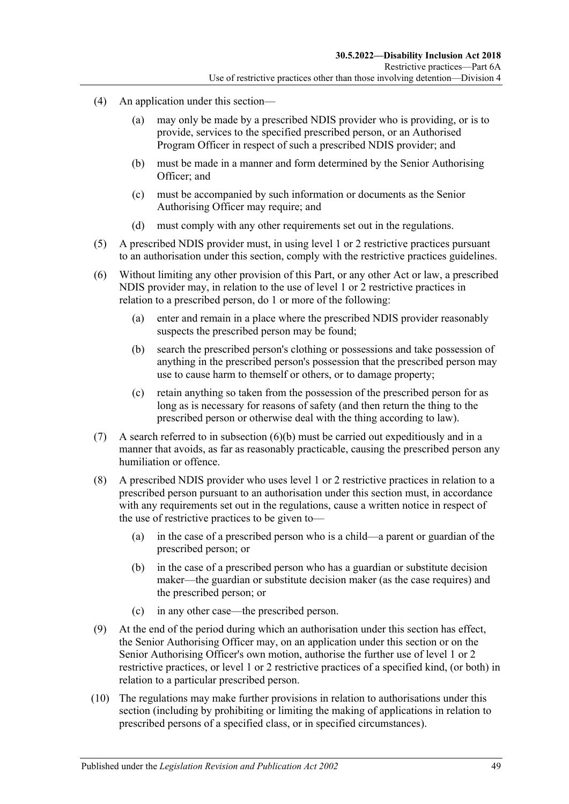- (4) An application under this section—
	- (a) may only be made by a prescribed NDIS provider who is providing, or is to provide, services to the specified prescribed person, or an Authorised Program Officer in respect of such a prescribed NDIS provider; and
	- (b) must be made in a manner and form determined by the Senior Authorising Officer; and
	- (c) must be accompanied by such information or documents as the Senior Authorising Officer may require; and
	- (d) must comply with any other requirements set out in the regulations.
- (5) A prescribed NDIS provider must, in using level 1 or 2 restrictive practices pursuant to an authorisation under this section, comply with the restrictive practices guidelines.
- <span id="page-48-0"></span>(6) Without limiting any other provision of this Part, or any other Act or law, a prescribed NDIS provider may, in relation to the use of level 1 or 2 restrictive practices in relation to a prescribed person, do 1 or more of the following:
	- (a) enter and remain in a place where the prescribed NDIS provider reasonably suspects the prescribed person may be found;
	- (b) search the prescribed person's clothing or possessions and take possession of anything in the prescribed person's possession that the prescribed person may use to cause harm to themself or others, or to damage property;
	- (c) retain anything so taken from the possession of the prescribed person for as long as is necessary for reasons of safety (and then return the thing to the prescribed person or otherwise deal with the thing according to law).
- (7) A search referred to in [subsection](#page-48-0) (6)(b) must be carried out expeditiously and in a manner that avoids, as far as reasonably practicable, causing the prescribed person any humiliation or offence.
- (8) A prescribed NDIS provider who uses level 1 or 2 restrictive practices in relation to a prescribed person pursuant to an authorisation under this section must, in accordance with any requirements set out in the regulations, cause a written notice in respect of the use of restrictive practices to be given to—
	- (a) in the case of a prescribed person who is a child—a parent or guardian of the prescribed person; or
	- (b) in the case of a prescribed person who has a guardian or substitute decision maker—the guardian or substitute decision maker (as the case requires) and the prescribed person; or
	- (c) in any other case—the prescribed person.
- (9) At the end of the period during which an authorisation under this section has effect, the Senior Authorising Officer may, on an application under this section or on the Senior Authorising Officer's own motion, authorise the further use of level 1 or 2 restrictive practices, or level 1 or 2 restrictive practices of a specified kind, (or both) in relation to a particular prescribed person.
- (10) The regulations may make further provisions in relation to authorisations under this section (including by prohibiting or limiting the making of applications in relation to prescribed persons of a specified class, or in specified circumstances).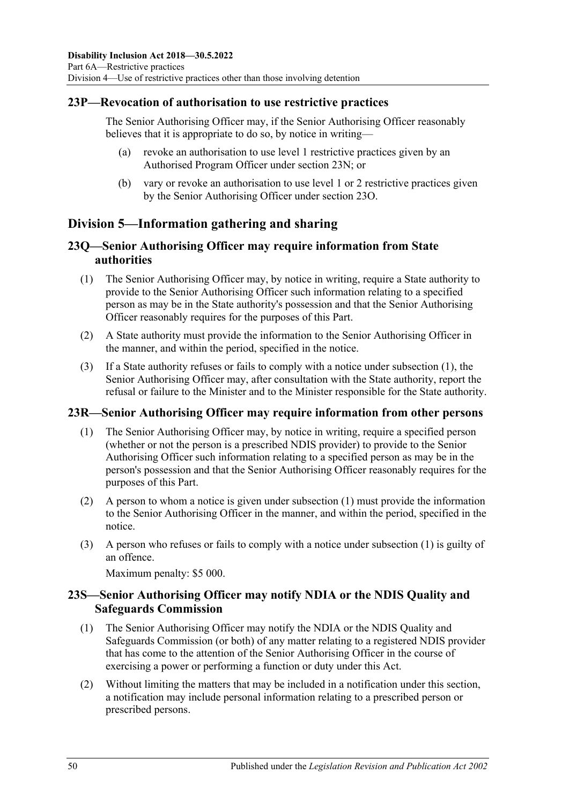## <span id="page-49-0"></span>**23P—Revocation of authorisation to use restrictive practices**

The Senior Authorising Officer may, if the Senior Authorising Officer reasonably believes that it is appropriate to do so, by notice in writing—

- (a) revoke an authorisation to use level 1 restrictive practices given by an Authorised Program Officer under [section](#page-45-2) 23N; or
- (b) vary or revoke an authorisation to use level 1 or 2 restrictive practices given by the Senior Authorising Officer under [section](#page-47-0) 23O.

## <span id="page-49-1"></span>**Division 5—Information gathering and sharing**

## <span id="page-49-2"></span>**23Q—Senior Authorising Officer may require information from State authorities**

- <span id="page-49-5"></span>(1) The Senior Authorising Officer may, by notice in writing, require a State authority to provide to the Senior Authorising Officer such information relating to a specified person as may be in the State authority's possession and that the Senior Authorising Officer reasonably requires for the purposes of this Part.
- (2) A State authority must provide the information to the Senior Authorising Officer in the manner, and within the period, specified in the notice.
- (3) If a State authority refuses or fails to comply with a notice under [subsection](#page-49-5) (1), the Senior Authorising Officer may, after consultation with the State authority, report the refusal or failure to the Minister and to the Minister responsible for the State authority.

#### <span id="page-49-6"></span><span id="page-49-3"></span>**23R—Senior Authorising Officer may require information from other persons**

- (1) The Senior Authorising Officer may, by notice in writing, require a specified person (whether or not the person is a prescribed NDIS provider) to provide to the Senior Authorising Officer such information relating to a specified person as may be in the person's possession and that the Senior Authorising Officer reasonably requires for the purposes of this Part.
- (2) A person to whom a notice is given under [subsection](#page-49-6) (1) must provide the information to the Senior Authorising Officer in the manner, and within the period, specified in the notice.
- (3) A person who refuses or fails to comply with a notice under [subsection](#page-49-6) (1) is guilty of an offence.

Maximum penalty: \$5 000.

## <span id="page-49-4"></span>**23S—Senior Authorising Officer may notify NDIA or the NDIS Quality and Safeguards Commission**

- (1) The Senior Authorising Officer may notify the NDIA or the NDIS Quality and Safeguards Commission (or both) of any matter relating to a registered NDIS provider that has come to the attention of the Senior Authorising Officer in the course of exercising a power or performing a function or duty under this Act.
- (2) Without limiting the matters that may be included in a notification under this section, a notification may include personal information relating to a prescribed person or prescribed persons.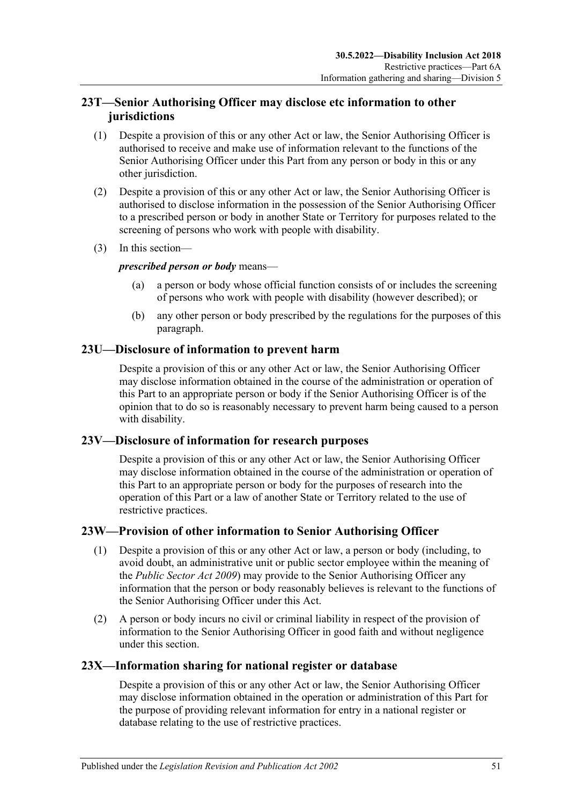## <span id="page-50-0"></span>**23T—Senior Authorising Officer may disclose etc information to other jurisdictions**

- (1) Despite a provision of this or any other Act or law, the Senior Authorising Officer is authorised to receive and make use of information relevant to the functions of the Senior Authorising Officer under this Part from any person or body in this or any other jurisdiction.
- (2) Despite a provision of this or any other Act or law, the Senior Authorising Officer is authorised to disclose information in the possession of the Senior Authorising Officer to a prescribed person or body in another State or Territory for purposes related to the screening of persons who work with people with disability.
- (3) In this section—

#### *prescribed person or body* means—

- (a) a person or body whose official function consists of or includes the screening of persons who work with people with disability (however described); or
- (b) any other person or body prescribed by the regulations for the purposes of this paragraph.

## <span id="page-50-1"></span>**23U—Disclosure of information to prevent harm**

Despite a provision of this or any other Act or law, the Senior Authorising Officer may disclose information obtained in the course of the administration or operation of this Part to an appropriate person or body if the Senior Authorising Officer is of the opinion that to do so is reasonably necessary to prevent harm being caused to a person with disability.

#### <span id="page-50-2"></span>**23V—Disclosure of information for research purposes**

Despite a provision of this or any other Act or law, the Senior Authorising Officer may disclose information obtained in the course of the administration or operation of this Part to an appropriate person or body for the purposes of research into the operation of this Part or a law of another State or Territory related to the use of restrictive practices.

## <span id="page-50-3"></span>**23W—Provision of other information to Senior Authorising Officer**

- (1) Despite a provision of this or any other Act or law, a person or body (including, to avoid doubt, an administrative unit or public sector employee within the meaning of the *[Public Sector Act](http://www.legislation.sa.gov.au/index.aspx?action=legref&type=act&legtitle=Public%20Sector%20Act%202009) 2009*) may provide to the Senior Authorising Officer any information that the person or body reasonably believes is relevant to the functions of the Senior Authorising Officer under this Act.
- (2) A person or body incurs no civil or criminal liability in respect of the provision of information to the Senior Authorising Officer in good faith and without negligence under this section.

## <span id="page-50-4"></span>**23X—Information sharing for national register or database**

Despite a provision of this or any other Act or law, the Senior Authorising Officer may disclose information obtained in the operation or administration of this Part for the purpose of providing relevant information for entry in a national register or database relating to the use of restrictive practices.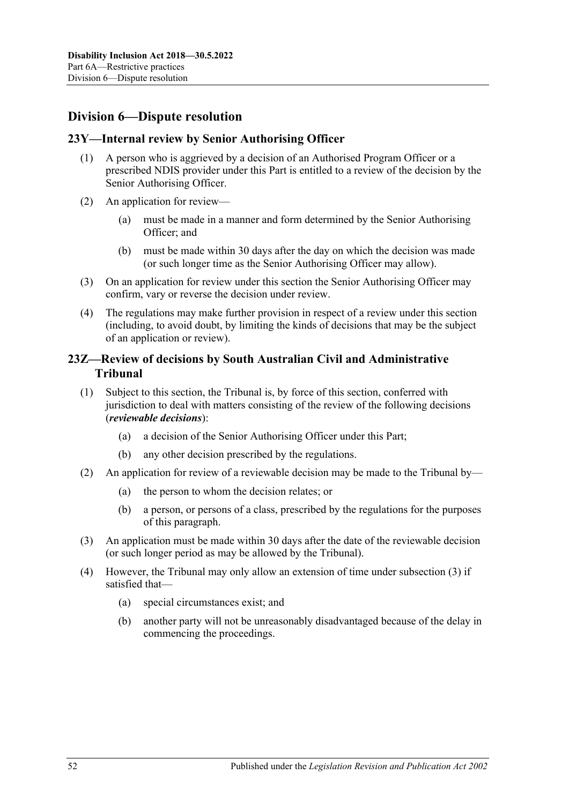## <span id="page-51-0"></span>**Division 6—Dispute resolution**

#### <span id="page-51-1"></span>**23Y—Internal review by Senior Authorising Officer**

- (1) A person who is aggrieved by a decision of an Authorised Program Officer or a prescribed NDIS provider under this Part is entitled to a review of the decision by the Senior Authorising Officer.
- (2) An application for review—
	- (a) must be made in a manner and form determined by the Senior Authorising Officer; and
	- (b) must be made within 30 days after the day on which the decision was made (or such longer time as the Senior Authorising Officer may allow).
- (3) On an application for review under this section the Senior Authorising Officer may confirm, vary or reverse the decision under review.
- (4) The regulations may make further provision in respect of a review under this section (including, to avoid doubt, by limiting the kinds of decisions that may be the subject of an application or review).

## <span id="page-51-2"></span>**23Z—Review of decisions by South Australian Civil and Administrative Tribunal**

- (1) Subject to this section, the Tribunal is, by force of this section, conferred with jurisdiction to deal with matters consisting of the review of the following decisions (*reviewable decisions*):
	- (a) a decision of the Senior Authorising Officer under this Part;
	- (b) any other decision prescribed by the regulations.
- (2) An application for review of a reviewable decision may be made to the Tribunal by—
	- (a) the person to whom the decision relates; or
	- (b) a person, or persons of a class, prescribed by the regulations for the purposes of this paragraph.
- <span id="page-51-3"></span>(3) An application must be made within 30 days after the date of the reviewable decision (or such longer period as may be allowed by the Tribunal).
- (4) However, the Tribunal may only allow an extension of time under [subsection](#page-51-3) (3) if satisfied that—
	- (a) special circumstances exist; and
	- (b) another party will not be unreasonably disadvantaged because of the delay in commencing the proceedings.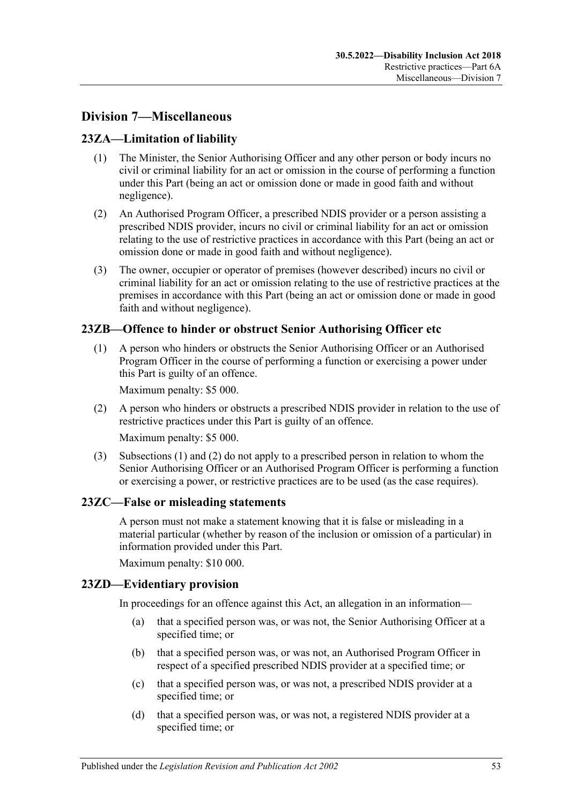## <span id="page-52-0"></span>**Division 7—Miscellaneous**

## <span id="page-52-1"></span>**23ZA—Limitation of liability**

- (1) The Minister, the Senior Authorising Officer and any other person or body incurs no civil or criminal liability for an act or omission in the course of performing a function under this Part (being an act or omission done or made in good faith and without negligence).
- (2) An Authorised Program Officer, a prescribed NDIS provider or a person assisting a prescribed NDIS provider, incurs no civil or criminal liability for an act or omission relating to the use of restrictive practices in accordance with this Part (being an act or omission done or made in good faith and without negligence).
- (3) The owner, occupier or operator of premises (however described) incurs no civil or criminal liability for an act or omission relating to the use of restrictive practices at the premises in accordance with this Part (being an act or omission done or made in good faith and without negligence).

#### <span id="page-52-5"></span><span id="page-52-2"></span>**23ZB—Offence to hinder or obstruct Senior Authorising Officer etc**

(1) A person who hinders or obstructs the Senior Authorising Officer or an Authorised Program Officer in the course of performing a function or exercising a power under this Part is guilty of an offence.

Maximum penalty: \$5 000.

<span id="page-52-6"></span>(2) A person who hinders or obstructs a prescribed NDIS provider in relation to the use of restrictive practices under this Part is guilty of an offence.

Maximum penalty: \$5 000.

(3) [Subsections](#page-52-5) (1) and [\(2\)](#page-52-6) do not apply to a prescribed person in relation to whom the Senior Authorising Officer or an Authorised Program Officer is performing a function or exercising a power, or restrictive practices are to be used (as the case requires).

#### <span id="page-52-3"></span>**23ZC—False or misleading statements**

A person must not make a statement knowing that it is false or misleading in a material particular (whether by reason of the inclusion or omission of a particular) in information provided under this Part.

Maximum penalty: \$10 000.

#### <span id="page-52-4"></span>**23ZD—Evidentiary provision**

In proceedings for an offence against this Act, an allegation in an information—

- (a) that a specified person was, or was not, the Senior Authorising Officer at a specified time; or
- (b) that a specified person was, or was not, an Authorised Program Officer in respect of a specified prescribed NDIS provider at a specified time; or
- (c) that a specified person was, or was not, a prescribed NDIS provider at a specified time; or
- (d) that a specified person was, or was not, a registered NDIS provider at a specified time; or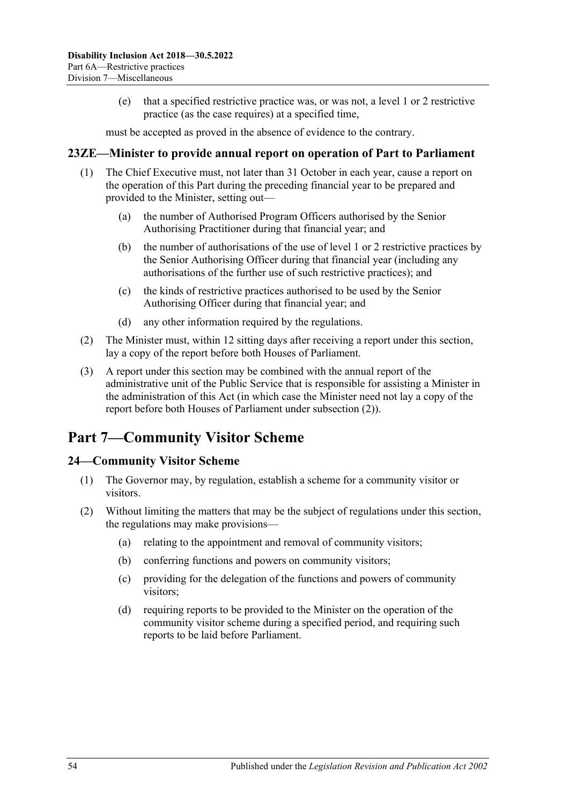(e) that a specified restrictive practice was, or was not, a level 1 or 2 restrictive practice (as the case requires) at a specified time,

must be accepted as proved in the absence of evidence to the contrary.

#### <span id="page-53-0"></span>**23ZE—Minister to provide annual report on operation of Part to Parliament**

- (1) The Chief Executive must, not later than 31 October in each year, cause a report on the operation of this Part during the preceding financial year to be prepared and provided to the Minister, setting out—
	- (a) the number of Authorised Program Officers authorised by the Senior Authorising Practitioner during that financial year; and
	- (b) the number of authorisations of the use of level 1 or 2 restrictive practices by the Senior Authorising Officer during that financial year (including any authorisations of the further use of such restrictive practices); and
	- (c) the kinds of restrictive practices authorised to be used by the Senior Authorising Officer during that financial year; and
	- (d) any other information required by the regulations.
- <span id="page-53-3"></span>(2) The Minister must, within 12 sitting days after receiving a report under this section, lay a copy of the report before both Houses of Parliament.
- (3) A report under this section may be combined with the annual report of the administrative unit of the Public Service that is responsible for assisting a Minister in the administration of this Act (in which case the Minister need not lay a copy of the report before both Houses of Parliament under [subsection](#page-53-3) (2)).

## <span id="page-53-1"></span>**Part 7—Community Visitor Scheme**

#### <span id="page-53-2"></span>**24—Community Visitor Scheme**

- (1) The Governor may, by regulation, establish a scheme for a community visitor or visitors.
- (2) Without limiting the matters that may be the subject of regulations under this section, the regulations may make provisions—
	- (a) relating to the appointment and removal of community visitors;
	- (b) conferring functions and powers on community visitors;
	- (c) providing for the delegation of the functions and powers of community visitors;
	- (d) requiring reports to be provided to the Minister on the operation of the community visitor scheme during a specified period, and requiring such reports to be laid before Parliament.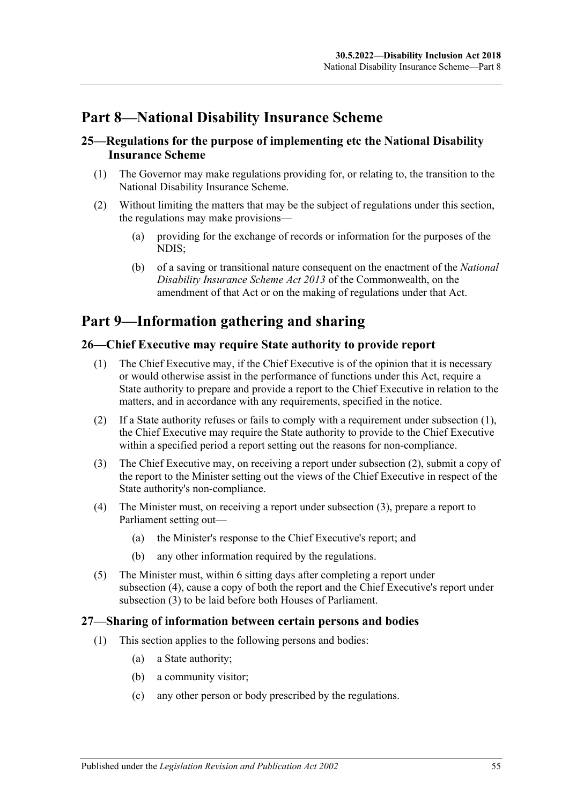## <span id="page-54-0"></span>**Part 8—National Disability Insurance Scheme**

## <span id="page-54-1"></span>**25—Regulations for the purpose of implementing etc the National Disability Insurance Scheme**

- (1) The Governor may make regulations providing for, or relating to, the transition to the National Disability Insurance Scheme.
- (2) Without limiting the matters that may be the subject of regulations under this section, the regulations may make provisions—
	- (a) providing for the exchange of records or information for the purposes of the NDIS;
	- (b) of a saving or transitional nature consequent on the enactment of the *National Disability Insurance Scheme Act 2013* of the Commonwealth, on the amendment of that Act or on the making of regulations under that Act.

## <span id="page-54-2"></span>**Part 9—Information gathering and sharing**

## <span id="page-54-5"></span><span id="page-54-3"></span>**26—Chief Executive may require State authority to provide report**

- (1) The Chief Executive may, if the Chief Executive is of the opinion that it is necessary or would otherwise assist in the performance of functions under this Act, require a State authority to prepare and provide a report to the Chief Executive in relation to the matters, and in accordance with any requirements, specified in the notice.
- <span id="page-54-6"></span>(2) If a State authority refuses or fails to comply with a requirement under [subsection](#page-54-5) (1), the Chief Executive may require the State authority to provide to the Chief Executive within a specified period a report setting out the reasons for non-compliance.
- <span id="page-54-7"></span>(3) The Chief Executive may, on receiving a report under [subsection](#page-54-6) (2), submit a copy of the report to the Minister setting out the views of the Chief Executive in respect of the State authority's non-compliance.
- <span id="page-54-8"></span>(4) The Minister must, on receiving a report under [subsection](#page-54-7) (3), prepare a report to Parliament setting out—
	- (a) the Minister's response to the Chief Executive's report; and
	- (b) any other information required by the regulations.
- (5) The Minister must, within 6 sitting days after completing a report under [subsection](#page-54-8) (4), cause a copy of both the report and the Chief Executive's report under [subsection](#page-54-7) (3) to be laid before both Houses of Parliament.

#### <span id="page-54-4"></span>**27—Sharing of information between certain persons and bodies**

- (1) This section applies to the following persons and bodies:
	- (a) a State authority;
	- (b) a community visitor;
	- (c) any other person or body prescribed by the regulations.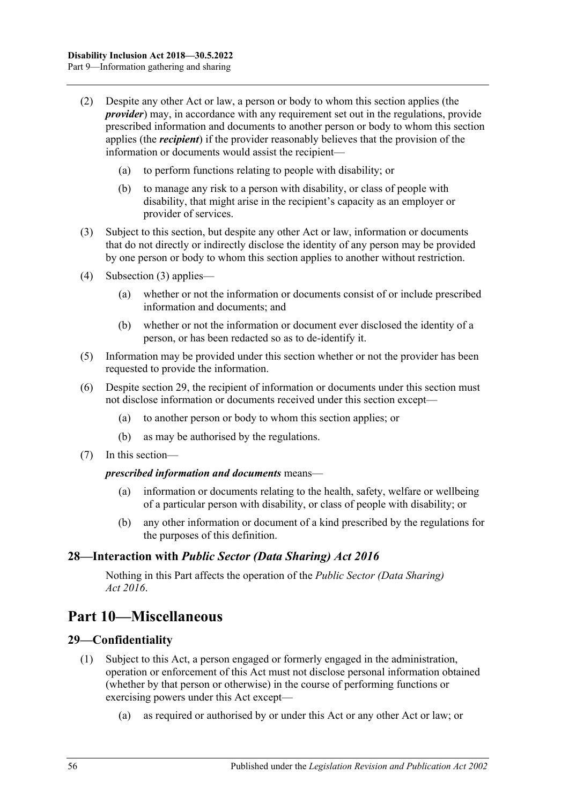- (2) Despite any other Act or law, a person or body to whom this section applies (the *provider*) may, in accordance with any requirement set out in the regulations, provide prescribed information and documents to another person or body to whom this section applies (the *recipient*) if the provider reasonably believes that the provision of the information or documents would assist the recipient—
	- (a) to perform functions relating to people with disability; or
	- (b) to manage any risk to a person with disability, or class of people with disability, that might arise in the recipient's capacity as an employer or provider of services.
- <span id="page-55-3"></span>(3) Subject to this section, but despite any other Act or law, information or documents that do not directly or indirectly disclose the identity of any person may be provided by one person or body to whom this section applies to another without restriction.
- (4) [Subsection](#page-55-3) (3) applies—
	- (a) whether or not the information or documents consist of or include prescribed information and documents; and
	- (b) whether or not the information or document ever disclosed the identity of a person, or has been redacted so as to de-identify it.
- (5) Information may be provided under this section whether or not the provider has been requested to provide the information.
- (6) Despite [section](#page-55-2) 29, the recipient of information or documents under this section must not disclose information or documents received under this section except—
	- (a) to another person or body to whom this section applies; or
	- (b) as may be authorised by the regulations.
- (7) In this section—

#### *prescribed information and documents* means—

- (a) information or documents relating to the health, safety, welfare or wellbeing of a particular person with disability, or class of people with disability; or
- (b) any other information or document of a kind prescribed by the regulations for the purposes of this definition.

#### <span id="page-55-0"></span>**28—Interaction with** *Public Sector (Data Sharing) Act 2016*

Nothing in this Part affects the operation of the *[Public Sector \(Data Sharing\)](http://www.legislation.sa.gov.au/index.aspx?action=legref&type=act&legtitle=Public%20Sector%20(Data%20Sharing)%20Act%202016)  Act [2016](http://www.legislation.sa.gov.au/index.aspx?action=legref&type=act&legtitle=Public%20Sector%20(Data%20Sharing)%20Act%202016)*.

## <span id="page-55-1"></span>**Part 10—Miscellaneous**

#### <span id="page-55-4"></span><span id="page-55-2"></span>**29—Confidentiality**

- (1) Subject to this Act, a person engaged or formerly engaged in the administration, operation or enforcement of this Act must not disclose personal information obtained (whether by that person or otherwise) in the course of performing functions or exercising powers under this Act except—
	- (a) as required or authorised by or under this Act or any other Act or law; or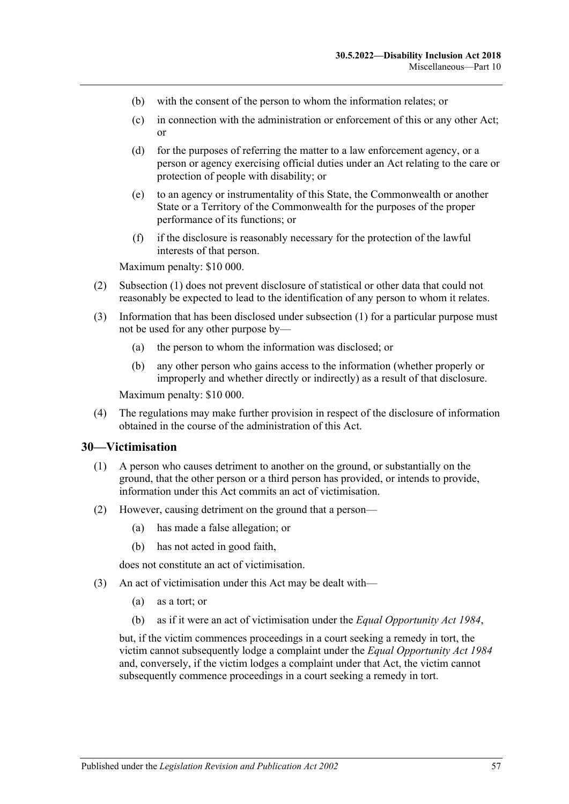- (b) with the consent of the person to whom the information relates; or
- (c) in connection with the administration or enforcement of this or any other Act; or
- (d) for the purposes of referring the matter to a law enforcement agency, or a person or agency exercising official duties under an Act relating to the care or protection of people with disability; or
- (e) to an agency or instrumentality of this State, the Commonwealth or another State or a Territory of the Commonwealth for the purposes of the proper performance of its functions; or
- (f) if the disclosure is reasonably necessary for the protection of the lawful interests of that person.

Maximum penalty: \$10 000.

- (2) [Subsection](#page-55-4) (1) does not prevent disclosure of statistical or other data that could not reasonably be expected to lead to the identification of any person to whom it relates.
- (3) Information that has been disclosed under [subsection](#page-55-4) (1) for a particular purpose must not be used for any other purpose by—
	- (a) the person to whom the information was disclosed; or
	- (b) any other person who gains access to the information (whether properly or improperly and whether directly or indirectly) as a result of that disclosure.

Maximum penalty: \$10 000.

(4) The regulations may make further provision in respect of the disclosure of information obtained in the course of the administration of this Act.

#### <span id="page-56-0"></span>**30—Victimisation**

- (1) A person who causes detriment to another on the ground, or substantially on the ground, that the other person or a third person has provided, or intends to provide, information under this Act commits an act of victimisation.
- (2) However, causing detriment on the ground that a person—
	- (a) has made a false allegation; or
	- (b) has not acted in good faith,

does not constitute an act of victimisation.

- (3) An act of victimisation under this Act may be dealt with—
	- (a) as a tort; or
	- (b) as if it were an act of victimisation under the *[Equal Opportunity Act](http://www.legislation.sa.gov.au/index.aspx?action=legref&type=act&legtitle=Equal%20Opportunity%20Act%201984) 1984*,

but, if the victim commences proceedings in a court seeking a remedy in tort, the victim cannot subsequently lodge a complaint under the *[Equal Opportunity Act](http://www.legislation.sa.gov.au/index.aspx?action=legref&type=act&legtitle=Equal%20Opportunity%20Act%201984) 1984* and, conversely, if the victim lodges a complaint under that Act, the victim cannot subsequently commence proceedings in a court seeking a remedy in tort.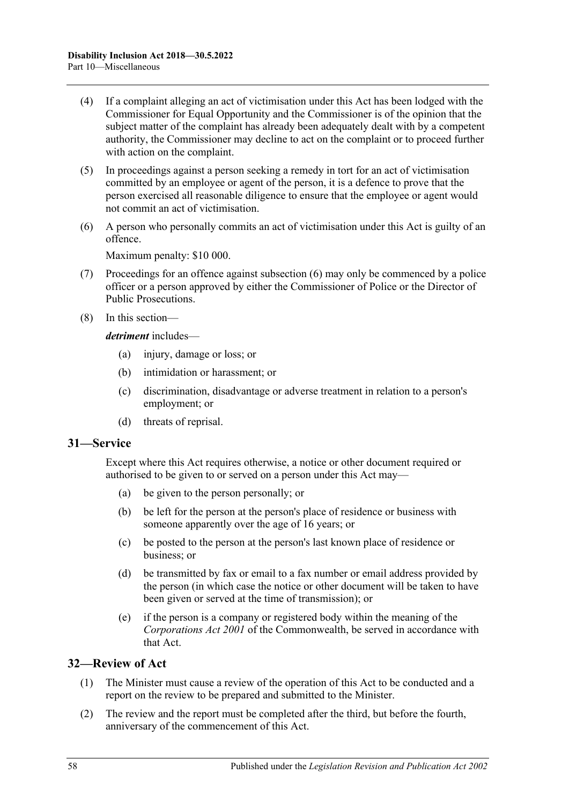- (4) If a complaint alleging an act of victimisation under this Act has been lodged with the Commissioner for Equal Opportunity and the Commissioner is of the opinion that the subject matter of the complaint has already been adequately dealt with by a competent authority, the Commissioner may decline to act on the complaint or to proceed further with action on the complaint.
- (5) In proceedings against a person seeking a remedy in tort for an act of victimisation committed by an employee or agent of the person, it is a defence to prove that the person exercised all reasonable diligence to ensure that the employee or agent would not commit an act of victimisation.
- <span id="page-57-2"></span>(6) A person who personally commits an act of victimisation under this Act is guilty of an offence.

Maximum penalty: \$10 000.

- (7) Proceedings for an offence against [subsection](#page-57-2) (6) may only be commenced by a police officer or a person approved by either the Commissioner of Police or the Director of Public Prosecutions.
- (8) In this section—

*detriment* includes—

- (a) injury, damage or loss; or
- (b) intimidation or harassment; or
- (c) discrimination, disadvantage or adverse treatment in relation to a person's employment; or
- (d) threats of reprisal.

#### <span id="page-57-0"></span>**31—Service**

Except where this Act requires otherwise, a notice or other document required or authorised to be given to or served on a person under this Act may—

- (a) be given to the person personally; or
- (b) be left for the person at the person's place of residence or business with someone apparently over the age of 16 years; or
- (c) be posted to the person at the person's last known place of residence or business; or
- (d) be transmitted by fax or email to a fax number or email address provided by the person (in which case the notice or other document will be taken to have been given or served at the time of transmission); or
- (e) if the person is a company or registered body within the meaning of the *Corporations Act 2001* of the Commonwealth, be served in accordance with that Act.

#### <span id="page-57-3"></span><span id="page-57-1"></span>**32—Review of Act**

- (1) The Minister must cause a review of the operation of this Act to be conducted and a report on the review to be prepared and submitted to the Minister.
- (2) The review and the report must be completed after the third, but before the fourth, anniversary of the commencement of this Act.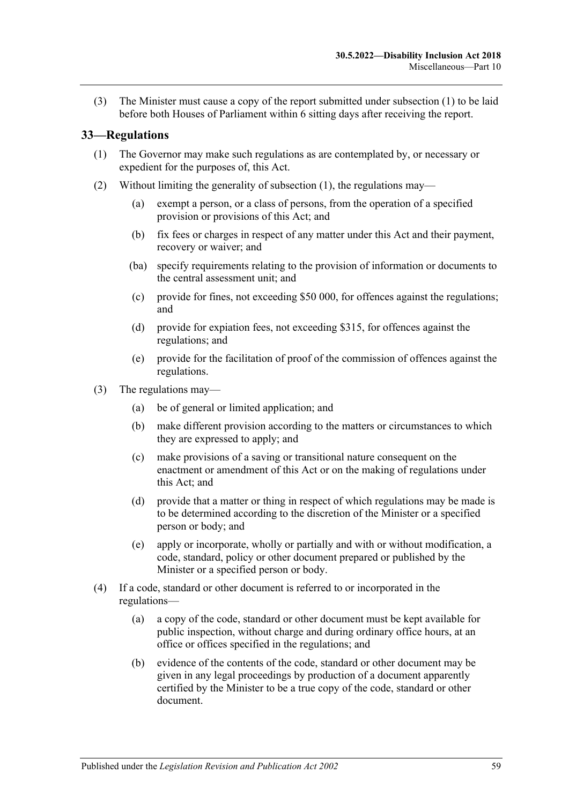(3) The Minister must cause a copy of the report submitted under [subsection](#page-57-3) (1) to be laid before both Houses of Parliament within 6 sitting days after receiving the report.

#### <span id="page-58-1"></span><span id="page-58-0"></span>**33—Regulations**

- (1) The Governor may make such regulations as are contemplated by, or necessary or expedient for the purposes of, this Act.
- (2) Without limiting the generality of [subsection](#page-58-1) (1), the regulations may—
	- (a) exempt a person, or a class of persons, from the operation of a specified provision or provisions of this Act; and
	- (b) fix fees or charges in respect of any matter under this Act and their payment, recovery or waiver; and
	- (ba) specify requirements relating to the provision of information or documents to the central assessment unit; and
	- (c) provide for fines, not exceeding \$50 000, for offences against the regulations; and
	- (d) provide for expiation fees, not exceeding \$315, for offences against the regulations; and
	- (e) provide for the facilitation of proof of the commission of offences against the regulations.
- (3) The regulations may—
	- (a) be of general or limited application; and
	- (b) make different provision according to the matters or circumstances to which they are expressed to apply; and
	- (c) make provisions of a saving or transitional nature consequent on the enactment or amendment of this Act or on the making of regulations under this Act; and
	- (d) provide that a matter or thing in respect of which regulations may be made is to be determined according to the discretion of the Minister or a specified person or body; and
	- (e) apply or incorporate, wholly or partially and with or without modification, a code, standard, policy or other document prepared or published by the Minister or a specified person or body.
- (4) If a code, standard or other document is referred to or incorporated in the regulations—
	- (a) a copy of the code, standard or other document must be kept available for public inspection, without charge and during ordinary office hours, at an office or offices specified in the regulations; and
	- (b) evidence of the contents of the code, standard or other document may be given in any legal proceedings by production of a document apparently certified by the Minister to be a true copy of the code, standard or other document.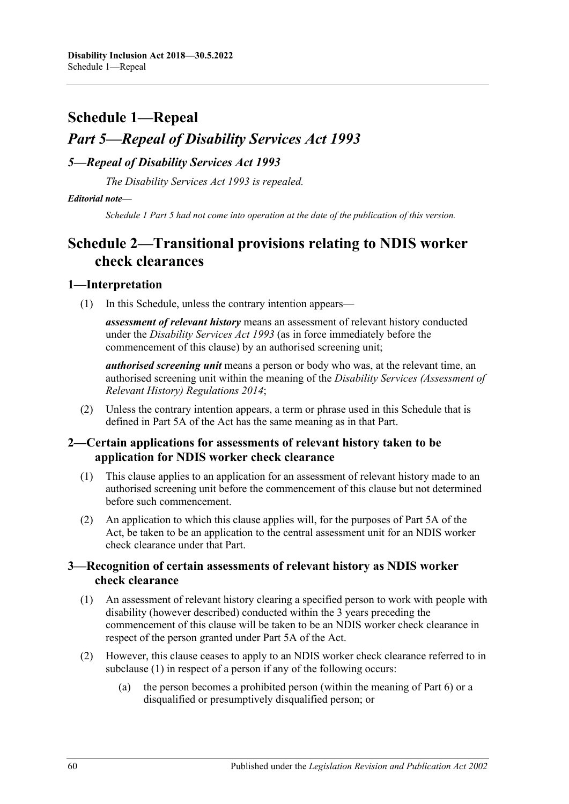# <span id="page-59-0"></span>**Schedule 1—Repeal** *Part 5—Repeal of Disability Services Act 1993*

## <span id="page-59-1"></span>*5—Repeal of Disability Services Act 1993*

*The [Disability Services Act](http://www.legislation.sa.gov.au/index.aspx?action=legref&type=act&legtitle=Disability%20Services%20Act%201993) 1993 is repealed.*

#### *Editorial note—*

*Schedule 1 Part 5 had not come into operation at the date of the publication of this version.*

## <span id="page-59-2"></span>**Schedule 2—Transitional provisions relating to NDIS worker check clearances**

## <span id="page-59-3"></span>**1—Interpretation**

(1) In this Schedule, unless the contrary intention appears—

*assessment of relevant history* means an assessment of relevant history conducted under the *[Disability Services Act](http://www.legislation.sa.gov.au/index.aspx?action=legref&type=act&legtitle=Disability%20Services%20Act%201993) 1993* (as in force immediately before the commencement of this clause) by an authorised screening unit;

*authorised screening unit* means a person or body who was, at the relevant time, an authorised screening unit within the meaning of the *[Disability Services \(Assessment of](http://www.legislation.sa.gov.au/index.aspx?action=legref&type=act&legtitle=Disability%20Services%20(Assessment%20of%20Relevant%20History)%20Regulations%202014)  [Relevant History\) Regulations](http://www.legislation.sa.gov.au/index.aspx?action=legref&type=act&legtitle=Disability%20Services%20(Assessment%20of%20Relevant%20History)%20Regulations%202014) 2014*;

(2) Unless the contrary intention appears, a term or phrase used in this Schedule that is defined in [Part 5A](#page-13-1) of the Act has the same meaning as in that Part.

## <span id="page-59-4"></span>**2—Certain applications for assessments of relevant history taken to be application for NDIS worker check clearance**

- (1) This clause applies to an application for an assessment of relevant history made to an authorised screening unit before the commencement of this clause but not determined before such commencement.
- (2) An application to which this clause applies will, for the purposes of [Part 5A](#page-13-1) of the Act, be taken to be an application to the central assessment unit for an NDIS worker check clearance under that Part.

## <span id="page-59-5"></span>**3—Recognition of certain assessments of relevant history as NDIS worker check clearance**

- <span id="page-59-6"></span>(1) An assessment of relevant history clearing a specified person to work with people with disability (however described) conducted within the 3 years preceding the commencement of this clause will be taken to be an NDIS worker check clearance in respect of the person granted under Part 5A of the Act.
- (2) However, this clause ceases to apply to an NDIS worker check clearance referred to in [subclause](#page-59-6) (1) in respect of a person if any of the following occurs:
	- (a) the person becomes a prohibited person (within the meaning of [Part](#page-33-4) 6) or a disqualified or presumptively disqualified person; or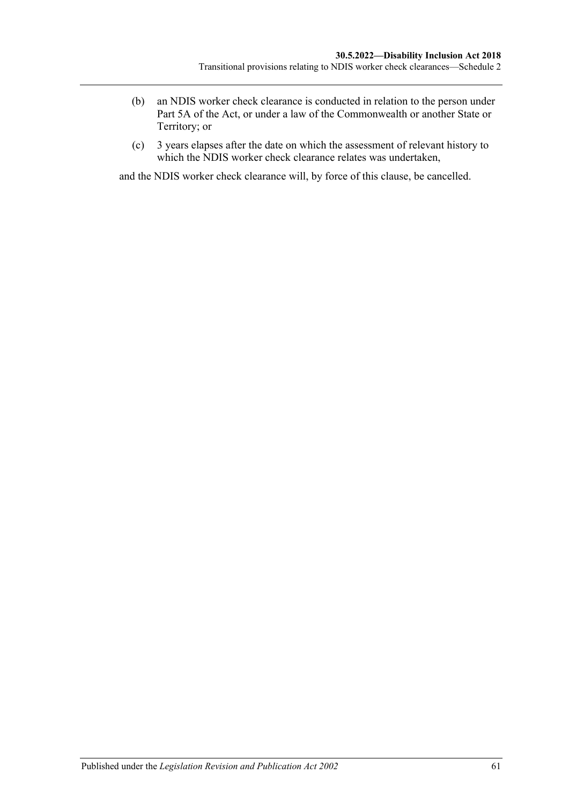- (b) an NDIS worker check clearance is conducted in relation to the person under [Part 5A](#page-13-1) of the Act, or under a law of the Commonwealth or another State or Territory; or
- (c) 3 years elapses after the date on which the assessment of relevant history to which the NDIS worker check clearance relates was undertaken,

and the NDIS worker check clearance will, by force of this clause, be cancelled.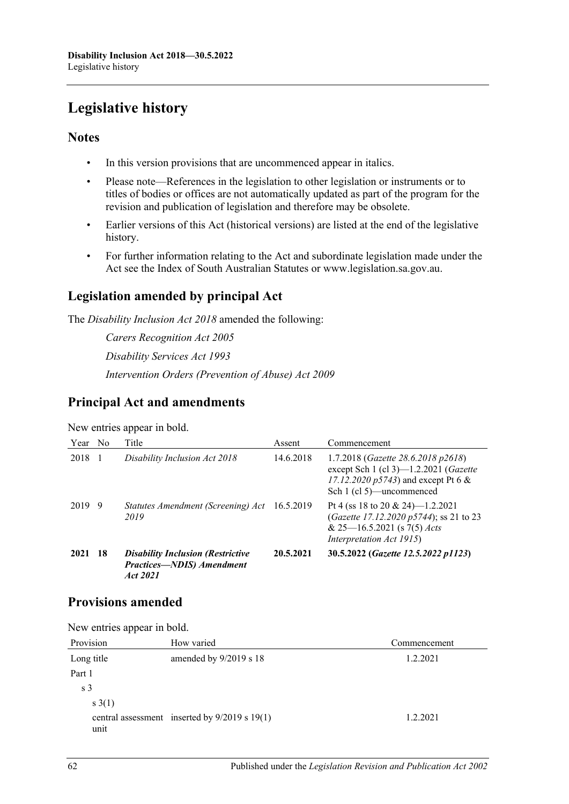# <span id="page-61-0"></span>**Legislative history**

## **Notes**

- In this version provisions that are uncommenced appear in italics.
- Please note—References in the legislation to other legislation or instruments or to titles of bodies or offices are not automatically updated as part of the program for the revision and publication of legislation and therefore may be obsolete.
- Earlier versions of this Act (historical versions) are listed at the end of the legislative history.
- For further information relating to the Act and subordinate legislation made under the Act see the Index of South Australian Statutes or www.legislation.sa.gov.au.

## **Legislation amended by principal Act**

The *Disability Inclusion Act 2018* amended the following:

*Carers Recognition Act 2005 Disability Services Act 1993 Intervention Orders (Prevention of Abuse) Act 2009*

## **Principal Act and amendments**

New entries appear in bold.

| Year | N <sub>0</sub> | Title                                                                                    | Assent    | Commencement                                                                                                                                                 |
|------|----------------|------------------------------------------------------------------------------------------|-----------|--------------------------------------------------------------------------------------------------------------------------------------------------------------|
| 2018 |                | Disability Inclusion Act 2018                                                            | 14.6.2018 | 1.7.2018 (Gazette 28.6.2018 p2618)<br>except Sch 1 (cl 3)— $1.2.2021$ ( <i>Gazette</i><br>17.12.2020 $p5743$ ) and except Pt 6 &<br>Sch 1 (cl 5)—uncommenced |
| 2019 | - 9            | Statutes Amendment (Screening) Act 16.5.2019<br>2019                                     |           | Pt 4 (ss 18 to 20 & 24)—1.2.2021<br>(Gazette 17.12.2020 p5744); ss 21 to 23<br>& $25-16.5.2021$ (s $7(5)$ <i>Acts</i><br>Interpretation Act 1915)            |
| 2021 | -18            | <b>Disability Inclusion (Restrictive</b><br><b>Practices-NDIS)</b> Amendment<br>Act 2021 | 20.5.2021 | 30.5.2022 (Gazette 12.5.2022 p1123)                                                                                                                          |

## **Provisions amended**

New entries appear in bold.

| Provision      | How varied                                    | Commencement |
|----------------|-----------------------------------------------|--------------|
| Long title     | amended by 9/2019 s 18                        | 1.2.2021     |
| Part 1         |                                               |              |
| s <sub>3</sub> |                                               |              |
| $s \; 3(1)$    |                                               |              |
| unit           | central assessment inserted by 9/2019 s 19(1) | 1.2.2021     |